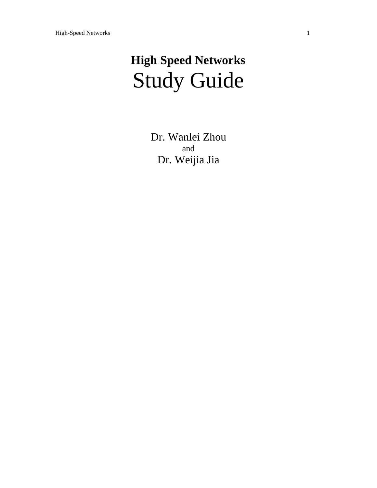# **High Speed Networks**  Study Guide

Dr. Wanlei Zhou and Dr. Weijia Jia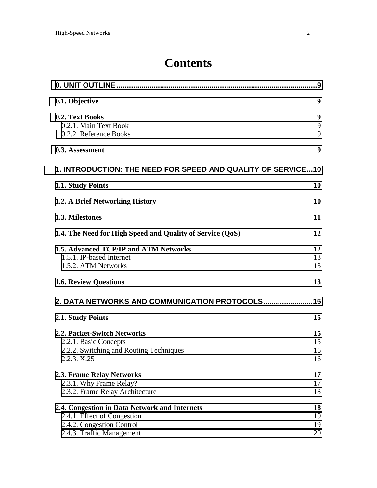# **Contents**

|                                                                                                                                        | . 9                  |
|----------------------------------------------------------------------------------------------------------------------------------------|----------------------|
| 0.1. Objective                                                                                                                         | 9                    |
| 0.2. Text Books<br>0.2.1. Main Text Book<br>0.2.2. Reference Books                                                                     | 9<br>9<br>9          |
| 0.3. Assessment                                                                                                                        | 9                    |
| 1. INTRODUCTION: THE NEED FOR SPEED AND QUALITY OF SERVICE10                                                                           |                      |
| 1.1. Study Points                                                                                                                      | 10                   |
| 1.2. A Brief Networking History                                                                                                        | 10                   |
| 1.3. Milestones                                                                                                                        | 11                   |
| 1.4. The Need for High Speed and Quality of Service (QoS)                                                                              | 12                   |
| 1.5. Advanced TCP/IP and ATM Networks<br>1.5.1. IP-based Internet<br>1.5.2. ATM Networks                                               | 12<br>13<br>13       |
| <b>1.6. Review Questions</b>                                                                                                           | 13                   |
| 2. DATA NETWORKS AND COMMUNICATION PROTOCOLS                                                                                           | .15                  |
| 2.1. Study Points                                                                                                                      | 15                   |
| 2.2. Packet-Switch Networks<br>2.2.1. Basic Concepts<br>2.2.2. Switching and Routing Techniques<br>2.2.3. X.25                         | 15<br>15<br>16<br>16 |
| 2.3. Frame Relay Networks<br>2.3.1. Why Frame Relay?<br>2.3.2. Frame Relay Architecture                                                | 17<br>17<br>18       |
| 2.4. Congestion in Data Network and Internets<br>2.4.1. Effect of Congestion<br>2.4.2. Congestion Control<br>2.4.3. Traffic Management | 18<br>19<br>19<br>20 |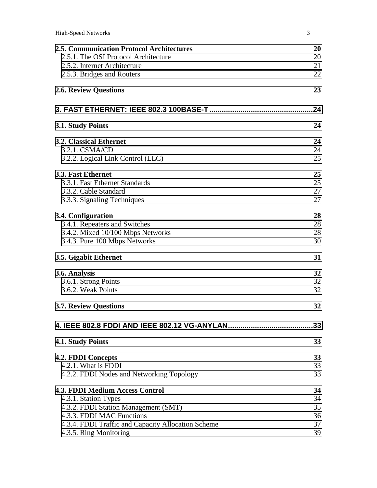| <b>High-Speed Networks</b>                         | 3   |
|----------------------------------------------------|-----|
| <b>2.5. Communication Protocol Architectures</b>   | 20  |
| 2.5.1. The OSI Protocol Architecture               | 20  |
| 2.5.2. Internet Architecture                       | 21  |
| 2.5.3. Bridges and Routers                         | 22  |
| <b>2.6. Review Questions</b>                       | 23  |
|                                                    | .24 |
| 3.1. Study Points                                  | 24  |
| <b>3.2. Classical Ethernet</b>                     | 24  |
| 3.2.1. CSMA/CD                                     | 24  |
| 3.2.2. Logical Link Control (LLC)                  | 25  |
| 3.3. Fast Ethernet                                 | 25  |
| 3.3.1. Fast Ethernet Standards                     | 25  |
| 3.3.2. Cable Standard                              | 27  |
| 3.3.3. Signaling Techniques                        | 27  |
| 3.4. Configuration                                 | 28  |
| 3.4.1. Repeaters and Switches                      | 28  |
| 3.4.2. Mixed 10/100 Mbps Networks                  | 28  |
| 3.4.3. Pure 100 Mbps Networks                      | 30  |
| 3.5. Gigabit Ethernet                              | 31  |
| 3.6. Analysis                                      | 32  |
| 3.6.1. Strong Points                               | 32  |
| 3.6.2. Weak Points                                 | 32  |
| <b>3.7. Review Questions</b>                       | 32  |
|                                                    | 33  |
| 4.1. Study Points                                  | 33  |
| <b>4.2. FDDI Concepts</b>                          | 33  |
| 4.2.1. What is FDDI                                | 33  |
| 4.2.2. FDDI Nodes and Networking Topology          | 33  |
| <b>4.3. FDDI Medium Access Control</b>             | 34  |
| 4.3.1. Station Types                               | 34  |
| 4.3.2. FDDI Station Management (SMT)               | 35  |
| 4.3.3. FDDI MAC Functions                          | 36  |
| 4.3.4. FDDI Traffic and Capacity Allocation Scheme | 37  |
| 4.3.5. Ring Monitoring                             | 39  |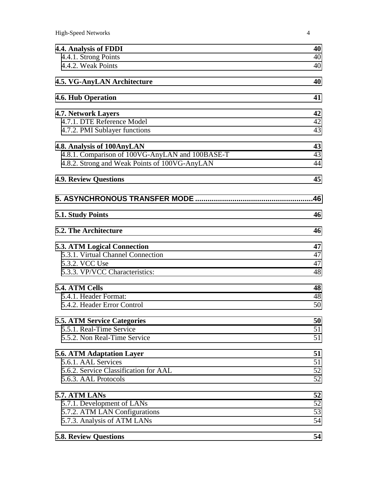| High-Speed Networks                             | $\overline{4}$ |
|-------------------------------------------------|----------------|
| 4.4. Analysis of FDDI                           | 40             |
| 4.4.1. Strong Points                            | 40             |
| 4.4.2. Weak Points                              | 40             |
| 4.5. VG-AnyLAN Architecture                     | 40             |
| 4.6. Hub Operation                              | 41             |
| <b>4.7. Network Layers</b>                      | 42             |
| 4.7.1. DTE Reference Model                      | 42             |
| 4.7.2. PMI Sublayer functions                   | 43             |
| 4.8. Analysis of 100AnyLAN                      | 43             |
| 4.8.1. Comparison of 100VG-AnyLAN and 100BASE-T | 43             |
| 4.8.2. Strong and Weak Points of 100VG-AnyLAN   | 44             |
| <b>4.9. Review Questions</b>                    | 45             |
|                                                 | .46            |
| 5.1. Study Points                               | 46             |
| 5.2. The Architecture                           | 46             |
| <b>5.3. ATM Logical Connection</b>              | 47             |
| 5.3.1. Virtual Channel Connection               | 47             |
| 5.3.2. VCC Use                                  | 47             |
| 5.3.3. VP/VCC Characteristics:                  | 48             |
| 5.4. ATM Cells                                  | 48             |
| 5.4.1. Header Format:                           | 48             |
| 5.4.2. Header Error Control                     | 50             |
| <b>5.5. ATM Service Categories</b>              | 50             |
| 5.5.1. Real-Time Service                        | 51             |
| 5.5.2. Non Real-Time Service                    | 51             |
| <b>5.6. ATM Adaptation Layer</b>                | 51             |
| 5.6.1. AAL Services                             | 51             |
| 5.6.2. Service Classification for AAL           | 52             |
| 5.6.3. AAL Protocols                            | 52             |
| 5.7. ATM LANs                                   | 52             |
| 5.7.1. Development of LANs                      | 52             |
| 5.7.2. ATM LAN Configurations                   | 53             |
| 5.7.3. Analysis of ATM LANs                     | 54             |
| <b>5.8. Review Questions</b>                    | 54             |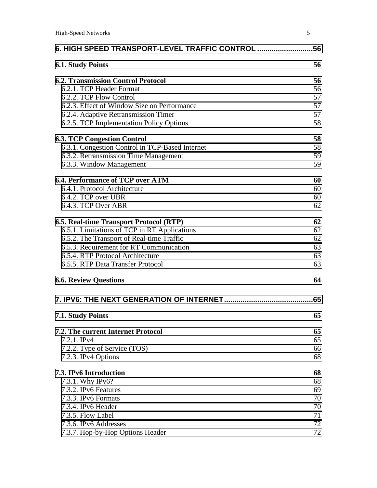| 6. HIGH SPEED TRANSPORT-LEVEL TRAFFIC CONTROL<br>.56 |     |  |
|------------------------------------------------------|-----|--|
| <b>6.1. Study Points</b>                             | 56  |  |
| <b>6.2. Transmission Control Protocol</b>            | 56  |  |
| 6.2.1. TCP Header Format                             | 56  |  |
| 6.2.2. TCP Flow Control                              | 57  |  |
| 6.2.3. Effect of Window Size on Performance          | 57  |  |
| 6.2.4. Adaptive Retransmission Timer                 | 57  |  |
| 6.2.5. TCP Implementation Policy Options             | 58  |  |
| <b>6.3. TCP Congestion Control</b>                   | 58  |  |
| 6.3.1. Congestion Control in TCP-Based Internet      | 58  |  |
| 6.3.2. Retransmission Time Management                | 59  |  |
| 6.3.3. Window Management                             | 59  |  |
| <b>6.4. Performance of TCP over ATM</b>              | 60  |  |
| 6.4.1. Protocol Architecture                         | 60  |  |
| 6.4.2. TCP over UBR                                  | 60  |  |
| 6.4.3. TCP Over ABR                                  | 62  |  |
| <b>6.5. Real-time Transport Protocol (RTP)</b>       | 62  |  |
| 6.5.1. Limitations of TCP in RT Applications         | 62  |  |
| 6.5.2. The Transport of Real-time Traffic            | 62  |  |
| 6.5.3. Requirement for RT Communication              | 63  |  |
| 6.5.4. RTP Protocol Architecture                     | 63  |  |
| 6.5.5. RTP Data Transfer Protocol                    | 63  |  |
| <b>6.6. Review Questions</b>                         | 64  |  |
| 7. IPV6: THE NEXT GENERATION OF INTERNET             | .65 |  |
| 7.1. Study Points                                    | 65  |  |
| 7.2. The current Internet Protocol                   | 65  |  |
| 7.2.1. IPv4                                          | 65  |  |
| 7.2.2. Type of Service (TOS)                         | 66  |  |
| 7.2.3. IPv4 Options                                  | 68  |  |
| 7.3. IPv6 Introduction                               | 68  |  |
| 7.3.1. Why IPv6?                                     | 68  |  |
| 7.3.2. IPv6 Features                                 | 69  |  |
| 7.3.3. IPv6 Formats                                  | 70  |  |
| 7.3.4. IPv6 Header                                   | 70  |  |
| 7.3.5. Flow Label                                    | 71  |  |
| 7.3.6. IPv6 Addresses                                | 72  |  |
| 7.3.7. Hop-by-Hop Options Header                     | 72  |  |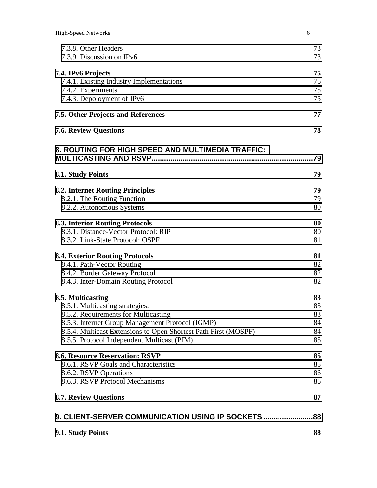| <b>High-Speed Networks</b>                                                                                                                                                                                                                                         | 6                                |
|--------------------------------------------------------------------------------------------------------------------------------------------------------------------------------------------------------------------------------------------------------------------|----------------------------------|
| 7.3.8. Other Headers<br>7.3.9. Discussion on IPv6                                                                                                                                                                                                                  | 73<br>73                         |
| 7.4. IPv6 Projects<br>7.4.1. Existing Industry Implementations<br>7.4.2. Experiments<br>7.4.3. Depoloyment of IPv6                                                                                                                                                 | 75<br>75<br>75<br>75             |
| <b>7.5. Other Projects and References</b>                                                                                                                                                                                                                          | 77                               |
| <b>7.6. Review Questions</b>                                                                                                                                                                                                                                       | 78                               |
| 8. ROUTING FOR HIGH SPEED AND MULTIMEDIA TRAFFIC:                                                                                                                                                                                                                  | .79                              |
| 8.1. Study Points                                                                                                                                                                                                                                                  | 79                               |
| 8.2. Internet Routing Principles<br>8.2.1. The Routing Function<br>8.2.2. Autonomous Systems                                                                                                                                                                       | 79<br>79<br>80                   |
| 8.3. Interior Routing Protocols<br>8.3.1. Distance-Vector Protocol: RIP<br>8.3.2. Link-State Protocol: OSPF                                                                                                                                                        | 80<br>80<br>81                   |
| <b>8.4. Exterior Routing Protocols</b><br>8.4.1. Path-Vector Routing<br>8.4.2. Border Gateway Protocol<br>8.4.3. Inter-Domain Routing Protocol                                                                                                                     | 81<br>82<br>82<br>82             |
| 8.5. Multicasting<br>8.5.1. Multicasting strategies:<br>8.5.2. Requirements for Multicasting<br>8.5.3. Internet Group Management Protocol (IGMP)<br>8.5.4. Multicast Extensions to Open Shortest Path First (MOSPF)<br>8.5.5. Protocol Independent Multicast (PIM) | 83<br>83<br>83<br>84<br>84<br>85 |
| 8.6. Resource Reservation: RSVP<br>8.6.1. RSVP Goals and Characteristics<br>8.6.2. RSVP Operations<br>8.6.3. RSVP Protocol Mechanisms                                                                                                                              | 85<br>85<br>86<br>86             |
| <b>8.7. Review Questions</b>                                                                                                                                                                                                                                       | 87                               |
| 9. CLIENT-SERVER COMMUNICATION USING IP SOCKETS                                                                                                                                                                                                                    | .88.                             |
| 9.1. Study Points                                                                                                                                                                                                                                                  | 88                               |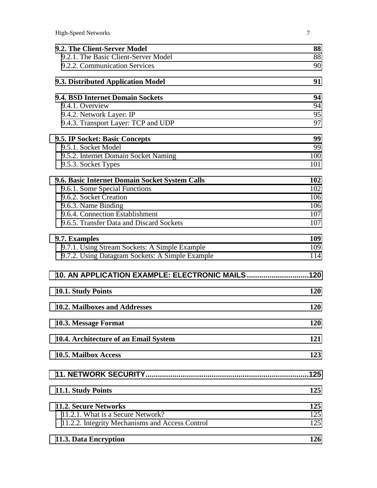| High-Speed Networks |  |
|---------------------|--|
|                     |  |

| 9.2. The Client-Server Model                                                | 88         |
|-----------------------------------------------------------------------------|------------|
| 9.2.1. The Basic Client-Server Model                                        | 88         |
| 9.2.2. Communication Services                                               | 90         |
| 9.3. Distributed Application Model                                          | 91         |
| 9.4. BSD Internet Domain Sockets                                            | 94         |
| 9.4.1. Overview                                                             | 94         |
| 9.4.2. Network Layer: IP                                                    | 95         |
| 9.4.3. Transport Layer: TCP and UDP                                         | 97         |
| 9.5. IP Socket: Basic Concepts                                              | 99         |
| 9.5.1. Socket Model                                                         | 99         |
| 9.5.2. Internet Domain Socket Naming                                        | 100        |
| 9.5.3. Socket Types                                                         | 101        |
|                                                                             |            |
| 9.6. Basic Internet Domain Socket System Calls                              | <b>102</b> |
| 9.6.1. Some Special Functions                                               | 102        |
| 9.6.2. Socket Creation                                                      | 106        |
| 9.6.3. Name Binding                                                         | 106        |
| 9.6.4. Connection Establishment<br>9.6.5. Transfer Data and Discard Sockets | 107        |
|                                                                             | 107        |
| 9.7. Examples                                                               | 109        |
| 9.7.1. Using Stream Sockets: A Simple Example                               | 109        |
| 9.7.2. Using Datagram Sockets: A Simple Example                             | 114        |
| 10. AN APPLICATION EXAMPLE: ELECTRONIC MAILS                                | .120       |
| 10.1. Study Points                                                          | <b>120</b> |
| 10.2. Mailboxes and Addresses                                               | <b>120</b> |
| 10.3. Message Format                                                        | <b>120</b> |
| 10.4. Architecture of an Email System                                       | 121        |
| 10.5. Mailbox Access                                                        | <b>123</b> |
|                                                                             |            |
| 11.1. Study Points                                                          | 125        |
| <b>11.2. Secure Networks</b>                                                | 125        |
| 11.2.1. What is a Secure Network?                                           | 125        |
| 11.2.2. Integrity Mechanisms and Access Control                             | 125        |
| 11.3. Data Encryption                                                       | 126        |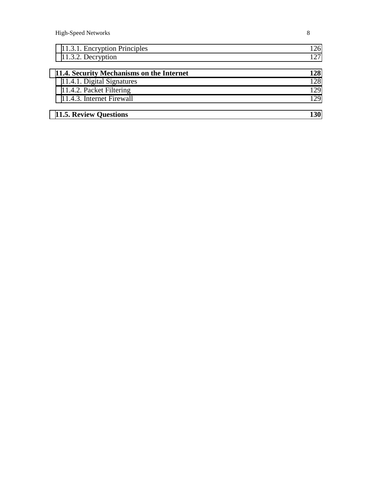| <b>High-Speed Networks</b>                | 8          |
|-------------------------------------------|------------|
| 11.3.1. Encryption Principles             | 126        |
| 11.3.2. Decryption                        | 127        |
| 11.4. Security Mechanisms on the Internet | 128        |
| 11.4.1. Digital Signatures                | 128        |
| 11.4.2. Packet Filtering                  | 129        |
| 11.4.3. Internet Firewall                 | 129        |
| <b>11.5. Review Questions</b>             | <b>130</b> |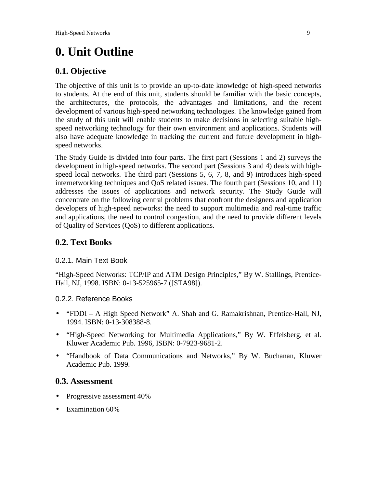# <span id="page-8-0"></span>**0. Unit Outline**

# **0.1. Objective**

The objective of this unit is to provide an up-to-date knowledge of high-speed networks to students. At the end of this unit, students should be familiar with the basic concepts, the architectures, the protocols, the advantages and limitations, and the recent development of various high-speed networking technologies. The knowledge gained from the study of this unit will enable students to make decisions in selecting suitable highspeed networking technology for their own environment and applications. Students will also have adequate knowledge in tracking the current and future development in highspeed networks.

The Study Guide is divided into four parts. The first part (Sessions 1 and 2) surveys the development in high-speed networks. The second part (Sessions 3 and 4) deals with highspeed local networks. The third part (Sessions 5, 6, 7, 8, and 9) introduces high-speed internetworking techniques and QoS related issues. The fourth part (Sessions 10, and 11) addresses the issues of applications and network security. The Study Guide will concentrate on the following central problems that confront the designers and application developers of high-speed networks: the need to support multimedia and real-time traffic and applications, the need to control congestion, and the need to provide different levels of Quality of Services (QoS) to different applications.

### **0.2. Text Books**

#### 0.2.1. Main Text Book

"High-Speed Networks: TCP/IP and ATM Design Principles," By W. Stallings, Prentice-Hall, NJ, 1998. ISBN: 0-13-525965-7 ([STA98]).

#### 0.2.2. Reference Books

- "FDDI A High Speed Network" A. Shah and G. Ramakrishnan, Prentice-Hall, NJ, 1994. ISBN: 0-13-308388-8.
- "High-Speed Networking for Multimedia Applications," By W. Effelsberg, et al. Kluwer Academic Pub. 1996, ISBN: 0-7923-9681-2.
- "Handbook of Data Communications and Networks," By W. Buchanan, Kluwer Academic Pub. 1999.

#### **0.3. Assessment**

- Progressive assessment 40%
- Examination 60%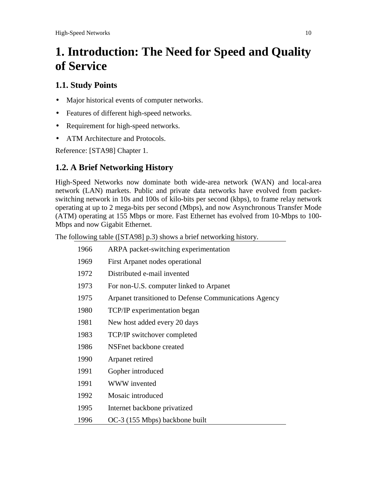# <span id="page-9-0"></span>**1. Introduction: The Need for Speed and Quality of Service**

# **1.1. Study Points**

- Major historical events of computer networks.
- Features of different high-speed networks.
- Requirement for high-speed networks.
- ATM Architecture and Protocols.

Reference: [STA98] Chapter 1.

# **1.2. A Brief Networking History**

High-Speed Networks now dominate both wide-area network (WAN) and local-area network (LAN) markets. Public and private data networks have evolved from packetswitching network in 10s and 100s of kilo-bits per second (kbps), to frame relay network operating at up to 2 mega-bits per second (Mbps), and now Asynchronous Transfer Mode (ATM) operating at 155 Mbps or more. Fast Ethernet has evolved from 10-Mbps to 100- Mbps and now Gigabit Ethernet.

The following table ([STA98] p.3) shows a brief networking history.

| 1966 | ARPA packet-switching experimentation                 |
|------|-------------------------------------------------------|
| 1969 | First Arpanet nodes operational                       |
| 1972 | Distributed e-mail invented                           |
| 1973 | For non-U.S. computer linked to Arpanet               |
| 1975 | Arpanet transitioned to Defense Communications Agency |
| 1980 | TCP/IP experimentation began                          |
| 1981 | New host added every 20 days                          |
| 1983 | TCP/IP switchover completed                           |
| 1986 | NSFnet backbone created                               |
| 1990 | Arpanet retired                                       |
| 1991 | Gopher introduced                                     |
| 1991 | <b>WWW</b> invented                                   |
| 1992 | Mosaic introduced                                     |
| 1995 | Internet backbone privatized                          |
| 1996 | OC-3 (155 Mbps) backbone built                        |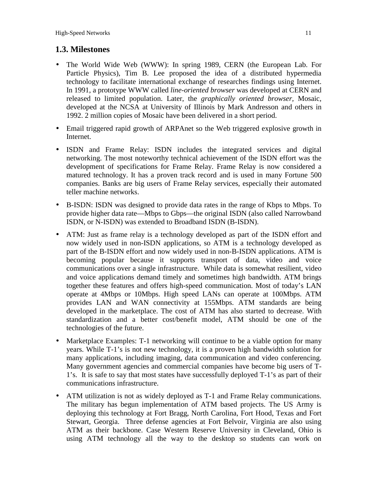# <span id="page-10-0"></span>**1.3. Milestones**

- The World Wide Web (WWW): In spring 1989, CERN (the European Lab. For Particle Physics), Tim B. Lee proposed the idea of a distributed hypermedia technology to facilitate international exchange of researches findings using Internet. In 1991, a prototype WWW called *line-oriented browser* was developed at CERN and released to limited population. Later, the *graphically oriented browser,* Mosaic, developed at the NCSA at University of Illinois by Mark Andresson and others in 1992. 2 million copies of Mosaic have been delivered in a short period.
- Email triggered rapid growth of ARPAnet so the Web triggered explosive growth in Internet.
- ISDN and Frame Relay: ISDN includes the integrated services and digital networking. The most noteworthy technical achievement of the ISDN effort was the development of specifications for Frame Relay. Frame Relay is now considered a matured technology. It has a proven track record and is used in many Fortune 500 companies. Banks are big users of Frame Relay services, especially their automated teller machine networks.
- B-ISDN: ISDN was designed to provide data rates in the range of Kbps to Mbps. To provide higher data rate—Mbps to Gbps—the original ISDN (also called Narrowband ISDN, or N-ISDN) was extended to Broadband ISDN (B-ISDN).
- ATM: Just as frame relay is a technology developed as part of the ISDN effort and now widely used in non-ISDN applications, so ATM is a technology developed as part of the B-ISDN effort and now widely used in non-B-ISDN applications. ATM is becoming popular because it supports transport of data, video and voice communications over a single infrastructure. While data is somewhat resilient, video and voice applications demand timely and sometimes high bandwidth. ATM brings together these features and offers high-speed communication. Most of today's LAN operate at 4Mbps or 10Mbps. High speed LANs can operate at 100Mbps. ATM provides LAN and WAN connectivity at 155Mbps. ATM standards are being developed in the marketplace. The cost of ATM has also started to decrease. With standardization and a better cost/benefit model, ATM should be one of the technologies of the future.
- Marketplace Examples: T-1 networking will continue to be a viable option for many years. While T-1's is not new technology, it is a proven high bandwidth solution for many applications, including imaging, data communication and video conferencing. Many government agencies and commercial companies have become big users of T-1's. It is safe to say that most states have successfully deployed T-1's as part of their communications infrastructure.
- ATM utilization is not as widely deployed as T-1 and Frame Relay communications. The military has begun implementation of ATM based projects. The US Army is deploying this technology at Fort Bragg, North Carolina, Fort Hood, Texas and Fort Stewart, Georgia. Three defense agencies at Fort Belvoir, Virginia are also using ATM as their backbone. Case Western Reserve University in Cleveland, Ohio is using ATM technology all the way to the desktop so students can work on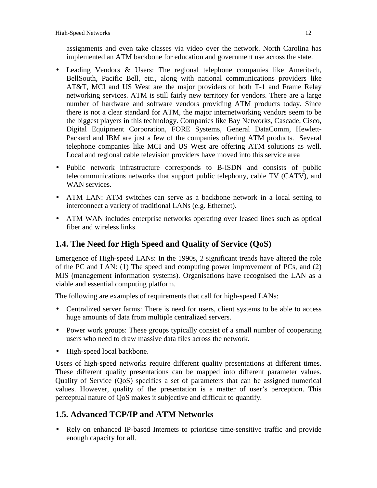<span id="page-11-0"></span>assignments and even take classes via video over the network. North Carolina has implemented an ATM backbone for education and government use across the state.

- Leading Vendors & Users: The regional telephone companies like Ameritech, BellSouth, Pacific Bell, etc., along with national communications providers like AT&T, MCI and US West are the major providers of both T-1 and Frame Relay networking services. ATM is still fairly new territory for vendors. There are a large number of hardware and software vendors providing ATM products today. Since there is not a clear standard for ATM, the major internetworking vendors seem to be the biggest players in this technology. Companies like Bay Networks, Cascade, Cisco, Digital Equipment Corporation, FORE Systems, General DataComm, Hewlett-Packard and IBM are just a few of the companies offering ATM products. Several telephone companies like MCI and US West are offering ATM solutions as well. Local and regional cable television providers have moved into this service area
- Public network infrastructure corresponds to B-ISDN and consists of public telecommunications networks that support public telephony, cable TV (CATV), and WAN services.
- ATM LAN: ATM switches can serve as a backbone network in a local setting to interconnect a variety of traditional LANs (e.g. Ethernet).
- ATM WAN includes enterprise networks operating over leased lines such as optical fiber and wireless links.

# **1.4. The Need for High Speed and Quality of Service (QoS)**

Emergence of High-speed LANs: In the 1990s, 2 significant trends have altered the role of the PC and LAN: (1) The speed and computing power improvement of PCs, and (2) MIS (management information systems). Organisations have recognised the LAN as a viable and essential computing platform.

The following are examples of requirements that call for high-speed LANs:

- Centralized server farms: There is need for users, client systems to be able to access huge amounts of data from multiple centralized servers.
- Power work groups: These groups typically consist of a small number of cooperating users who need to draw massive data files across the network.
- High-speed local backbone.

Users of high-speed networks require different quality presentations at different times. These different quality presentations can be mapped into different parameter values. Quality of Service (QoS) specifies a set of parameters that can be assigned numerical values. However, quality of the presentation is a matter of user's perception. This perceptual nature of QoS makes it subjective and difficult to quantify.

# **1.5. Advanced TCP/IP and ATM Networks**

• Rely on enhanced IP-based Internets to prioritise time-sensitive traffic and provide enough capacity for all.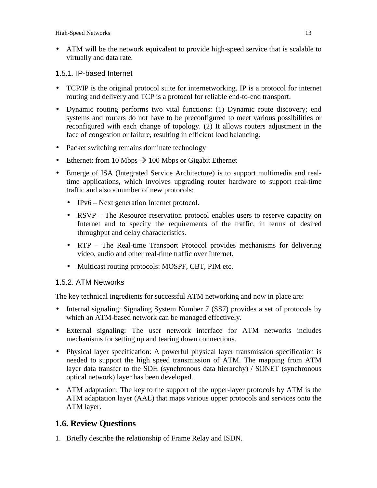<span id="page-12-0"></span>• ATM will be the network equivalent to provide high-speed service that is scalable to virtually and data rate.

#### 1.5.1. IP-based Internet

- TCP/IP is the original protocol suite for internetworking. IP is a protocol for internet routing and delivery and TCP is a protocol for reliable end-to-end transport.
- Dynamic routing performs two vital functions: (1) Dynamic route discovery; end systems and routers do not have to be preconfigured to meet various possibilities or reconfigured with each change of topology. (2) It allows routers adjustment in the face of congestion or failure, resulting in efficient load balancing.
- Packet switching remains dominate technology
- Ethernet: from 10 Mbps  $\rightarrow$  100 Mbps or Gigabit Ethernet
- Emerge of ISA (Integrated Service Architecture) is to support multimedia and realtime applications, which involves upgrading router hardware to support real-time traffic and also a number of new protocols:
	- IPv6 Next generation Internet protocol.
	- RSVP The Resource reservation protocol enables users to reserve capacity on Internet and to specify the requirements of the traffic, in terms of desired throughput and delay characteristics.
	- RTP The Real-time Transport Protocol provides mechanisms for delivering video, audio and other real-time traffic over Internet.
	- Multicast routing protocols: MOSPF, CBT, PIM etc.

#### 1.5.2. ATM Networks

The key technical ingredients for successful ATM networking and now in place are:

- Internal signaling: Signaling System Number 7 (SS7) provides a set of protocols by which an ATM-based network can be managed effectively.
- External signaling: The user network interface for ATM networks includes mechanisms for setting up and tearing down connections.
- Physical layer specification: A powerful physical layer transmission specification is needed to support the high speed transmission of ATM. The mapping from ATM layer data transfer to the SDH (synchronous data hierarchy) / SONET (synchronous optical network) layer has been developed.
- ATM adaptation: The key to the support of the upper-layer protocols by ATM is the ATM adaptation layer (AAL) that maps various upper protocols and services onto the ATM layer.

# **1.6. Review Questions**

1. Briefly describe the relationship of Frame Relay and ISDN.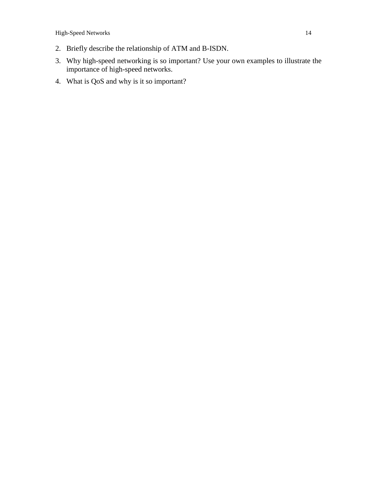High-Speed Networks 14

- 2. Briefly describe the relationship of ATM and B-ISDN.
- 3. Why high-speed networking is so important? Use your own examples to illustrate the importance of high-speed networks.
- 4. What is QoS and why is it so important?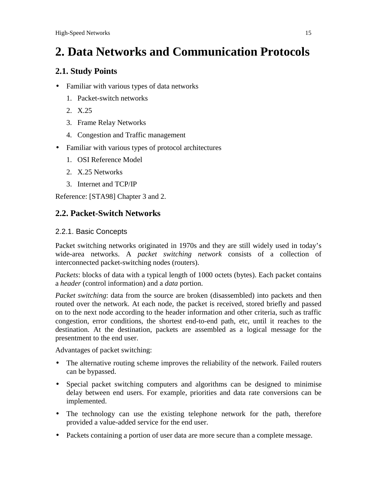# <span id="page-14-0"></span>**2. Data Networks and Communication Protocols**

# **2.1. Study Points**

- Familiar with various types of data networks
	- 1. Packet-switch networks
	- 2. X.25
	- 3. Frame Relay Networks
	- 4. Congestion and Traffic management
- Familiar with various types of protocol architectures
	- 1. OSI Reference Model
	- 2. X.25 Networks
	- 3. Internet and TCP/IP

Reference: [STA98] Chapter 3 and 2.

# **2.2. Packet-Switch Networks**

#### 2.2.1. Basic Concepts

Packet switching networks originated in 1970s and they are still widely used in today's wide-area networks. A *packet switching network* consists of a collection of interconnected packet-switching nodes (routers).

*Packets*: blocks of data with a typical length of 1000 octets (bytes). Each packet contains a *header* (control information) and a *data* portion.

*Packet switching*: data from the source are broken (disassembled) into packets and then routed over the network. At each node, the packet is received, stored briefly and passed on to the next node according to the header information and other criteria, such as traffic congestion, error conditions, the shortest end-to-end path, etc, until it reaches to the destination. At the destination, packets are assembled as a logical message for the presentment to the end user.

Advantages of packet switching:

- The alternative routing scheme improves the reliability of the network. Failed routers can be bypassed.
- Special packet switching computers and algorithms can be designed to minimise delay between end users. For example, priorities and data rate conversions can be implemented.
- The technology can use the existing telephone network for the path, therefore provided a value-added service for the end user.
- Packets containing a portion of user data are more secure than a complete message.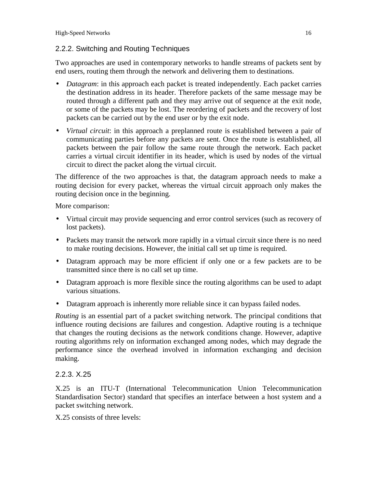#### <span id="page-15-0"></span>2.2.2. Switching and Routing Techniques

Two approaches are used in contemporary networks to handle streams of packets sent by end users, routing them through the network and delivering them to destinations.

- *Datagram*: in this approach each packet is treated independently. Each packet carries the destination address in its header. Therefore packets of the same message may be routed through a different path and they may arrive out of sequence at the exit node, or some of the packets may be lost. The reordering of packets and the recovery of lost packets can be carried out by the end user or by the exit node.
- *Virtual circuit*: in this approach a preplanned route is established between a pair of communicating parties before any packets are sent. Once the route is established, all packets between the pair follow the same route through the network. Each packet carries a virtual circuit identifier in its header, which is used by nodes of the virtual circuit to direct the packet along the virtual circuit.

The difference of the two approaches is that, the datagram approach needs to make a routing decision for every packet, whereas the virtual circuit approach only makes the routing decision once in the beginning.

More comparison:

- Virtual circuit may provide sequencing and error control services (such as recovery of lost packets).
- Packets may transit the network more rapidly in a virtual circuit since there is no need to make routing decisions. However, the initial call set up time is required.
- Datagram approach may be more efficient if only one or a few packets are to be transmitted since there is no call set up time.
- Datagram approach is more flexible since the routing algorithms can be used to adapt various situations.
- Datagram approach is inherently more reliable since it can bypass failed nodes.

*Routing* is an essential part of a packet switching network. The principal conditions that influence routing decisions are failures and congestion. Adaptive routing is a technique that changes the routing decisions as the network conditions change. However, adaptive routing algorithms rely on information exchanged among nodes, which may degrade the performance since the overhead involved in information exchanging and decision making.

#### 2.2.3. X.25

X.25 is an ITU-T (International Telecommunication Union Telecommunication Standardisation Sector) standard that specifies an interface between a host system and a packet switching network.

X.25 consists of three levels: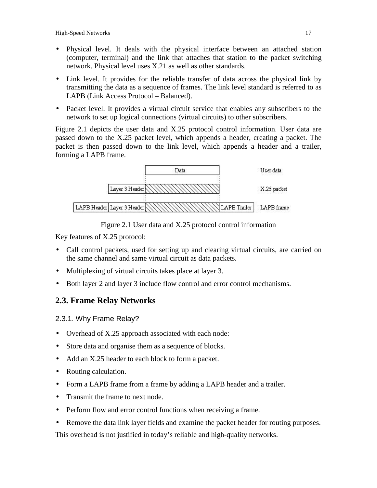<span id="page-16-0"></span>High-Speed Networks 17

- Physical level. It deals with the physical interface between an attached station (computer, terminal) and the link that attaches that station to the packet switching network. Physical level uses X.21 as well as other standards.
- Link level. It provides for the reliable transfer of data across the physical link by transmitting the data as a sequence of frames. The link level standard is referred to as LAPB (Link Access Protocol – Balanced).
- Packet level. It provides a virtual circuit service that enables any subscribers to the network to set up logical connections (virtual circuits) to other subscribers.

Figure 2.1 depicts the user data and X.25 protocol control information. User data are passed down to the X.25 packet level, which appends a header, creating a packet. The packet is then passed down to the link level, which appends a header and a trailer, forming a LAPB frame.



Figure 2.1 User data and X.25 protocol control information

Key features of X.25 protocol:

- Call control packets, used for setting up and clearing virtual circuits, are carried on the same channel and same virtual circuit as data packets.
- Multiplexing of virtual circuits takes place at layer 3.
- Both layer 2 and layer 3 include flow control and error control mechanisms.

# **2.3. Frame Relay Networks**

2.3.1. Why Frame Relay?

- Overhead of X.25 approach associated with each node:
- Store data and organise them as a sequence of blocks.
- Add an X.25 header to each block to form a packet.
- Routing calculation.
- Form a LAPB frame from a frame by adding a LAPB header and a trailer.
- Transmit the frame to next node.
- Perform flow and error control functions when receiving a frame.
- Remove the data link layer fields and examine the packet header for routing purposes.

This overhead is not justified in today's reliable and high-quality networks.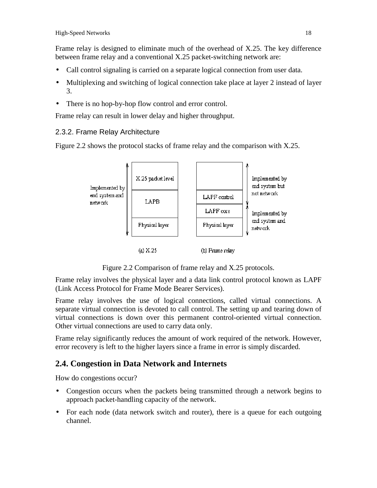<span id="page-17-0"></span>Frame relay is designed to eliminate much of the overhead of X.25. The key difference between frame relay and a conventional X.25 packet-switching network are:

- Call control signaling is carried on a separate logical connection from user data.
- Multiplexing and switching of logical connection take place at layer 2 instead of layer 3.
- There is no hop-by-hop flow control and error control.

Frame relay can result in lower delay and higher throughput.

#### 2.3.2. Frame Relay Architecture

Figure 2.2 shows the protocol stacks of frame relay and the comparison with X.25.



Figure 2.2 Comparison of frame relay and X.25 protocols.

Frame relay involves the physical layer and a data link control protocol known as LAPF (Link Access Protocol for Frame Mode Bearer Services).

Frame relay involves the use of logical connections, called virtual connections. A separate virtual connection is devoted to call control. The setting up and tearing down of virtual connections is down over this permanent control-oriented virtual connection. Other virtual connections are used to carry data only.

Frame relay significantly reduces the amount of work required of the network. However, error recovery is left to the higher layers since a frame in error is simply discarded.

# **2.4. Congestion in Data Network and Internets**

How do congestions occur?

- Congestion occurs when the packets being transmitted through a network begins to approach packet-handling capacity of the network.
- For each node (data network switch and router), there is a queue for each outgoing channel.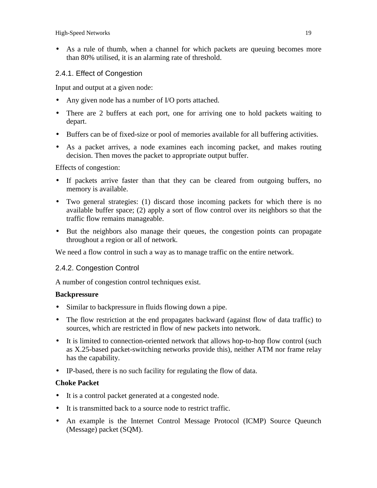<span id="page-18-0"></span>• As a rule of thumb, when a channel for which packets are queuing becomes more than 80% utilised, it is an alarming rate of threshold.

#### 2.4.1. Effect of Congestion

Input and output at a given node:

- Any given node has a number of I/O ports attached.
- There are 2 buffers at each port, one for arriving one to hold packets waiting to depart.
- Buffers can be of fixed-size or pool of memories available for all buffering activities.
- As a packet arrives, a node examines each incoming packet, and makes routing decision. Then moves the packet to appropriate output buffer.

Effects of congestion:

- If packets arrive faster than that they can be cleared from outgoing buffers, no memory is available.
- Two general strategies: (1) discard those incoming packets for which there is no available buffer space; (2) apply a sort of flow control over its neighbors so that the traffic flow remains manageable.
- But the neighbors also manage their queues, the congestion points can propagate throughout a region or all of network.

We need a flow control in such a way as to manage traffic on the entire network.

#### 2.4.2. Congestion Control

A number of congestion control techniques exist.

#### **Backpressure**

- Similar to backpressure in fluids flowing down a pipe.
- The flow restriction at the end propagates backward (against flow of data traffic) to sources, which are restricted in flow of new packets into network.
- It is limited to connection-oriented network that allows hop-to-hop flow control (such as X.25-based packet-switching networks provide this), neither ATM nor frame relay has the capability.
- IP-based, there is no such facility for regulating the flow of data.

#### **Choke Packet**

- It is a control packet generated at a congested node.
- It is transmitted back to a source node to restrict traffic.
- An example is the Internet Control Message Protocol (ICMP) Source Oueunch (Message) packet (SQM).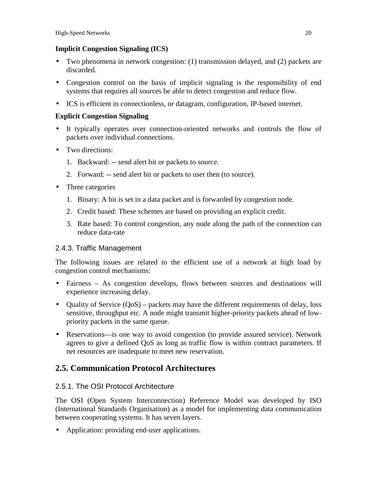#### <span id="page-19-0"></span>**Implicit Congestion Signaling (ICS)**

- Two phenomena in network congestion: (1) transmission delayed, and (2) packets are discarded.
- Congestion control on the basis of implicit signaling is the responsibility of end systems that requires all sources be able to detect congestion and reduce flow.
- ICS is efficient in connectionless, or datagram, configuration, IP-based internet.

#### **Explicit Congestion Signaling**

- It typically operates over connection-oriented networks and controls the flow of packets over individual connections.
- Two directions:
	- 1. Backward: -- send alert bit or packets to source.
	- 2. Forward: -- send alert bit or packets to user then (to source).
- Three categories
	- 1. Binary: A bit is set in a data packet and is forwarded by congestion node.
	- 2. Credit based: These schemes are based on providing an explicit credit.
	- 3. Rate based: To control congestion, any node along the path of the connection can reduce data-rate

#### 2.4.3. Traffic Management

The following issues are related to the efficient use of a network at high load by congestion control mechanisms:

- Fairness As congestion develops, flows between sources and destinations will experience increasing delay.
- Quality of Service  $(QoS)$  packets may have the different requirements of delay, loss sensitive, throughput etc. A node might transmit higher-priority packets ahead of lowpriority packets in the same queue.
- Reservations—is one way to avoid congestion (to provide assured service). Network agrees to give a defined QoS as long as traffic flow is within contract parameters. If net resources are inadequate to meet new reservation.

# **2.5. Communication Protocol Architectures**

#### 2.5.1. The OSI Protocol Architecture

The OSI (Open System Interconnection) Reference Model was developed by ISO (International Standards Organisation) as a model for implementing data communication between cooperating systems. It has seven layers.

• Application: providing end-user applications.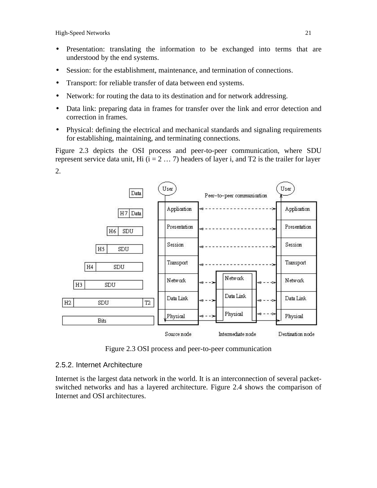<span id="page-20-0"></span>High-Speed Networks 21

- Presentation: translating the information to be exchanged into terms that are understood by the end systems.
- Session: for the establishment, maintenance, and termination of connections.
- Transport: for reliable transfer of data between end systems.
- Network: for routing the data to its destination and for network addressing.
- Data link: preparing data in frames for transfer over the link and error detection and correction in frames.
- Physical: defining the electrical and mechanical standards and signaling requirements for establishing, maintaining, and terminating connections.

Figure 2.3 depicts the OSI process and peer-to-peer communication, where SDU represent service data unit, Hi  $(i = 2 ... 7)$  headers of layer i, and T2 is the trailer for layer 2.



Figure 2.3 OSI process and peer-to-peer communication

#### 2.5.2. Internet Architecture

Internet is the largest data network in the world. It is an interconnection of several packetswitched networks and has a layered architecture. Figure 2.4 shows the comparison of Internet and OSI architectures.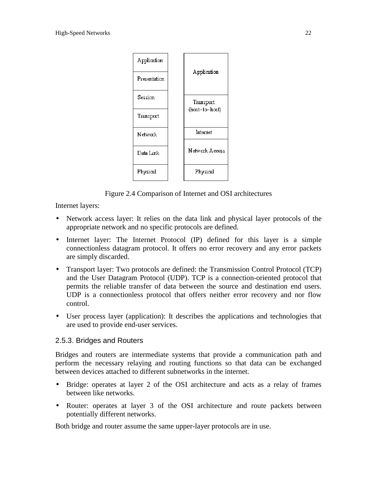<span id="page-21-0"></span>

Figure 2.4 Comparison of Internet and OSI architectures

Internet layers:

- Network access layer: It relies on the data link and physical layer protocols of the appropriate network and no specific protocols are defined.
- Internet layer: The Internet Protocol (IP) defined for this layer is a simple connectionless datagram protocol. It offers no error recovery and any error packets are simply discarded.
- Transport layer: Two protocols are defined: the Transmission Control Protocol (TCP) and the User Datagram Protocol (UDP). TCP is a connection-oriented protocol that permits the reliable transfer of data between the source and destination end users. UDP is a connectionless protocol that offers neither error recovery and nor flow control.
- User process layer (application): It describes the applications and technologies that are used to provide end-user services.

#### 2.5.3. Bridges and Routers

Bridges and routers are intermediate systems that provide a communication path and perform the necessary relaying and routing functions so that data can be exchanged between devices attached to different subnetworks in the internet.

- Bridge: operates at layer 2 of the OSI architecture and acts as a relay of frames between like networks.
- Router: operates at layer 3 of the OSI architecture and route packets between potentially different networks.

Both bridge and router assume the same upper-layer protocols are in use.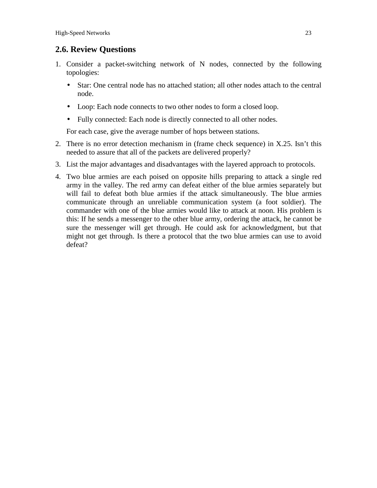#### <span id="page-22-0"></span>**2.6. Review Questions**

- 1. Consider a packet-switching network of N nodes, connected by the following topologies:
	- Star: One central node has no attached station; all other nodes attach to the central node.
	- Loop: Each node connects to two other nodes to form a closed loop.
	- Fully connected: Each node is directly connected to all other nodes.

For each case, give the average number of hops between stations.

- 2. There is no error detection mechanism in (frame check sequence) in X.25. Isn't this needed to assure that all of the packets are delivered properly?
- 3. List the major advantages and disadvantages with the layered approach to protocols.
- 4. Two blue armies are each poised on opposite hills preparing to attack a single red army in the valley. The red army can defeat either of the blue armies separately but will fail to defeat both blue armies if the attack simultaneously. The blue armies communicate through an unreliable communication system (a foot soldier). The commander with one of the blue armies would like to attack at noon. His problem is this: If he sends a messenger to the other blue army, ordering the attack, he cannot be sure the messenger will get through. He could ask for acknowledgment, but that might not get through. Is there a protocol that the two blue armies can use to avoid defeat?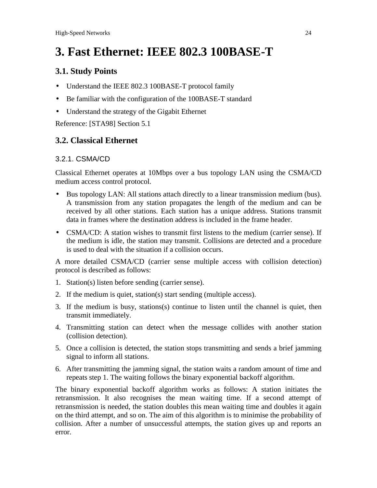# <span id="page-23-0"></span>**3. Fast Ethernet: IEEE 802.3 100BASE-T**

### **3.1. Study Points**

- Understand the IEEE 802.3 100BASE-T protocol family
- Be familiar with the configuration of the 100BASE-T standard
- Understand the strategy of the Gigabit Ethernet

Reference: [STA98] Section 5.1

### **3.2. Classical Ethernet**

#### 3.2.1. CSMA/CD

Classical Ethernet operates at 10Mbps over a bus topology LAN using the CSMA/CD medium access control protocol.

- Bus topology LAN: All stations attach directly to a linear transmission medium (bus). A transmission from any station propagates the length of the medium and can be received by all other stations. Each station has a unique address. Stations transmit data in frames where the destination address is included in the frame header.
- CSMA/CD: A station wishes to transmit first listens to the medium (carrier sense). If the medium is idle, the station may transmit. Collisions are detected and a procedure is used to deal with the situation if a collision occurs.

A more detailed CSMA/CD (carrier sense multiple access with collision detection) protocol is described as follows:

- 1. Station(s) listen before sending (carrier sense).
- 2. If the medium is quiet, station(s) start sending (multiple access).
- 3. If the medium is busy, stations(s) continue to listen until the channel is quiet, then transmit immediately.
- 4. Transmitting station can detect when the message collides with another station (collision detection).
- 5. Once a collision is detected, the station stops transmitting and sends a brief jamming signal to inform all stations.
- 6. After transmitting the jamming signal, the station waits a random amount of time and repeats step 1. The waiting follows the binary exponential backoff algorithm.

The binary exponential backoff algorithm works as follows: A station initiates the retransmission. It also recognises the mean waiting time. If a second attempt of retransmission is needed, the station doubles this mean waiting time and doubles it again on the third attempt, and so on. The aim of this algorithm is to minimise the probability of collision. After a number of unsuccessful attempts, the station gives up and reports an error.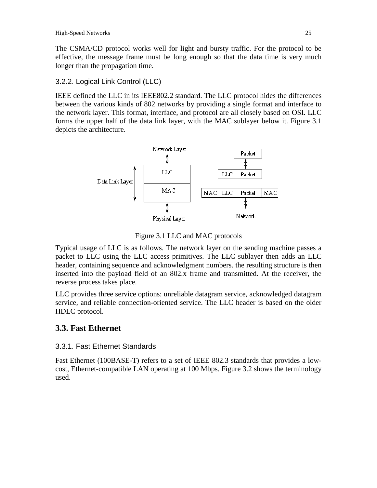<span id="page-24-0"></span>The CSMA/CD protocol works well for light and bursty traffic. For the protocol to be effective, the message frame must be long enough so that the data time is very much longer than the propagation time.

#### 3.2.2. Logical Link Control (LLC)

IEEE defined the LLC in its IEEE802.2 standard. The LLC protocol hides the differences between the various kinds of 802 networks by providing a single format and interface to the network layer. This format, interface, and protocol are all closely based on OSI. LLC forms the upper half of the data link layer, with the MAC sublayer below it. Figure 3.1 depicts the architecture.



Figure 3.1 LLC and MAC protocols

Typical usage of LLC is as follows. The network layer on the sending machine passes a packet to LLC using the LLC access primitives. The LLC sublayer then adds an LLC header, containing sequence and acknowledgment numbers. the resulting structure is then inserted into the payload field of an 802.x frame and transmitted. At the receiver, the reverse process takes place.

LLC provides three service options: unreliable datagram service, acknowledged datagram service, and reliable connection-oriented service. The LLC header is based on the older HDLC protocol.

#### **3.3. Fast Ethernet**

#### 3.3.1. Fast Ethernet Standards

Fast Ethernet (100BASE-T) refers to a set of IEEE 802.3 standards that provides a lowcost, Ethernet-compatible LAN operating at 100 Mbps. Figure 3.2 shows the terminology used.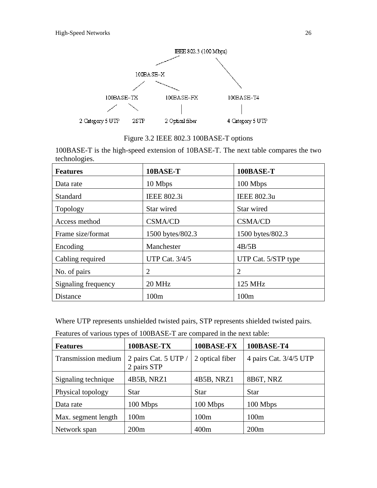

Figure 3.2 IEEE 802.3 100BASE-T options

100BASE-T is the high-speed extension of 10BASE-T. The next table compares the two technologies.

| <b>Features</b>     | 10BASE-T              | 100BASE-T           |
|---------------------|-----------------------|---------------------|
| Data rate           | 10 Mbps               | 100 Mbps            |
| Standard            | <b>IEEE 802.3i</b>    | <b>IEEE 802.3u</b>  |
| Topology            | Star wired            | Star wired          |
| Access method       | <b>CSMA/CD</b>        | <b>CSMA/CD</b>      |
| Frame size/format   | 1500 bytes/802.3      | 1500 bytes/802.3    |
| Encoding            | Manchester            | 4B/5B               |
| Cabling required    | <b>UTP Cat. 3/4/5</b> | UTP Cat. 5/STP type |
| No. of pairs        | $\overline{2}$        | 2                   |
| Signaling frequency | 20 MHz                | 125 MHz             |
| Distance            | 100m                  | 100m                |

Where UTP represents unshielded twisted pairs, STP represents shielded twisted pairs.

| Features of various types of 100BASE-T are compared in the next table: |  |
|------------------------------------------------------------------------|--|
|------------------------------------------------------------------------|--|

| <b>Features</b>     | 100BASE-TX                          | 100BASE-FX      | <b>100BASE-T4</b>      |
|---------------------|-------------------------------------|-----------------|------------------------|
| Transmission medium | 2 pairs Cat. 5 UTP /<br>2 pairs STP | 2 optical fiber | 4 pairs Cat. 3/4/5 UTP |
| Signaling technique | 4B5B, NRZ1                          | 4B5B, NRZ1      | 8B6T, NRZ              |
| Physical topology   | <b>Star</b>                         | <b>Star</b>     | <b>Star</b>            |
| Data rate           | 100 Mbps                            | 100 Mbps        | 100 Mbps               |
| Max. segment length | 100m                                | 100m            | 100m                   |
| Network span        | 200m                                | 400m            | 200m                   |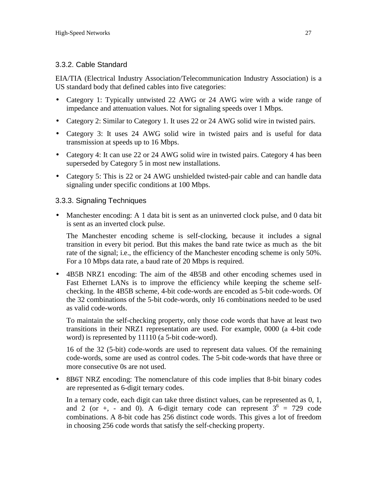#### <span id="page-26-0"></span>3.3.2. Cable Standard

EIA/TIA (Electrical Industry Association/Telecommunication Industry Association) is a US standard body that defined cables into five categories:

- Category 1: Typically untwisted 22 AWG or 24 AWG wire with a wide range of impedance and attenuation values. Not for signaling speeds over 1 Mbps.
- Category 2: Similar to Category 1. It uses 22 or 24 AWG solid wire in twisted pairs.
- Category 3: It uses 24 AWG solid wire in twisted pairs and is useful for data transmission at speeds up to 16 Mbps.
- Category 4: It can use 22 or 24 AWG solid wire in twisted pairs. Category 4 has been superseded by Category 5 in most new installations.
- Category 5: This is 22 or 24 AWG unshielded twisted-pair cable and can handle data signaling under specific conditions at 100 Mbps.

#### 3.3.3. Signaling Techniques

• Manchester encoding: A 1 data bit is sent as an uninverted clock pulse, and 0 data bit is sent as an inverted clock pulse.

The Manchester encoding scheme is self-clocking, because it includes a signal transition in every bit period. But this makes the band rate twice as much as the bit rate of the signal; i.e., the efficiency of the Manchester encoding scheme is only 50%. For a 10 Mbps data rate, a baud rate of 20 Mbps is required.

• 4B5B NRZ1 encoding: The aim of the 4B5B and other encoding schemes used in Fast Ethernet LANs is to improve the efficiency while keeping the scheme selfchecking. In the 4B5B scheme, 4-bit code-words are encoded as 5-bit code-words. Of the 32 combinations of the 5-bit code-words, only 16 combinations needed to be used as valid code-words.

To maintain the self-checking property, only those code words that have at least two transitions in their NRZ1 representation are used. For example, 0000 (a 4-bit code word) is represented by 11110 (a 5-bit code-word).

16 of the 32 (5-bit) code-words are used to represent data values. Of the remaining code-words, some are used as control codes. The 5-bit code-words that have three or more consecutive 0s are not used.

• 8B6T NRZ encoding: The nomenclature of this code implies that 8-bit binary codes are represented as 6-digit ternary codes.

In a ternary code, each digit can take three distinct values, can be represented as 0, 1, and 2 (or  $+$ ,  $-$  and 0). A 6-digit ternary code can represent  $3^6 = 729$  code combinations. A 8-bit code has 256 distinct code words. This gives a lot of freedom in choosing 256 code words that satisfy the self-checking property.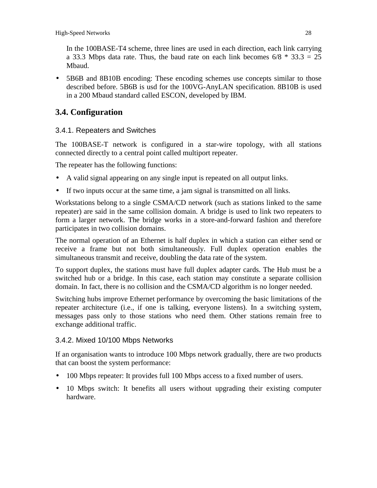<span id="page-27-0"></span>In the 100BASE-T4 scheme, three lines are used in each direction, each link carrying a 33.3 Mbps data rate. Thus, the baud rate on each link becomes  $6/8 * 33.3 = 25$ Mbaud.

• 5B6B and 8B10B encoding: These encoding schemes use concepts similar to those described before. 5B6B is usd for the 100VG-AnyLAN specification. 8B10B is used in a 200 Mbaud standard called ESCON, developed by IBM.

# **3.4. Configuration**

#### 3.4.1. Repeaters and Switches

The 100BASE-T network is configured in a star-wire topology, with all stations connected directly to a central point called multiport repeater.

The repeater has the following functions:

- A valid signal appearing on any single input is repeated on all output links.
- If two inputs occur at the same time, a jam signal is transmitted on all links.

Workstations belong to a single CSMA/CD network (such as stations linked to the same repeater) are said in the same collision domain. A bridge is used to link two repeaters to form a larger network. The bridge works in a store-and-forward fashion and therefore participates in two collision domains.

The normal operation of an Ethernet is half duplex in which a station can either send or receive a frame but not both simultaneously. Full duplex operation enables the simultaneous transmit and receive, doubling the data rate of the system.

To support duplex, the stations must have full duplex adapter cards. The Hub must be a switched hub or a bridge. In this case, each station may constitute a separate collision domain. In fact, there is no collision and the CSMA/CD algorithm is no longer needed.

Switching hubs improve Ethernet performance by overcoming the basic limitations of the repeater architecture (i.e., if one is talking, everyone listens). In a switching system, messages pass only to those stations who need them. Other stations remain free to exchange additional traffic.

#### 3.4.2. Mixed 10/100 Mbps Networks

If an organisation wants to introduce 100 Mbps network gradually, there are two products that can boost the system performance:

- 100 Mbps repeater: It provides full 100 Mbps access to a fixed number of users.
- 10 Mbps switch: It benefits all users without upgrading their existing computer hardware.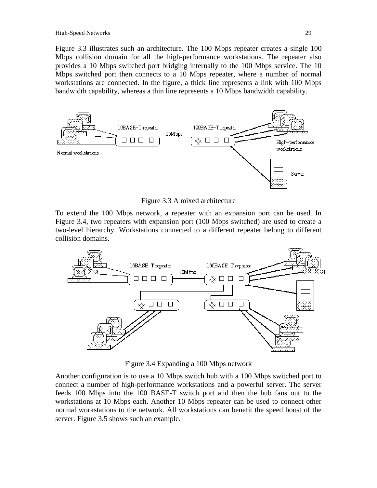Figure 3.3 illustrates such an architecture. The 100 Mbps repeater creates a single 100 Mbps collision domain for all the high-performance workstations. The repeater also provides a 10 Mbps switched port bridging internally to the 100 Mbps service. The 10 Mbps switched port then connects to a 10 Mbps repeater, where a number of normal workstations are connected. In the figure, a thick line represents a link with 100 Mbps bandwidth capability, whereas a thin line represents a 10 Mbps bandwidth capability.



Figure 3.3 A mixed architecture

To extend the 100 Mbps network, a repeater with an expansion port can be used. In Figure 3.4, two repeaters with expansion port (100 Mbps switched) are used to create a two-level hierarchy. Workstations connected to a different repeater belong to different collision domains.



Figure 3.4 Expanding a 100 Mbps network

Another configuration is to use a 10 Mbps switch hub with a 100 Mbps switched port to connect a number of high-performance workstations and a powerful server. The server feeds 100 Mbps into the 100 BASE-T switch port and then the hub fans out to the workstations at 10 Mbps each. Another 10 Mbps repeater can be used to connect other normal workstations to the network. All workstations can benefit the speed boost of the server. Figure 3.5 shows such an example.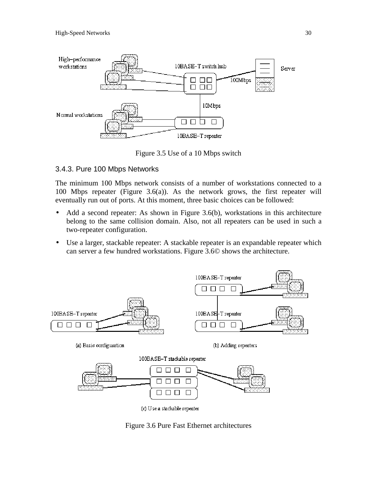<span id="page-29-0"></span>

Figure 3.5 Use of a 10 Mbps switch

#### 3.4.3. Pure 100 Mbps Networks

The minimum 100 Mbps network consists of a number of workstations connected to a 100 Mbps repeater (Figure 3.6(a)). As the network grows, the first repeater will eventually run out of ports. At this moment, three basic choices can be followed:

- Add a second repeater: As shown in Figure 3.6(b), workstations in this architecture belong to the same collision domain. Also, not all repeaters can be used in such a two-repeater configuration.
- Use a larger, stackable repeater: A stackable repeater is an expandable repeater which can server a few hundred workstations. Figure 3.6© shows the architecture.



Figure 3.6 Pure Fast Ethernet architectures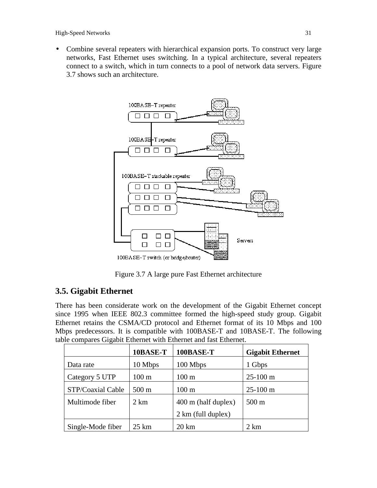<span id="page-30-0"></span>High-Speed Networks 31

• Combine several repeaters with hierarchical expansion ports. To construct very large networks, Fast Ethernet uses switching. In a typical architecture, several repeaters connect to a switch, which in turn connects to a pool of network data servers. Figure 3.7 shows such an architecture.



Figure 3.7 A large pure Fast Ethernet architecture

#### **3.5. Gigabit Ethernet**

There has been considerate work on the development of the Gigabit Ethernet concept since 1995 when IEEE 802.3 committee formed the high-speed study group. Gigabit Ethernet retains the CSMA/CD protocol and Ethernet format of its 10 Mbps and 100 Mbps predecessors. It is compatible with 100BASE-T and 10BASE-T. The following table compares Gigabit Ethernet with Ethernet and fast Ethernet.

|                   | 10BASE-T        | 100BASE-T                    | <b>Gigabit Ethernet</b> |
|-------------------|-----------------|------------------------------|-------------------------|
| Data rate         | 10 Mbps         | 100 Mbps                     | 1 Gbps                  |
| Category 5 UTP    | 100 m           | $100 \text{ m}$              | $25-100$ m              |
| STP/Coaxial Cable | $500 \text{ m}$ | 100 <sub>m</sub>             | $25-100$ m              |
| Multimode fiber   | $2 \text{ km}$  | 400 m (half duplex)          | $500 \text{ m}$         |
|                   |                 | $2 \text{ km}$ (full duplex) |                         |
| Single-Mode fiber | $25 \text{ km}$ | $20 \mathrm{km}$             | 2 km                    |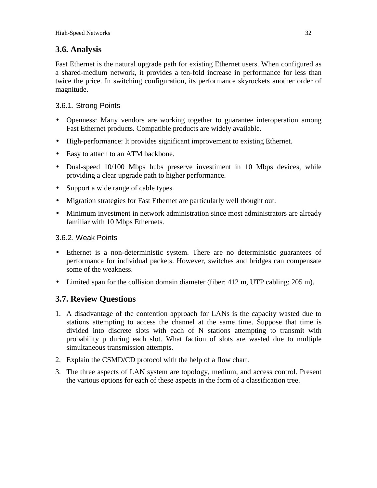# <span id="page-31-0"></span>**3.6. Analysis**

Fast Ethernet is the natural upgrade path for existing Ethernet users. When configured as a shared-medium network, it provides a ten-fold increase in performance for less than twice the price. In switching configuration, its performance skyrockets another order of magnitude.

#### 3.6.1. Strong Points

- Openness: Many vendors are working together to guarantee interoperation among Fast Ethernet products. Compatible products are widely available.
- High-performance: It provides significant improvement to existing Ethernet.
- Easy to attach to an ATM backbone.
- Dual-speed 10/100 Mbps hubs preserve investiment in 10 Mbps devices, while providing a clear upgrade path to higher performance.
- Support a wide range of cable types.
- Migration strategies for Fast Ethernet are particularly well thought out.
- Minimum investment in network administration since most administrators are already familiar with 10 Mbps Ethernets.

#### 3.6.2. Weak Points

- Ethernet is a non-deterministic system. There are no deterministic guarantees of performance for individual packets. However, switches and bridges can compensate some of the weakness.
- Limited span for the collision domain diameter (fiber: 412 m, UTP cabling: 205 m).

# **3.7. Review Questions**

- 1. A disadvantage of the contention approach for LANs is the capacity wasted due to stations attempting to access the channel at the same time. Suppose that time is divided into discrete slots with each of N stations attempting to transmit with probability p during each slot. What faction of slots are wasted due to multiple simultaneous transmission attempts.
- 2. Explain the CSMD/CD protocol with the help of a flow chart.
- 3. The three aspects of LAN system are topology, medium, and access control. Present the various options for each of these aspects in the form of a classification tree.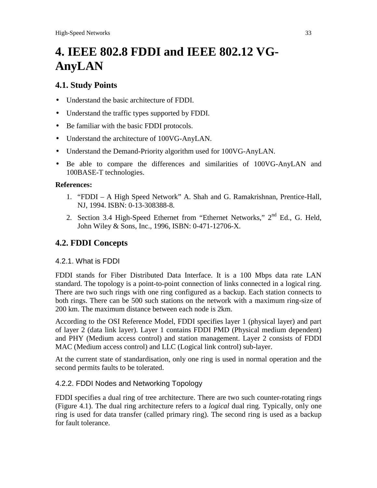# <span id="page-32-0"></span>**4. IEEE 802.8 FDDI and IEEE 802.12 VG-AnyLAN**

# **4.1. Study Points**

- Understand the basic architecture of FDDI.
- Understand the traffic types supported by FDDI.
- Be familiar with the basic FDDI protocols.
- Understand the architecture of 100VG-AnyLAN.
- Understand the Demand-Priority algorithm used for 100VG-AnyLAN.
- Be able to compare the differences and similarities of 100VG-AnyLAN and 100BASE-T technologies.

#### **References:**

- 1. "FDDI A High Speed Network" A. Shah and G. Ramakrishnan, Prentice-Hall, NJ, 1994. ISBN: 0-13-308388-8.
- 2. Section 3.4 High-Speed Ethernet from "Ethernet Networks," 2<sup>nd</sup> Ed., G. Held, John Wiley & Sons, Inc., 1996, ISBN: 0-471-12706-X.

# **4.2. FDDI Concepts**

#### 4.2.1. What is FDDI

FDDI stands for Fiber Distributed Data Interface. It is a 100 Mbps data rate LAN standard. The topology is a point-to-point connection of links connected in a logical ring. There are two such rings with one ring configured as a backup. Each station connects to both rings. There can be 500 such stations on the network with a maximum ring-size of 200 km. The maximum distance between each node is 2km.

According to the OSI Reference Model, FDDI specifies layer 1 (physical layer) and part of layer 2 (data link layer). Layer 1 contains FDDI PMD (Physical medium dependent) and PHY (Medium access control) and station management. Layer 2 consists of FDDI MAC (Medium access control) and LLC (Logical link control) sub-layer.

At the current state of standardisation, only one ring is used in normal operation and the second permits faults to be tolerated.

#### 4.2.2. FDDI Nodes and Networking Topology

FDDI specifies a dual ring of tree architecture. There are two such counter-rotating rings (Figure 4.1). The dual ring architecture refers to a *logical* dual ring. Typically, only one ring is used for data transfer (called primary ring). The second ring is used as a backup for fault tolerance.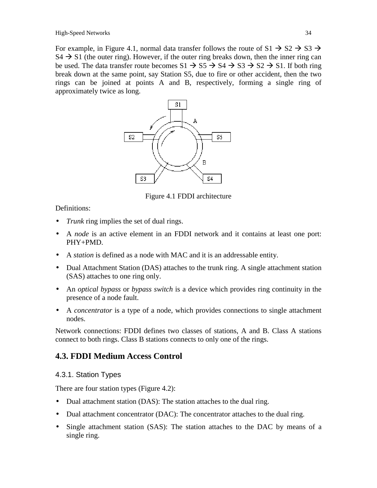<span id="page-33-0"></span>For example, in Figure 4.1, normal data transfer follows the route of  $S1 \rightarrow S2 \rightarrow S3 \rightarrow$  $S4 \rightarrow S1$  (the outer ring). However, if the outer ring breaks down, then the inner ring can be used. The data transfer route becomes  $S1 \rightarrow S5 \rightarrow S4 \rightarrow S3 \rightarrow S2 \rightarrow S1$ . If both ring break down at the same point, say Station S5, due to fire or other accident, then the two rings can be joined at points A and B, respectively, forming a single ring of approximately twice as long.



Figure 4.1 FDDI architecture

Definitions:

- *Trunk* ring implies the set of dual rings.
- A *node* is an active element in an FDDI network and it contains at least one port: PHY+PMD.
- A *station* is defined as a node with MAC and it is an addressable entity.
- Dual Attachment Station (DAS) attaches to the trunk ring. A single attachment station (SAS) attaches to one ring only.
- An *optical bypass* or *bypass switch* is a device which provides ring continuity in the presence of a node fault.
- A *concentrator* is a type of a node, which provides connections to single attachment nodes.

Network connections: FDDI defines two classes of stations, A and B. Class A stations connect to both rings. Class B stations connects to only one of the rings.

#### **4.3. FDDI Medium Access Control**

#### 4.3.1. Station Types

There are four station types (Figure 4.2):

- Dual attachment station (DAS): The station attaches to the dual ring.
- Dual attachment concentrator (DAC): The concentrator attaches to the dual ring.
- Single attachment station (SAS): The station attaches to the DAC by means of a single ring.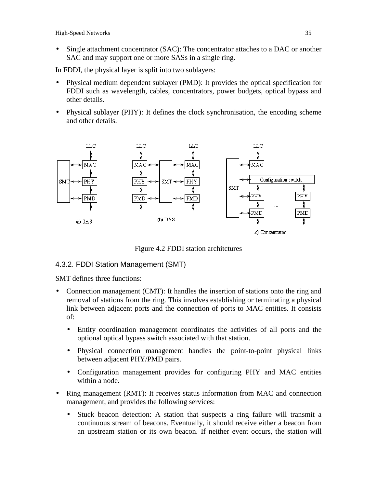<span id="page-34-0"></span>• Single attachment concentrator (SAC): The concentrator attaches to a DAC or another SAC and may support one or more SASs in a single ring.

In FDDI, the physical layer is split into two sublayers:

- Physical medium dependent sublayer (PMD): It provides the optical specification for FDDI such as wavelength, cables, concentrators, power budgets, optical bypass and other details.
- Physical sublayer (PHY): It defines the clock synchronisation, the encoding scheme and other details.



Figure 4.2 FDDI station architctures

#### 4.3.2. FDDI Station Management (SMT)

SMT defines three functions:

- Connection management (CMT): It handles the insertion of stations onto the ring and removal of stations from the ring. This involves establishing or terminating a physical link between adjacent ports and the connection of ports to MAC entities. It consists of:
	- Entity coordination management coordinates the activities of all ports and the optional optical bypass switch associated with that station.
	- Physical connection management handles the point-to-point physical links between adjacent PHY/PMD pairs.
	- Configuration management provides for configuring PHY and MAC entities within a node.
- Ring management (RMT): It receives status information from MAC and connection management, and provides the following services:
	- Stuck beacon detection: A station that suspects a ring failure will transmit a continuous stream of beacons. Eventually, it should receive either a beacon from an upstream station or its own beacon. If neither event occurs, the station will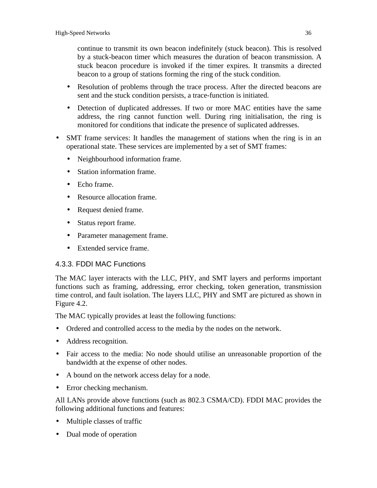<span id="page-35-0"></span>continue to transmit its own beacon indefinitely (stuck beacon). This is resolved by a stuck-beacon timer which measures the duration of beacon transmission. A stuck beacon procedure is invoked if the timer expires. It transmits a directed beacon to a group of stations forming the ring of the stuck condition.

- Resolution of problems through the trace process. After the directed beacons are sent and the stuck condition persists, a trace-function is initiated.
- Detection of duplicated addresses. If two or more MAC entities have the same address, the ring cannot function well. During ring initialisation, the ring is monitored for conditions that indicate the presence of suplicated addresses.
- SMT frame services: It handles the management of stations when the ring is in an operational state. These services are implemented by a set of SMT frames:
	- Neighbourhood information frame.
	- Station information frame.
	- Echo frame.
	- Resource allocation frame.
	- Request denied frame.
	- Status report frame.
	- Parameter management frame.
	- Extended service frame.

#### 4.3.3. FDDI MAC Functions

The MAC layer interacts with the LLC, PHY, and SMT layers and performs important functions such as framing, addressing, error checking, token generation, transmission time control, and fault isolation. The layers LLC, PHY and SMT are pictured as shown in Figure 4.2.

The MAC typically provides at least the following functions:

- Ordered and controlled access to the media by the nodes on the network.
- Address recognition.
- Fair access to the media: No node should utilise an unreasonable proportion of the bandwidth at the expense of other nodes.
- A bound on the network access delay for a node.
- Error checking mechanism.

All LANs provide above functions (such as 802.3 CSMA/CD). FDDI MAC provides the following additional functions and features:

- Multiple classes of traffic
- Dual mode of operation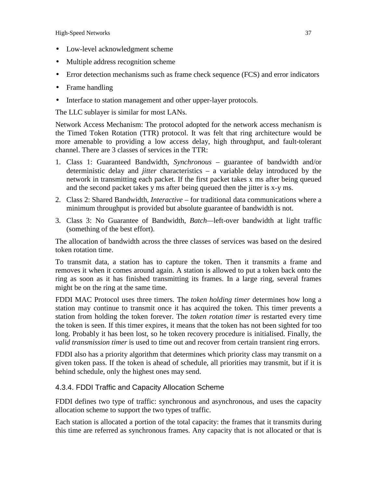- Low-level acknowledgment scheme
- Multiple address recognition scheme
- Error detection mechanisms such as frame check sequence (FCS) and error indicators
- Frame handling
- Interface to station management and other upper-layer protocols.

The LLC sublayer is similar for most LANs.

Network Access Mechanism: The protocol adopted for the network access mechanism is the Timed Token Rotation (TTR) protocol. It was felt that ring architecture would be more amenable to providing a low access delay, high throughput, and fault-tolerant channel. There are 3 classes of services in the TTR:

- 1. Class 1: Guaranteed Bandwidth, *Synchronous –* guarantee of bandwidth and/or deterministic delay and *jitter* characteristics – a variable delay introduced by the network in transmitting each packet. If the first packet takes x ms after being queued and the second packet takes y ms after being queued then the jitter is x-y ms.
- 2. Class 2: Shared Bandwidth, *Interactive* for traditional data communications where a minimum throughput is provided but absolute guarantee of bandwidth is not.
- 3. Class 3: No Guarantee of Bandwidth, *Batch—*left-over bandwidth at light traffic (something of the best effort).

The allocation of bandwidth across the three classes of services was based on the desired token rotation time.

To transmit data, a station has to capture the token. Then it transmits a frame and removes it when it comes around again. A station is allowed to put a token back onto the ring as soon as it has finished transmitting its frames. In a large ring, several frames might be on the ring at the same time.

FDDI MAC Protocol uses three timers. The *token holding timer* determines how long a station may continue to transmit once it has acquired the token. This timer prevents a station from holding the token forever. The *token rotation timer* is restarted every time the token is seen. If this timer expires, it means that the token has not been sighted for too long. Probably it has been lost, so he token recovery procedure is initialised. Finally, the *valid transmission timer* is used to time out and recover from certain transient ring errors.

FDDI also has a priority algorithm that determines which priority class may transmit on a given token pass. If the token is ahead of schedule, all priorities may transmit, but if it is behind schedule, only the highest ones may send.

#### 4.3.4. FDDI Traffic and Capacity Allocation Scheme

FDDI defines two type of traffic: synchronous and asynchronous, and uses the capacity allocation scheme to support the two types of traffic.

Each station is allocated a portion of the total capacity: the frames that it transmits during this time are referred as synchronous frames. Any capacity that is not allocated or that is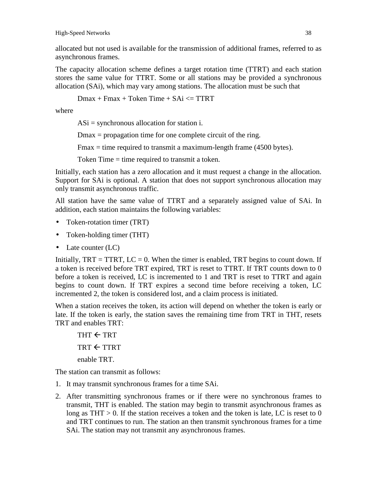High-Speed Networks 38

allocated but not used is available for the transmission of additional frames, referred to as asynchronous frames.

The capacity allocation scheme defines a target rotation time (TTRT) and each station stores the same value for TTRT. Some or all stations may be provided a synchronous allocation (SAi), which may vary among stations. The allocation must be such that

 $Dmax + Fmax + Token Time + SAi \leq TTRT$ 

where

 $ASi =$  synchronous allocation for station i.

Dmax = propagation time for one complete circuit of the ring.

Fmax = time required to transmit a maximum-length frame (4500 bytes).

Token Time = time required to transmit a token.

Initially, each station has a zero allocation and it must request a change in the allocation. Support for SAi is optional. A station that does not support synchronous allocation may only transmit asynchronous traffic.

All station have the same value of TTRT and a separately assigned value of SAi. In addition, each station maintains the following variables:

- Token-rotation timer (TRT)
- Token-holding timer (THT)
- Late counter (LC)

Initially,  $TRT = TTRT$ ,  $LC = 0$ . When the timer is enabled, TRT begins to count down. If a token is received before TRT expired, TRT is reset to TTRT. If TRT counts down to 0 before a token is received, LC is incremented to 1 and TRT is reset to TTRT and again begins to count down. If TRT expires a second time before receiving a token, LC incremented 2, the token is considered lost, and a claim process is initiated.

When a station receives the token, its action will depend on whether the token is early or late. If the token is early, the station saves the remaining time from TRT in THT, resets TRT and enables TRT:

 $THT \leftarrow TRT$  $TRT \leftarrow TTRT$ enable TRT.

The station can transmit as follows:

- 1. It may transmit synchronous frames for a time SAi.
- 2. After transmitting synchronous frames or if there were no synchronous frames to transmit, THT is enabled. The station may begin to transmit asynchronous frames as long as THT  $> 0$ . If the station receives a token and the token is late, LC is reset to 0 and TRT continues to run. The station an then transmit synchronous frames for a time SAi. The station may not transmit any asynchronous frames.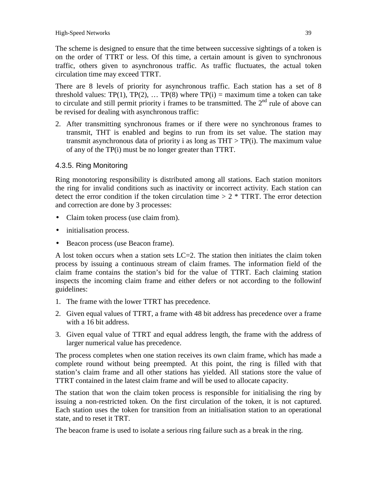The scheme is designed to ensure that the time between successive sightings of a token is on the order of TTRT or less. Of this time, a certain amount is given to synchronous traffic, others given to asynchronous traffic. As traffic fluctuates, the actual token circulation time may exceed TTRT.

There are 8 levels of priority for asynchronous traffic. Each station has a set of 8 threshold values: TP(1), TP(2), ... TP(8) where  $TP(i) =$  maximum time a token can take to circulate and still permit priority i frames to be transmitted. The  $2<sup>nd</sup>$  rule of above can be revised for dealing with asynchronous traffic:

2. After transmitting synchronous frames or if there were no synchronous frames to transmit, THT is enabled and begins to run from its set value. The station may transmit asynchronous data of priority i as long as  $THT > TP(i)$ . The maximum value of any of the TP(i) must be no longer greater than TTRT.

#### 4.3.5. Ring Monitoring

Ring monotoring responsibility is distributed among all stations. Each station monitors the ring for invalid conditions such as inactivity or incorrect activity. Each station can detect the error condition if the token circulation time  $> 2$  \* TTRT. The error detection and correction are done by 3 processes:

- Claim token process (use claim from).
- initialisation process.
- Beacon process (use Beacon frame).

A lost token occurs when a station sets  $LC=2$ . The station then initiates the claim token process by issuing a continuous stream of claim frames. The information field of the claim frame contains the station's bid for the value of TTRT. Each claiming station inspects the incoming claim frame and either defers or not according to the followinf guidelines:

- 1. The frame with the lower TTRT has precedence.
- 2. Given equal values of TTRT, a frame with 48 bit address has precedence over a frame with a 16 bit address.
- 3. Given equal value of TTRT and equal address length, the frame with the address of larger numerical value has precedence.

The process completes when one station receives its own claim frame, which has made a complete round without being preempted. At this point, the ring is filled with that station's claim frame and all other stations has yielded. All stations store the value of TTRT contained in the latest claim frame and will be used to allocate capacity.

The station that won the claim token process is responsible for initialising the ring by issuing a non-restricted token. On the first circulation of the token, it is not captured. Each station uses the token for transition from an initialisation station to an operational state, and to reset it TRT.

The beacon frame is used to isolate a serious ring failure such as a break in the ring.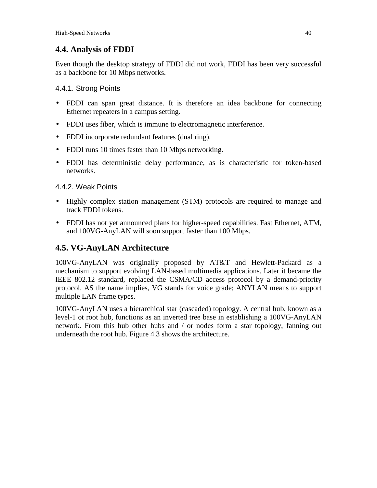## **4.4. Analysis of FDDI**

Even though the desktop strategy of FDDI did not work, FDDI has been very successful as a backbone for 10 Mbps networks.

#### 4.4.1. Strong Points

- FDDI can span great distance. It is therefore an idea backbone for connecting Ethernet repeaters in a campus setting.
- FDDI uses fiber, which is immune to electromagnetic interference.
- FDDI incorporate redundant features (dual ring).
- FDDI runs 10 times faster than 10 Mbps networking.
- FDDI has deterministic delay performance, as is characteristic for token-based networks.

#### 4.4.2. Weak Points

- Highly complex station management (STM) protocols are required to manage and track FDDI tokens.
- FDDI has not yet announced plans for higher-speed capabilities. Fast Ethernet, ATM, and 100VG-AnyLAN will soon support faster than 100 Mbps.

## **4.5. VG-AnyLAN Architecture**

100VG-AnyLAN was originally proposed by AT&T and Hewlett-Packard as a mechanism to support evolving LAN-based multimedia applications. Later it became the IEEE 802.12 standard, replaced the CSMA/CD access protocol by a demand-priority protocol. AS the name implies, VG stands for voice grade; ANYLAN means to support multiple LAN frame types.

100VG-AnyLAN uses a hierarchical star (cascaded) topology. A central hub, known as a level-1 ot root hub, functions as an inverted tree base in establishing a 100VG-AnyLAN network. From this hub other hubs and / or nodes form a star topology, fanning out underneath the root hub. Figure 4.3 shows the architecture.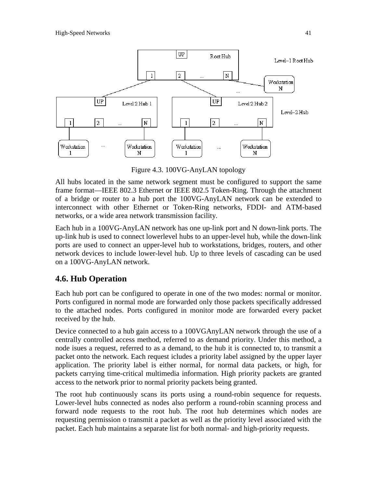

Figure 4.3. 100VG-AnyLAN topology

All hubs located in the same network segment must be configured to support the same frame format—IEEE 802.3 Ethernet or IEEE 802.5 Token-Ring. Through the attachment of a bridge or router to a hub port the 100VG-AnyLAN network can be extended to interconnect with other Ethernet or Token-Ring networks, FDDI- and ATM-based networks, or a wide area network transmission facility.

Each hub in a 100VG-AnyLAN network has one up-link port and N down-link ports. The up-link hub is used to connect lowerlevel hubs to an upper-level hub, while the down-link ports are used to connect an upper-level hub to workstations, bridges, routers, and other network devices to include lower-level hub. Up to three levels of cascading can be used on a 100VG-AnyLAN network.

## **4.6. Hub Operation**

Each hub port can be configured to operate in one of the two modes: normal or monitor. Ports configured in normal mode are forwarded only those packets specifically addressed to the attached nodes. Ports configured in monitor mode are forwarded every packet received by the hub.

Device connected to a hub gain access to a 100VGAnyLAN network through the use of a centrally controlled access method, referred to as demand priority. Under this method, a node isues a request, referred to as a demand, to the hub it is connected to, to transmit a packet onto the network. Each request icludes a priority label assigned by the upper layer application. The priority label is either normal, for normal data packets, or high, for packets carrying time-critical multimedia information. High priority packets are granted access to the network prior to normal priority packets being granted.

The root hub continuously scans its ports using a round-robin sequence for requests. Lower-level hubs connected as nodes also perform a round-robin scanning process and forward node requests to the root hub. The root hub determines which nodes are requesting permission o transmit a packet as well as the priority level associated with the packet. Each hub maintains a separate list for both normal- and high-priority requests.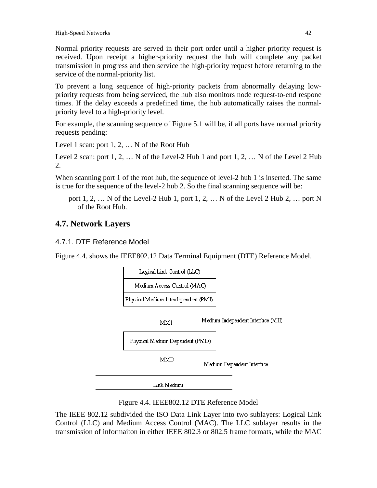Normal priority requests are served in their port order until a higher priority request is received. Upon receipt a higher-priority request the hub will complete any packet transmission in progress and then service the high-priority request before returning to the service of the normal-priority list.

To prevent a long sequence of high-priority packets from abnormally delaying lowpriority requests from being serviced, the hub also monitors node request-to-end respone times. If the delay exceeds a predefined time, the hub automatically raises the normalpriority level to a high-priority level.

For example, the scanning sequence of Figure 5.1 will be, if all ports have normal priority requests pending:

Level 1 scan: port 1, 2, … N of the Root Hub

Level 2 scan: port 1, 2, … N of the Level-2 Hub 1 and port 1, 2, … N of the Level 2 Hub 2.

When scanning port 1 of the root hub, the sequence of level-2 hub 1 is inserted. The same is true for the sequence of the level-2 hub 2. So the final scanning sequence will be:

port 1, 2, … N of the Level-2 Hub 1, port 1, 2, … N of the Level 2 Hub 2, … port N of the Root Hub.

### **4.7. Network Layers**

#### 4.7.1. DTE Reference Model

Figure 4.4. shows the IEEE802.12 Data Terminal Equipment (DTE) Reference Model.



#### Figure 4.4. IEEE802.12 DTE Reference Model

The IEEE 802.12 subdivided the ISO Data Link Layer into two sublayers: Logical Link Control (LLC) and Medium Access Control (MAC). The LLC sublayer results in the transmission of informaiton in either IEEE 802.3 or 802.5 frame formats, while the MAC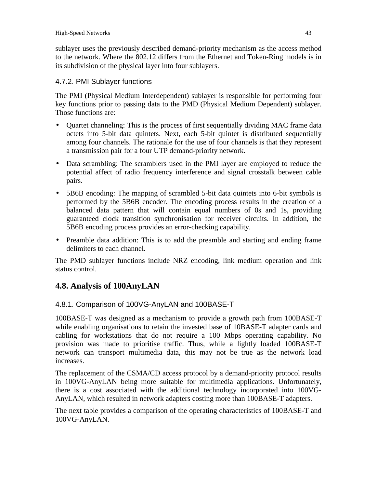sublayer uses the previously described demand-priority mechanism as the access method to the network. Where the 802.12 differs from the Ethernet and Token-Ring models is in its subdivision of the physical layer into four sublayers.

#### 4.7.2. PMI Sublayer functions

The PMI (Physical Medium Interdependent) sublayer is responsible for performing four key functions prior to passing data to the PMD (Physical Medium Dependent) sublayer. Those functions are:

- Quartet channeling: This is the process of first sequentially dividing MAC frame data octets into 5-bit data quintets. Next, each 5-bit quintet is distributed sequentially among four channels. The rationale for the use of four channels is that they represent a transmission pair for a four UTP demand-priority network.
- Data scrambling: The scramblers used in the PMI layer are employed to reduce the potential affect of radio frequency interference and signal crosstalk between cable pairs.
- 5B6B encoding: The mapping of scrambled 5-bit data quintets into 6-bit symbols is performed by the 5B6B encoder. The encoding process results in the creation of a balanced data pattern that will contain equal numbers of 0s and 1s, providing guaranteed clock transition synchronisation for receiver circuits. In addition, the 5B6B encoding process provides an error-checking capability.
- Preamble data addition: This is to add the preamble and starting and ending frame delimiters to each channel.

The PMD sublayer functions include NRZ encoding, link medium operation and link status control.

## **4.8. Analysis of 100AnyLAN**

#### 4.8.1. Comparison of 100VG-AnyLAN and 100BASE-T

100BASE-T was designed as a mechanism to provide a growth path from 100BASE-T while enabling organisations to retain the invested base of 10BASE-T adapter cards and cabling for workstations that do not require a 100 Mbps operating capability. No provision was made to prioritise traffic. Thus, while a lightly loaded 100BASE-T network can transport multimedia data, this may not be true as the network load increases.

The replacement of the CSMA/CD access protocol by a demand-priority protocol results in 100VG-AnyLAN being more suitable for multimedia applications. Unfortunately, there is a cost associated with the additional technology incorporated into 100VG-AnyLAN, which resulted in network adapters costing more than 100BASE-T adapters.

The next table provides a comparison of the operating characteristics of 100BASE-T and 100VG-AnyLAN.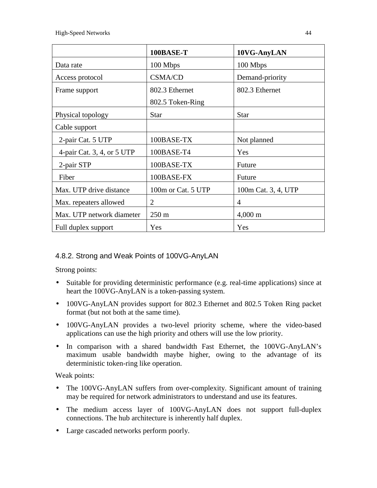|                            | 100BASE-T          | 10VG-AnyLAN           |  |
|----------------------------|--------------------|-----------------------|--|
| Data rate                  | 100 Mbps           | 100 Mbps              |  |
| Access protocol            | <b>CSMA/CD</b>     | Demand-priority       |  |
| Frame support              | 802.3 Ethernet     | 802.3 Ethernet        |  |
|                            | 802.5 Token-Ring   |                       |  |
| Physical topology          | <b>Star</b>        | <b>Star</b>           |  |
| Cable support              |                    |                       |  |
| 2-pair Cat. 5 UTP          | 100BASE-TX         | Not planned           |  |
| 4-pair Cat. 3, 4, or 5 UTP | 100BASE-T4         | Yes                   |  |
| 2-pair STP                 | 100BASE-TX         | Future                |  |
| Fiber                      | 100BASE-FX         | Future                |  |
| Max. UTP drive distance    | 100m or Cat. 5 UTP | 100m Cat. 3, 4, UTP   |  |
| Max. repeaters allowed     | $\overline{2}$     | 4                     |  |
| Max. UTP network diameter  | $250 \text{ m}$    | $4,000 \; \mathrm{m}$ |  |
| Full duplex support        | Yes                | Yes                   |  |

#### 4.8.2. Strong and Weak Points of 100VG-AnyLAN

Strong points:

- Suitable for providing deterministic performance (e.g. real-time applications) since at heart the 100VG-AnyLAN is a token-passing system.
- 100VG-AnyLAN provides support for 802.3 Ethernet and 802.5 Token Ring packet format (but not both at the same time).
- 100VG-AnyLAN provides a two-level priority scheme, where the video-based applications can use the high priority and others will use the low priority.
- In comparison with a shared bandwidth Fast Ethernet, the 100VG-AnyLAN's maximum usable bandwidth maybe higher, owing to the advantage of its deterministic token-ring like operation.

Weak points:

- The 100VG-AnyLAN suffers from over-complexity. Significant amount of training may be required for network administrators to understand and use its features.
- The medium access layer of 100VG-AnyLAN does not support full-duplex connections. The hub architecture is inherently half duplex.
- Large cascaded networks perform poorly.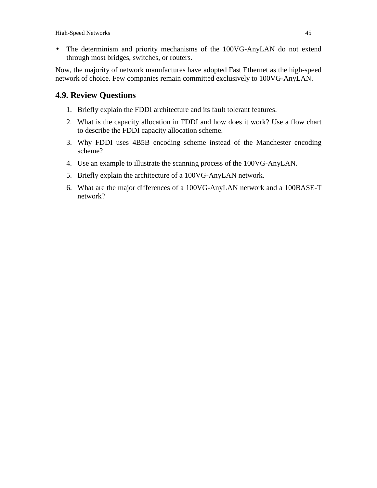• The determinism and priority mechanisms of the 100VG-AnyLAN do not extend through most bridges, switches, or routers.

Now, the majority of network manufactures have adopted Fast Ethernet as the high-speed network of choice. Few companies remain committed exclusively to 100VG-AnyLAN.

#### **4.9. Review Questions**

- 1. Briefly explain the FDDI architecture and its fault tolerant features.
- 2. What is the capacity allocation in FDDI and how does it work? Use a flow chart to describe the FDDI capacity allocation scheme.
- 3. Why FDDI uses 4B5B encoding scheme instead of the Manchester encoding scheme?
- 4. Use an example to illustrate the scanning process of the 100VG-AnyLAN.
- 5. Briefly explain the architecture of a 100VG-AnyLAN network.
- 6. What are the major differences of a 100VG-AnyLAN network and a 100BASE-T network?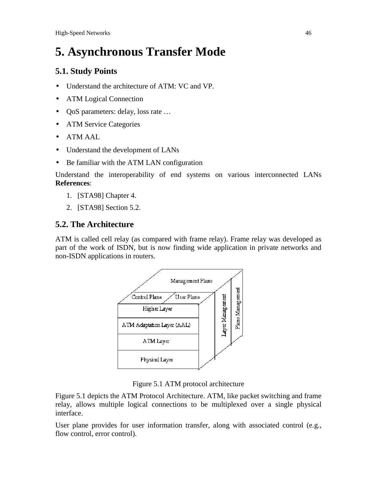## **5. Asynchronous Transfer Mode**

### **5.1. Study Points**

- Understand the architecture of ATM: VC and VP.
- ATM Logical Connection
- QoS parameters: delay, loss rate ...
- ATM Service Categories
- ATM AAL
- Understand the development of LANs
- Be familiar with the ATM LAN configuration

Understand the interoperability of end systems on various interconnected LANs **References**:

- 1. [STA98] Chapter 4.
- 2. [STA98] Section 5.2.

#### **5.2. The Architecture**

ATM is called cell relay (as compared with frame relay). Frame relay was developed as part of the work of ISDN, but is now finding wide application in private networks and non-ISDN applications in routers.



Figure 5.1 ATM protocol architecture

Figure 5.1 depicts the ATM Protocol Architecture. ATM, like packet switching and frame relay, allows multiple logical connections to be multiplexed over a single physical interface.

User plane provides for user information transfer, along with associated control (e.g., flow control, error control).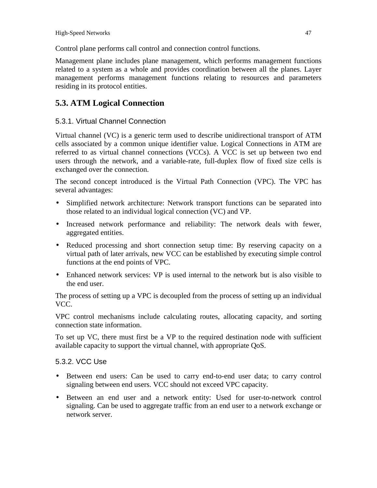Control plane performs call control and connection control functions.

Management plane includes plane management, which performs management functions related to a system as a whole and provides coordination between all the planes. Layer management performs management functions relating to resources and parameters residing in its protocol entities.

## **5.3. ATM Logical Connection**

#### 5.3.1. Virtual Channel Connection

Virtual channel (VC) is a generic term used to describe unidirectional transport of ATM cells associated by a common unique identifier value. Logical Connections in ATM are referred to as virtual channel connections (VCCs). A VCC is set up between two end users through the network, and a variable-rate, full-duplex flow of fixed size cells is exchanged over the connection.

The second concept introduced is the Virtual Path Connection (VPC). The VPC has several advantages:

- Simplified network architecture: Network transport functions can be separated into those related to an individual logical connection (VC) and VP.
- Increased network performance and reliability: The network deals with fewer, aggregated entities.
- Reduced processing and short connection setup time: By reserving capacity on a virtual path of later arrivals, new VCC can be established by executing simple control functions at the end points of VPC.
- Enhanced network services: VP is used internal to the network but is also visible to the end user.

The process of setting up a VPC is decoupled from the process of setting up an individual VCC.

VPC control mechanisms include calculating routes, allocating capacity, and sorting connection state information.

To set up VC, there must first be a VP to the required destination node with sufficient available capacity to support the virtual channel, with appropriate QoS.

#### 5.3.2. VCC Use

- Between end users: Can be used to carry end-to-end user data; to carry control signaling between end users. VCC should not exceed VPC capacity.
- Between an end user and a network entity: Used for user-to-network control signaling. Can be used to aggregate traffic from an end user to a network exchange or network server.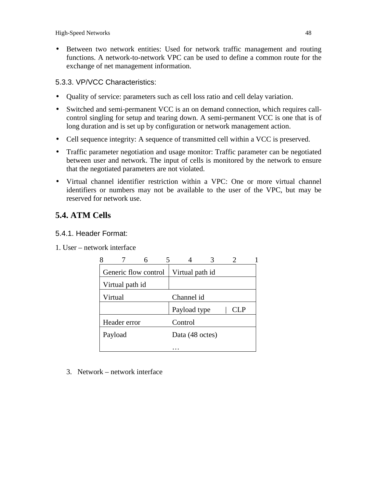High-Speed Networks 48

• Between two network entities: Used for network traffic management and routing functions. A network-to-network VPC can be used to define a common route for the exchange of net management information.

5.3.3. VP/VCC Characteristics:

- Quality of service: parameters such as cell loss ratio and cell delay variation.
- Switched and semi-permanent VCC is an on demand connection, which requires callcontrol singling for setup and tearing down. A semi-permanent VCC is one that is of long duration and is set up by configuration or network management action.
- Cell sequence integrity: A sequence of transmitted cell within a VCC is preserved.
- Traffic parameter negotiation and usage monitor: Traffic parameter can be negotiated between user and network. The input of cells is monitored by the network to ensure that the negotiated parameters are not violated.
- Virtual channel identifier restriction within a VPC: One or more virtual channel identifiers or numbers may not be available to the user of the VPC, but may be reserved for network use.

## **5.4. ATM Cells**

5.4.1. Header Format:

1. User – network interface

| 8 |                      |  |                 |     |
|---|----------------------|--|-----------------|-----|
|   | Generic flow control |  | Virtual path id |     |
|   | Virtual path id      |  |                 |     |
|   | Virtual              |  | Channel id      |     |
|   |                      |  | Payload type    | CLP |
|   | Header error         |  | Control         |     |
|   | Payload              |  | Data (48 octes) |     |
|   |                      |  | .               |     |

3. Network – network interface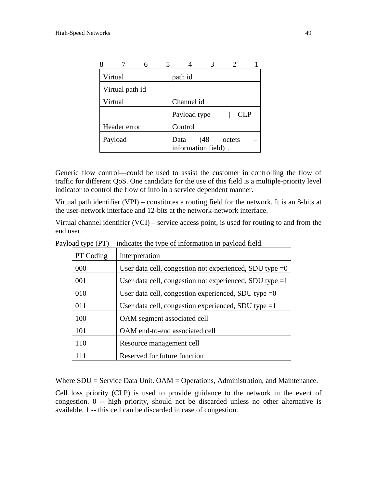|                 | 6 |              |                    |        |  |
|-----------------|---|--------------|--------------------|--------|--|
| Virtual         |   | path id      |                    |        |  |
| Virtual path id |   |              |                    |        |  |
| Virtual         |   | Channel id   |                    |        |  |
|                 |   | Payload type |                    | CLP    |  |
| Header error    |   | Control      |                    |        |  |
| Payload         |   | Data         | (48)               | octets |  |
|                 |   |              | information field) |        |  |

Generic flow control—could be used to assist the customer in controlling the flow of traffic for different QoS. One candidate for the use of this field is a multiple-priority level indicator to control the flow of info in a service dependent manner.

Virtual path identifier (VPI) – constitutes a routing field for the network. It is an 8-bits at the user-network interface and 12-bits at the network-network interface.

Virtual channel identifier (VCI) – service access point, is used for routing to and from the end user.

| PT Coding | Interpretation                                            |
|-----------|-----------------------------------------------------------|
| 000       | User data cell, congestion not experienced, SDU type $=0$ |
| 001       | User data cell, congestion not experienced, SDU type $=1$ |
| 010       | User data cell, congestion experienced, SDU type $=0$     |
| 011       | User data cell, congestion experienced, SDU type $=1$     |
| 100       | OAM segment associated cell                               |
| 101       | OAM end-to-end associated cell                            |
| 110       | Resource management cell                                  |
|           | Reserved for future function                              |

Payload type (PT) – indicates the type of information in payload field.

Where SDU = Service Data Unit. OAM = Operations, Administration, and Maintenance.

Cell loss priority (CLP) is used to provide guidance to the network in the event of congestion. 0 -- high priority, should not be discarded unless no other alternative is available. 1 -- this cell can be discarded in case of congestion.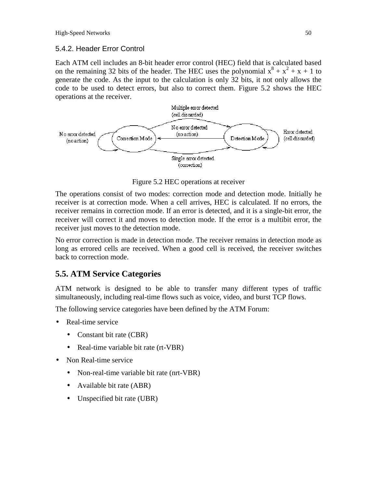#### 5.4.2. Header Error Control

Each ATM cell includes an 8-bit header error control (HEC) field that is calculated based on the remaining 32 bits of the header. The HEC uses the polynomial  $x^8 + x^2 + x + 1$  to generate the code. As the input to the calculation is only 32 bits, it not only allows the code to be used to detect errors, but also to correct them. Figure 5.2 shows the HEC operations at the receiver.



Figure 5.2 HEC operations at receiver

The operations consist of two modes: correction mode and detection mode. Initially he receiver is at correction mode. When a cell arrives, HEC is calculated. If no errors, the receiver remains in correction mode. If an error is detected, and it is a single-bit error, the receiver will correct it and moves to detection mode. If the error is a multibit error, the receiver just moves to the detection mode.

No error correction is made in detection mode. The receiver remains in detection mode as long as errored cells are received. When a good cell is received, the receiver switches back to correction mode.

## **5.5. ATM Service Categories**

ATM network is designed to be able to transfer many different types of traffic simultaneously, including real-time flows such as voice, video, and burst TCP flows.

The following service categories have been defined by the ATM Forum:

- Real-time service
	- Constant bit rate (CBR)
	- Real-time variable bit rate (rt-VBR)
- Non Real-time service
	- Non-real-time variable bit rate (nrt-VBR)
	- Available bit rate (ABR)
	- Unspecified bit rate (UBR)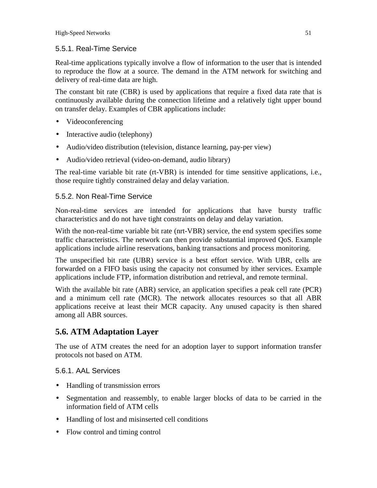#### 5.5.1. Real-Time Service

Real-time applications typically involve a flow of information to the user that is intended to reproduce the flow at a source. The demand in the ATM network for switching and delivery of real-time data are high.

The constant bit rate (CBR) is used by applications that require a fixed data rate that is continuously available during the connection lifetime and a relatively tight upper bound on transfer delay. Examples of CBR applications include:

- Videoconferencing
- Interactive audio (telephony)
- Audio/video distribution (television, distance learning, pay-per view)
- Audio/video retrieval (video-on-demand, audio library)

The real-time variable bit rate (rt-VBR) is intended for time sensitive applications, i.e., those require tightly constrained delay and delay variation.

#### 5.5.2. Non Real-Time Service

Non-real-time services are intended for applications that have bursty traffic characteristics and do not have tight constraints on delay and delay variation.

With the non-real-time variable bit rate (nrt-VBR) service, the end system specifies some traffic characteristics. The network can then provide substantial improved QoS. Example applications include airline reservations, banking transactions and process monitoring.

The unspecified bit rate (UBR) service is a best effort service. With UBR, cells are forwarded on a FIFO basis using the capacity not consumed by ither services. Example applications include FTP, information distribution and retrieval, and remote terminal.

With the available bit rate (ABR) service, an application specifies a peak cell rate (PCR) and a minimum cell rate (MCR). The network allocates resources so that all ABR applications receive at least their MCR capacity. Any unused capacity is then shared among all ABR sources.

## **5.6. ATM Adaptation Layer**

The use of ATM creates the need for an adoption layer to support information transfer protocols not based on ATM.

#### 5.6.1. AAL Services

- Handling of transmission errors
- Segmentation and reassembly, to enable larger blocks of data to be carried in the information field of ATM cells
- Handling of lost and misinserted cell conditions
- Flow control and timing control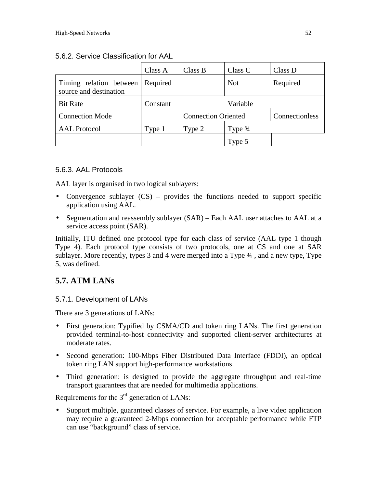|                                                   | Class A  | Class B                    | Class C            | Class D        |
|---------------------------------------------------|----------|----------------------------|--------------------|----------------|
| Timing relation between<br>source and destination | Required |                            | <b>Not</b>         | Required       |
| <b>Bit Rate</b>                                   | Constant |                            | Variable           |                |
| <b>Connection Mode</b>                            |          | <b>Connection Oriented</b> |                    | Connectionless |
| <b>AAL Protocol</b>                               | Type 1   | Type 2                     | Type $\frac{3}{4}$ |                |
|                                                   |          |                            | Type 5             |                |

#### 5.6.2. Service Classification for AAL

#### 5.6.3. AAL Protocols

AAL layer is organised in two logical sublayers:

- Convergence sublayer (CS) provides the functions needed to support specific application using AAL.
- Segmentation and reassembly sublayer (SAR) Each AAL user attaches to AAL at a service access point (SAR).

Initially, ITU defined one protocol type for each class of service (AAL type 1 though Type 4). Each protocol type consists of two protocols, one at CS and one at SAR sublayer. More recently, types 3 and 4 were merged into a Type ¾ , and a new type, Type 5, was defined.

## **5.7. ATM LANs**

#### 5.7.1. Development of LANs

There are 3 generations of LANs:

- First generation: Typified by CSMA/CD and token ring LANs. The first generation provided terminal-to-host connectivity and supported client-server architectures at moderate rates.
- Second generation: 100-Mbps Fiber Distributed Data Interface (FDDI), an optical token ring LAN support high-performance workstations.
- Third generation: is designed to provide the aggregate throughput and real-time transport guarantees that are needed for multimedia applications.

Requirements for the  $3<sup>rd</sup>$  generation of LANs:

• Support multiple, guaranteed classes of service. For example, a live video application may require a guaranteed 2-Mbps connection for acceptable performance while FTP can use "background" class of service.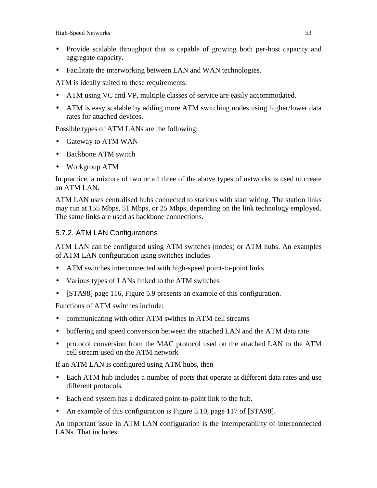High-Speed Networks 53

- Provide scalable throughput that is capable of growing both per-host capacity and aggregate capacity.
- Facilitate the interworking between LAN and WAN technologies.

ATM is ideally suited to these requirements:

- ATM using VC and VP, multiple classes of service are easily accommodated.
- ATM is easy scalable by adding more ATM switching nodes using higher/lower data rates for attached devices.

Possible types of ATM LANs are the following:

- Gateway to ATM WAN
- Backbone ATM switch
- Workgroup ATM

In practice, a mixture of two or all three of the above types of networks is used to create an ATM LAN.

ATM LAN uses centralised hubs connected to stations with start wiring. The station links may run at 155 Mbps, 51 Mbps, or 25 Mbps, depending on the link technology employed. The same links are used as backbone connections.

#### 5.7.2. ATM LAN Configurations

ATM LAN can be configured using ATM switches (nodes) or ATM hubs. An examples of ATM LAN configuration using switches includes

- ATM switches interconnected with high-speed point-to-point links
- Various types of LANs linked to the ATM switches
- [STA98] page 116, Figure 5.9 presents an example of this configuration.

Functions of ATM switches include:

- communicating with other ATM swithes in ATM cell streams
- buffering and speed conversion between the attached LAN and the ATM data rate
- protocol conversion from the MAC protocol used on the attached LAN to the ATM cell stream used on the ATM network

If an ATM LAN is configured using ATM hubs, then

- Each ATM hub includes a number of ports that operate at different data rates and use different protocols.
- Each end system has a dedicated point-to-point link to the hub.
- An example of this configuration is Figure 5.10, page 117 of [STA98].

An important issue in ATM LAN configuration is the interoperability of interconnected LANs. That includes: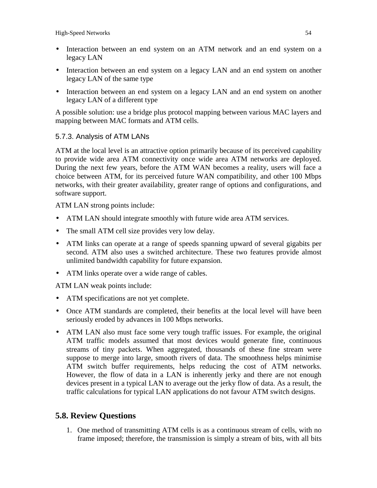- Interaction between an end system on an ATM network and an end system on a legacy LAN
- Interaction between an end system on a legacy LAN and an end system on another legacy LAN of the same type
- Interaction between an end system on a legacy LAN and an end system on another legacy LAN of a different type

A possible solution: use a bridge plus protocol mapping between various MAC layers and mapping between MAC formats and ATM cells.

#### 5.7.3. Analysis of ATM LANs

ATM at the local level is an attractive option primarily because of its perceived capability to provide wide area ATM connectivity once wide area ATM networks are deployed. During the next few years, before the ATM WAN becomes a reality, users will face a choice between ATM, for its perceived future WAN compatibility, and other 100 Mbps networks, with their greater availability, greater range of options and configurations, and software support.

ATM LAN strong points include:

- ATM LAN should integrate smoothly with future wide area ATM services.
- The small ATM cell size provides very low delay.
- ATM links can operate at a range of speeds spanning upward of several gigabits per second. ATM also uses a switched architecture. These two features provide almost unlimited bandwidth capability for future expansion.
- ATM links operate over a wide range of cables.

ATM LAN weak points include:

- ATM specifications are not yet complete.
- Once ATM standards are completed, their benefits at the local level will have been seriously eroded by advances in 100 Mbps networks.
- ATM LAN also must face some very tough traffic issues. For example, the original ATM traffic models assumed that most devices would generate fine, continuous streams of tiny packets. When aggregated, thousands of these fine stream were suppose to merge into large, smooth rivers of data. The smoothness helps minimise ATM switch buffer requirements, helps reducing the cost of ATM networks. However, the flow of data in a LAN is inherently jerky and there are not enough devices present in a typical LAN to average out the jerky flow of data. As a result, the traffic calculations for typical LAN applications do not favour ATM switch designs.

## **5.8. Review Questions**

1. One method of transmitting ATM cells is as a continuous stream of cells, with no frame imposed; therefore, the transmission is simply a stream of bits, with all bits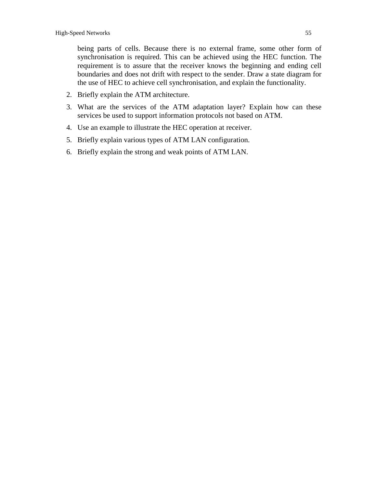being parts of cells. Because there is no external frame, some other form of synchronisation is required. This can be achieved using the HEC function. The requirement is to assure that the receiver knows the beginning and ending cell boundaries and does not drift with respect to the sender. Draw a state diagram for the use of HEC to achieve cell synchronisation, and explain the functionality.

- 2. Briefly explain the ATM architecture.
- 3. What are the services of the ATM adaptation layer? Explain how can these services be used to support information protocols not based on ATM.
- 4. Use an example to illustrate the HEC operation at receiver.
- 5. Briefly explain various types of ATM LAN configuration.
- 6. Briefly explain the strong and weak points of ATM LAN.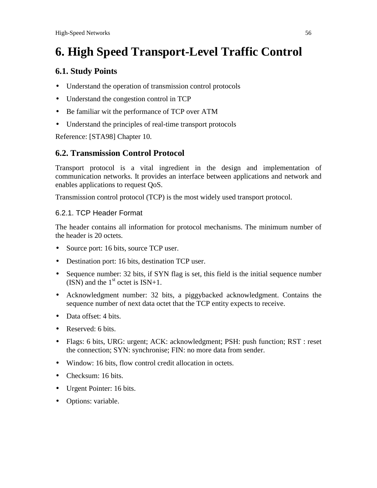# **6. High Speed Transport-Level Traffic Control**

## **6.1. Study Points**

- Understand the operation of transmission control protocols
- Understand the congestion control in TCP
- Be familiar wit the performance of TCP over ATM
- Understand the principles of real-time transport protocols

Reference: [STA98] Chapter 10.

#### **6.2. Transmission Control Protocol**

Transport protocol is a vital ingredient in the design and implementation of communication networks. It provides an interface between applications and network and enables applications to request QoS.

Transmission control protocol (TCP) is the most widely used transport protocol.

#### 6.2.1. TCP Header Format

The header contains all information for protocol mechanisms. The minimum number of the header is 20 octets.

- Source port: 16 bits, source TCP user.
- Destination port: 16 bits, destination TCP user.
- Sequence number: 32 bits, if SYN flag is set, this field is the initial sequence number (ISN) and the  $1<sup>st</sup>$  octet is ISN+1.
- Acknowledgment number: 32 bits, a piggybacked acknowledgment. Contains the sequence number of next data octet that the TCP entity expects to receive.
- Data offset: 4 bits.
- Reserved: 6 bits.
- Flags: 6 bits, URG: urgent; ACK: acknowledgment; PSH: push function; RST : reset the connection; SYN: synchronise; FIN: no more data from sender.
- Window: 16 bits, flow control credit allocation in octets.
- Checksum: 16 bits.
- Urgent Pointer: 16 bits.
- Options: variable.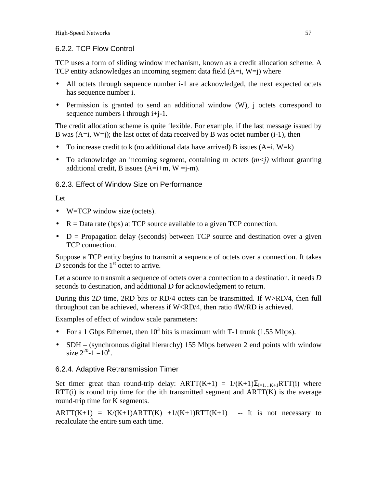#### 6.2.2. TCP Flow Control

TCP uses a form of sliding window mechanism, known as a credit allocation scheme. A TCP entity acknowledges an incoming segment data field  $(A=i, W=i)$  where

- All octets through sequence number i-1 are acknowledged, the next expected octets has sequence number i.
- Permission is granted to send an additional window (W), j octets correspond to sequence numbers i through i+j-1.

The credit allocation scheme is quite flexible. For example, if the last message issued by B was  $(A=i, W=i)$ ; the last octet of data received by B was octet number  $(i-1)$ , then

- To increase credit to k (no additional data have arrived) B issues  $(A=i, W=k)$
- To acknowledge an incoming segment, containing m octets  $(m \lt i)$  without granting additional credit, B issues  $(A=i+m, W=i-m)$ .

#### 6.2.3. Effect of Window Size on Performance

#### Let

- W=TCP window size (octets).
- $R = Data$  rate (bps) at TCP source available to a given TCP connection.
- $D =$  Propagation delay (seconds) between TCP source and destination over a given TCP connection.

Suppose a TCP entity begins to transmit a sequence of octets over a connection. It takes *D* seconds for the  $1<sup>st</sup>$  octet to arrive.

Let a source to transmit a sequence of octets over a connection to a destination. it needs *D* seconds to destination, and additional *D* for acknowledgment to return.

During this 2*D* time, 2RD bits or RD/4 octets can be transmitted. If W>RD/4, then full throughput can be achieved, whereas if W<RD/4, then ratio 4W/RD is achieved.

Examples of effect of window scale parameters:

- For a 1 Gbps Ethernet, then  $10^3$  bits is maximum with T-1 trunk (1.55 Mbps).
- SDH (synchronous digital hierarchy) 155 Mbps between 2 end points with window size  $2^{20} - 1 = 10^6$ .

#### 6.2.4. Adaptive Retransmission Timer

Set timer great than round-trip delay:  $ARTT(K+1) = 1/(K+1)\Sigma_{I=1...K+1}RTT(i)$  where  $RTT(i)$  is round trip time for the ith transmitted segment and  $ARTT(K)$  is the average round-trip time for K segments.

 $ARTT(K+1) = K/(K+1)ARTT(K) + 1/(K+1)RTT(K+1)$  -- It is not necessary to recalculate the entire sum each time.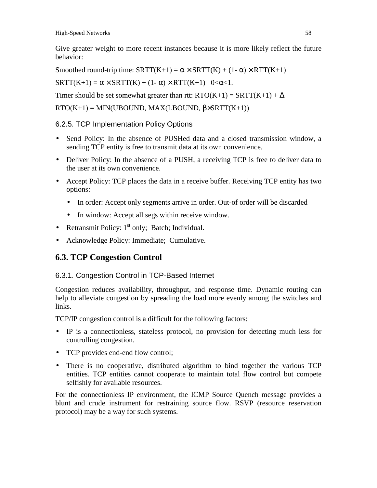Give greater weight to more recent instances because it is more likely reflect the future behavior:

Smoothed round-trip time:  $SRTT(K+1) = \alpha \times SRTT(K) + (1-\alpha) \times RTT(K+1)$ 

 $SRTT(K+1) = \alpha \times SRTT(K) + (1-\alpha) \times RTT(K+1)$  0< $\alpha$ <1.

Timer should be set somewhat greater than rtt:  $RTO(K+1) = SRTT(K+1) + \Delta$ 

```
RTO(K+1) = MIN(UBOUND, MAX(LBOUND, \beta \times SRTT(K+1)))
```
## 6.2.5. TCP Implementation Policy Options

- Send Policy: In the absence of PUSHed data and a closed transmission window, a sending TCP entity is free to transmit data at its own convenience.
- Deliver Policy: In the absence of a PUSH, a receiving TCP is free to deliver data to the user at its own convenience.
- Accept Policy: TCP places the data in a receive buffer. Receiving TCP entity has two options:
	- In order: Accept only segments arrive in order. Out-of order will be discarded
	- In window: Accept all segs within receive window.
- Retransmit Policy:  $1<sup>st</sup>$  only; Batch; Individual.
- Acknowledge Policy: Immediate; Cumulative.

## **6.3. TCP Congestion Control**

## 6.3.1. Congestion Control in TCP-Based Internet

Congestion reduces availability, throughput, and response time. Dynamic routing can help to alleviate congestion by spreading the load more evenly among the switches and links.

TCP/IP congestion control is a difficult for the following factors:

- IP is a connectionless, stateless protocol, no provision for detecting much less for controlling congestion.
- TCP provides end-end flow control;
- There is no cooperative, distributed algorithm to bind together the various TCP entities. TCP entities cannot cooperate to maintain total flow control but compete selfishly for available resources.

For the connectionless IP environment, the ICMP Source Quench message provides a blunt and crude instrument for restraining source flow. RSVP (resource reservation protocol) may be a way for such systems.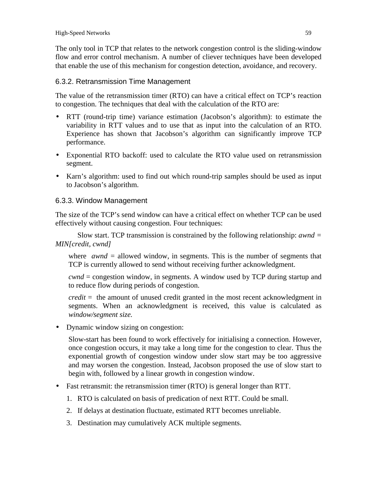The only tool in TCP that relates to the network congestion control is the sliding-window flow and error control mechanism. A number of cliever techniques have been developed that enable the use of this mechanism for congestion detection, avoidance, and recovery.

#### 6.3.2. Retransmission Time Management

The value of the retransmission timer (RTO) can have a critical effect on TCP's reaction to congestion. The techniques that deal with the calculation of the RTO are:

- RTT (round-trip time) variance estimation (Jacobson's algorithm): to estimate the variability in RTT values and to use that as input into the calculation of an RTO. Experience has shown that Jacobson's algorithm can significantly improve TCP performance.
- Exponential RTO backoff: used to calculate the RTO value used on retransmission segment.
- Karn's algorithm: used to find out which round-trip samples should be used as input to Jacobson's algorithm.

#### 6.3.3. Window Management

The size of the TCP's send window can have a critical effect on whether TCP can be used effectively without causing congestion. Four techniques:

Slow start. TCP transmission is constrained by the following relationship: *awnd = MIN[credit, cwnd]* 

where *awnd* = allowed window, in segments. This is the number of segments that TCP is currently allowed to send without receiving further acknowledgment.

*cwnd* = congestion window, in segments. A window used by TCP during startup and to reduce flow during periods of congestion.

*credit* = the amount of unused credit granted in the most recent acknowledgment in segments. When an acknowledgment is received, this value is calculated as *window/segment size.* 

• Dynamic window sizing on congestion:

Slow-start has been found to work effectively for initialising a connection. However, once congestion occurs, it may take a long time for the congestion to clear. Thus the exponential growth of congestion window under slow start may be too aggressive and may worsen the congestion. Instead, Jacobson proposed the use of slow start to begin with, followed by a linear growth in congestion window.

- Fast retransmit: the retransmission timer (RTO) is general longer than RTT.
	- 1. RTO is calculated on basis of predication of next RTT. Could be small.
	- 2. If delays at destination fluctuate, estimated RTT becomes unreliable.
	- 3. Destination may cumulatively ACK multiple segments.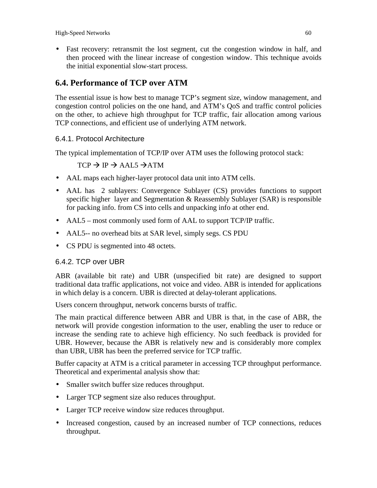High-Speed Networks 60

• Fast recovery: retransmit the lost segment, cut the congestion window in half, and then proceed with the linear increase of congestion window. This technique avoids the initial exponential slow-start process.

#### **6.4. Performance of TCP over ATM**

The essential issue is how best to manage TCP's segment size, window management, and congestion control policies on the one hand, and ATM's QoS and traffic control policies on the other, to achieve high throughput for TCP traffic, fair allocation among various TCP connections, and efficient use of underlying ATM network.

#### 6.4.1. Protocol Architecture

The typical implementation of TCP/IP over ATM uses the following protocol stack:

 $TCP \rightarrow IP \rightarrow AAL5 \rightarrow ATM$ 

- AAL maps each higher-layer protocol data unit into ATM cells.
- AAL has 2 sublayers: Convergence Sublayer (CS) provides functions to support specific higher layer and Segmentation & Reassembly Sublayer (SAR) is responsible for packing info. from CS into cells and unpacking info at other end.
- AAL5 most commonly used form of AAL to support TCP/IP traffic.
- AAL5-- no overhead bits at SAR level, simply segs. CS PDU
- CS PDU is segmented into 48 octets.

#### 6.4.2. TCP over UBR

ABR (available bit rate) and UBR (unspecified bit rate) are designed to support traditional data traffic applications, not voice and video. ABR is intended for applications in which delay is a concern. UBR is directed at delay-tolerant applications.

Users concern throughput, network concerns bursts of traffic.

The main practical difference between ABR and UBR is that, in the case of ABR, the network will provide congestion information to the user, enabling the user to reduce or increase the sending rate to achieve high efficiency. No such feedback is provided for UBR. However, because the ABR is relatively new and is considerably more complex than UBR, UBR has been the preferred service for TCP traffic.

Buffer capacity at ATM is a critical parameter in accessing TCP throughput performance. Theoretical and experimental analysis show that:

- Smaller switch buffer size reduces throughput.
- Larger TCP segment size also reduces throughput.
- Larger TCP receive window size reduces throughput.
- Increased congestion, caused by an increased number of TCP connections, reduces throughput.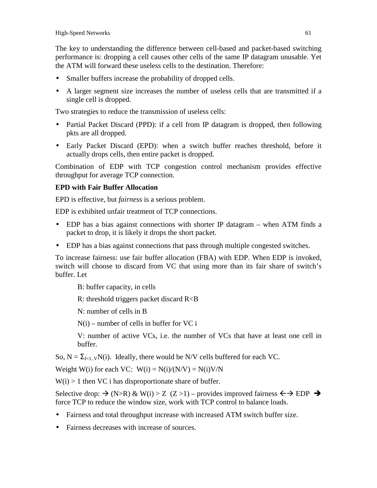The key to understanding the difference between cell-based and packet-based switching performance is: dropping a cell causes other cells of the same IP datagram unusable. Yet the ATM will forward these useless cells to the destination. Therefore:

- Smaller buffers increase the probability of dropped cells.
- A larger segment size increases the number of useless cells that are transmitted if a single cell is dropped.

Two strategies to reduce the transmission of useless cells:

- Partial Packet Discard (PPD): if a cell from IP datagram is dropped, then following pkts are all dropped.
- Early Packet Discard (EPD): when a switch buffer reaches threshold, before it actually drops cells, then entire packet is dropped.

Combination of EDP with TCP congestion control mechanism provides effective throughput for average TCP connection.

#### **EPD with Fair Buffer Allocation**

EPD is effective, but *fairness* is a serious problem.

EDP is exhibited unfair treatment of TCP connections.

- EDP has a bias against connections with shorter IP datagram when ATM finds a packet to drop, it is likely it drops the short packet.
- EDP has a bias against connections that pass through multiple congested switches.

To increase fairness: use fair buffer allocation (FBA) with EDP. When EDP is invoked, switch will choose to discard from VC that using more than its fair share of switch's buffer. Let

B: buffer capacity, in cells

R: threshold triggers packet discard  $R < B$ 

N: number of cells in B

 $N(i)$  – number of cells in buffer for VC i

V: number of active VCs, i.e. the number of VCs that have at least one cell in buffer.

So,  $N = \sum_{I=1..V} N(i)$ . Ideally, there would be N/V cells buffered for each VC.

Weight W(i) for each VC:  $W(i) = N(i)/(N/V) = N(i)V/N$ 

 $W(i) > 1$  then VC i has disproportionate share of buffer.

Selective drop:  $\rightarrow$  (N>R) & W(i) > Z (Z >1) – provides improved fairness  $\leftrightarrow$  EDP  $\rightarrow$ force TCP to reduce the window size, work with TCP control to balance loads.

- Fairness and total throughput increase with increased ATM switch buffer size.
- Fairness decreases with increase of sources.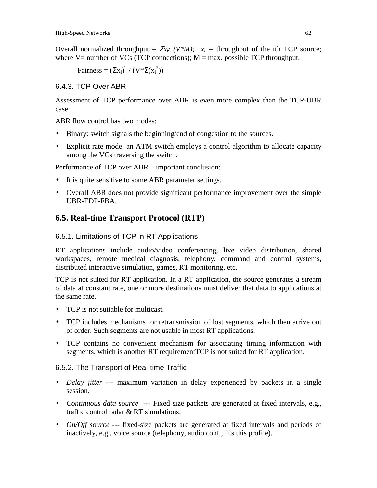Overall normalized throughput =  $\sum x_i/(V^*M)$ ;  $x_i$  = throughput of the ith TCP source; where V= number of VCs (TCP connections);  $M = max$ . possible TCP throughput.

Fairness =  $(\Sigma x_i)^2 / (V^* \Sigma (x_i^2))$ 

#### 6.4.3. TCP Over ABR

Assessment of TCP performance over ABR is even more complex than the TCP-UBR case.

ABR flow control has two modes:

- Binary: switch signals the beginning/end of congestion to the sources.
- Explicit rate mode: an ATM switch employs a control algorithm to allocate capacity among the VCs traversing the switch.

Performance of TCP over ABR—important conclusion:

- It is quite sensitive to some ABR parameter settings.
- Overall ABR does not provide significant performance improvement over the simple UBR-EDP-FBA.

## **6.5. Real-time Transport Protocol (RTP)**

#### 6.5.1. Limitations of TCP in RT Applications

RT applications include audio/video conferencing, live video distribution, shared workspaces, remote medical diagnosis, telephony, command and control systems, distributed interactive simulation, games, RT monitoring, etc.

TCP is not suited for RT application. In a RT application, the source generates a stream of data at constant rate, one or more destinations must deliver that data to applications at the same rate.

- TCP is not suitable for multicast.
- TCP includes mechanisms for retransmission of lost segments, which then arrive out of order. Such segments are not usable in most RT applications.
- TCP contains no convenient mechanism for associating timing information with segments, which is another RT requirementTCP is not suited for RT application.

#### 6.5.2. The Transport of Real-time Traffic

- *Delay jitter* --- maximum variation in delay experienced by packets in a single session.
- *Continuous data source* --- Fixed size packets are generated at fixed intervals, e.g., traffic control radar & RT simulations.
- *On/Off source* --- fixed-size packets are generated at fixed intervals and periods of inactively, e.g., voice source (telephony, audio conf., fits this profile).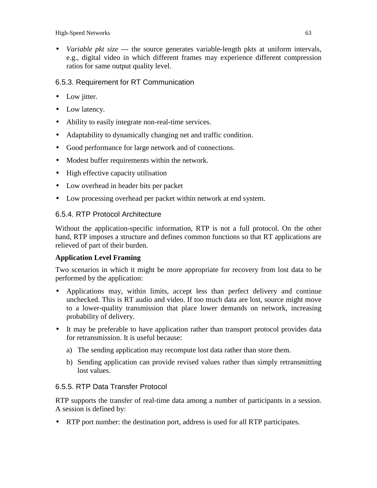• *Variable pkt size* --- the source generates variable-length pkts at uniform intervals, e.g., digital video in which different frames may experience different compression ratios for same output quality level.

#### 6.5.3. Requirement for RT Communication

- Low jitter.
- Low latency.
- Ability to easily integrate non-real-time services.
- Adaptability to dynamically changing net and traffic condition.
- Good performance for large network and of connections.
- Modest buffer requirements within the network.
- High effective capacity utilisation
- Low overhead in header bits per packet
- Low processing overhead per packet within network at end system.

#### 6.5.4. RTP Protocol Architecture

Without the application-specific information, RTP is not a full protocol. On the other hand, RTP imposes a structure and defines common functions so that RT applications are relieved of part of their burden.

#### **Application Level Framing**

Two scenarios in which it might be more appropriate for recovery from lost data to be performed by the application:

- Applications may, within limits, accept less than perfect delivery and continue unchecked. This is RT audio and video. If too much data are lost, source might move to a lower-quality transmission that place lower demands on network, increasing probability of delivery.
- It may be preferable to have application rather than transport protocol provides data for retransmission. It is useful because:
	- a) The sending application may recompute lost data rather than store them.
	- b) Sending application can provide revised values rather than simply retransmitting lost values.

#### 6.5.5. RTP Data Transfer Protocol

RTP supports the transfer of real-time data among a number of participants in a session. A session is defined by:

• RTP port number: the destination port, address is used for all RTP participates.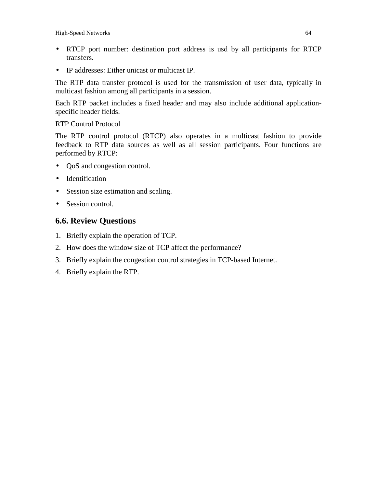- RTCP port number: destination port address is usd by all participants for RTCP transfers.
- IP addresses: Either unicast or multicast IP.

The RTP data transfer protocol is used for the transmission of user data, typically in multicast fashion among all participants in a session.

Each RTP packet includes a fixed header and may also include additional applicationspecific header fields.

#### RTP Control Protocol

The RTP control protocol (RTCP) also operates in a multicast fashion to provide feedback to RTP data sources as well as all session participants. Four functions are performed by RTCP:

- QoS and congestion control.
- Identification
- Session size estimation and scaling.
- Session control.

#### **6.6. Review Questions**

- 1. Briefly explain the operation of TCP.
- 2. How does the window size of TCP affect the performance?
- 3. Briefly explain the congestion control strategies in TCP-based Internet.
- 4. Briefly explain the RTP.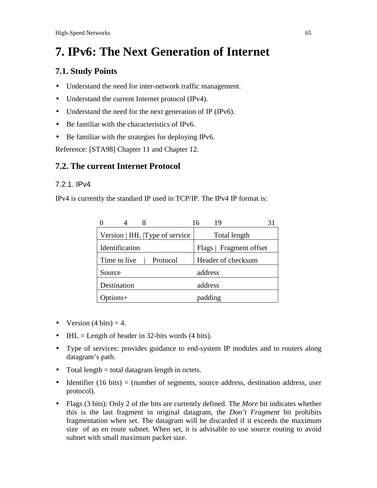## **7. IPv6: The Next Generation of Internet**

## **7.1. Study Points**

- Understand the need for inter-network traffic management.
- Understand the current Internet protocol (IPv4).
- Understand the need for the next generation of IP (IPv6).
- Be familiar with the characteristics of IPv6.
- Be familiar with the strategies for deploying IPv6.

Reference: [STA98] Chapter 11 and Chapter 12.

#### **7.2. The current Internet Protocol**

#### 7.2.1. IPv4

IPv4 is currently the standard IP used in TCP/IP. The IPv4 IP format is:

|                                 | 19<br>16                 |
|---------------------------------|--------------------------|
| Version   IHL   Type of service | Total length             |
| Identification                  | Fragment offset<br>Flags |
| Time to live<br>Protocol        | Header of checksum       |
| Source                          | address                  |
| Destination                     | address                  |
| tions+                          | padding                  |

- Version (4 bits)  $=$  4.
- IHL = Length of header in 32-bits words  $(4 \text{ bits})$ .
- Type of services: provides guidance to end-system IP modules and to routers along datagram's path.
- Total length  $=$  total datagram length in octets.
- Identifier (16 bits) = (number of segments, source address, destination address, user protocol).
- Flags (3 bits): Only 2 of the bits are currently defined. The *More* bit indicates whether this is the last fragment in original datagram, the *Don't Fragment* bit prohibits fragmentation when set. The datagram will be discarded if it exceeds the maximum size of an en route subnet. When set, it is advisable to use source routing to avoid subnet with small maximum packet size.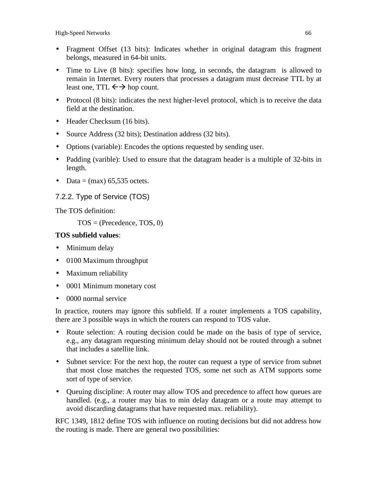High-Speed Networks 66

- Fragment Offset (13 bits): Indicates whether in original datagram this fragment belongs, measured in 64-bit units.
- Time to Live (8 bits): specifies how long, in seconds, the datagram is allowed to remain in Internet. Every routers that processes a datagram must decrease TTL by at least one, TTL  $\leftrightarrow$  hop count.
- Protocol (8 bits): indicates the next higher-level protocol, which is to receive the data field at the destination.
- Header Checksum (16 bits).
- Source Address (32 bits); Destination address (32 bits).
- Options (variable): Encodes the options requested by sending user.
- Padding (varible): Used to ensure that the datagram header is a multiple of 32-bits in length.
- Data  $=$  (max) 65,535 octets.

#### 7.2.2. Type of Service (TOS)

The TOS definition:

 $TOS = (Precedence, TOS, 0)$ 

#### **TOS subfield values**:

- Minimum delay
- 0100 Maximum throughput
- Maximum reliability
- 0001 Minimum monetary cost
- 0000 normal service

In practice, routers may ignore this subfield. If a router implements a TOS capability, there are 3 possible ways in which the routers can respond to TOS value.

- Route selection: A routing decision could be made on the basis of type of service, e.g., any datagram requesting minimum delay should not be routed through a subnet that includes a satellite link.
- Subnet service: For the next hop, the router can request a type of service from subnet that most close matches the requested TOS, some net such as ATM supports some sort of type of service.
- Queuing discipline: A router may allow TOS and precedence to affect how queues are handled. (e.g., a router may bias to min delay datagram or a route may attempt to avoid discarding datagrams that have requested max. reliability).

RFC 1349, 1812 define TOS with influence on routing decisions but did not address how the routing is made. There are general two possibilities: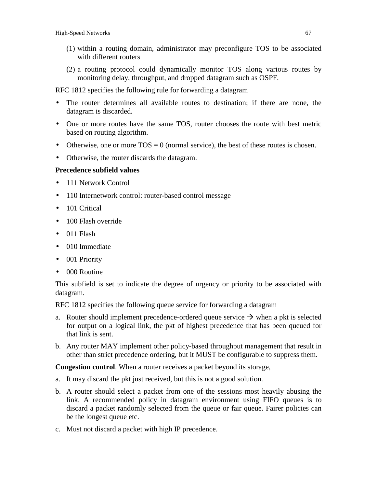- (1) within a routing domain, administrator may preconfigure TOS to be associated with different routers
- (2) a routing protocol could dynamically monitor TOS along various routes by monitoring delay, throughput, and dropped datagram such as OSPF.

RFC 1812 specifies the following rule for forwarding a datagram

- The router determines all available routes to destination; if there are none, the datagram is discarded.
- One or more routes have the same TOS, router chooses the route with best metric based on routing algorithm.
- Otherwise, one or more  $TOS = 0$  (normal service), the best of these routes is chosen.
- Otherwise, the router discards the datagram.

#### **Precedence subfield values**

- 111 Network Control
- 110 Internetwork control: router-based control message
- 101 Critical
- 100 Flash override
- 011 Flash
- 010 Immediate
- 001 Priority
- 000 Routine

This subfield is set to indicate the degree of urgency or priority to be associated with datagram.

RFC 1812 specifies the following queue service for forwarding a datagram

- a. Router should implement precedence-ordered queue service  $\rightarrow$  when a pkt is selected for output on a logical link, the pkt of highest precedence that has been queued for that link is sent.
- b. Any router MAY implement other policy-based throughput management that result in other than strict precedence ordering, but it MUST be configurable to suppress them.

**Congestion control**. When a router receives a packet beyond its storage,

- a. It may discard the pkt just received, but this is not a good solution.
- b. A router should select a packet from one of the sessions most heavily abusing the link. A recommended policy in datagram environment using FIFO queues is to discard a packet randomly selected from the queue or fair queue. Fairer policies can be the longest queue etc.
- c. Must not discard a packet with high IP precedence.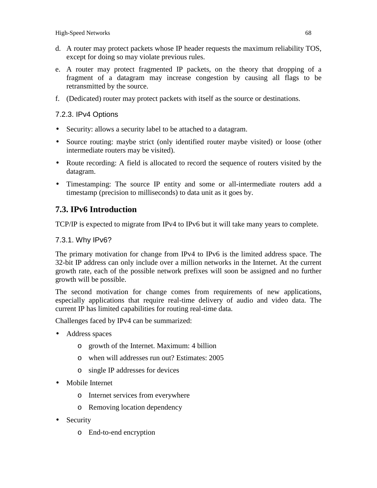- d. A router may protect packets whose IP header requests the maximum reliability TOS, except for doing so may violate previous rules.
- e. A router may protect fragmented IP packets, on the theory that dropping of a fragment of a datagram may increase congestion by causing all flags to be retransmitted by the source.
- f. (Dedicated) router may protect packets with itself as the source or destinations.

#### 7.2.3. IPv4 Options

- Security: allows a security label to be attached to a datagram.
- Source routing: maybe strict (only identified router maybe visited) or loose (other intermediate routers may be visited).
- Route recording: A field is allocated to record the sequence of routers visited by the datagram.
- Timestamping: The source IP entity and some or all-intermediate routers add a timestamp (precision to milliseconds) to data unit as it goes by.

## **7.3. IPv6 Introduction**

TCP/IP is expected to migrate from IPv4 to IPv6 but it will take many years to complete.

#### 7.3.1. Why IPv6?

The primary motivation for change from IPv4 to IPv6 is the limited address space. The 32-bit IP address can only include over a million networks in the Internet. At the current growth rate, each of the possible network prefixes will soon be assigned and no further growth will be possible.

The second motivation for change comes from requirements of new applications, especially applications that require real-time delivery of audio and video data. The current IP has limited capabilities for routing real-time data.

Challenges faced by IPv4 can be summarized:

- Address spaces
	- o growth of the Internet. Maximum: 4 billion
	- o when will addresses run out? Estimates: 2005
	- o single IP addresses for devices
- Mobile Internet
	- o Internet services from everywhere
	- o Removing location dependency
- Security
	- o End-to-end encryption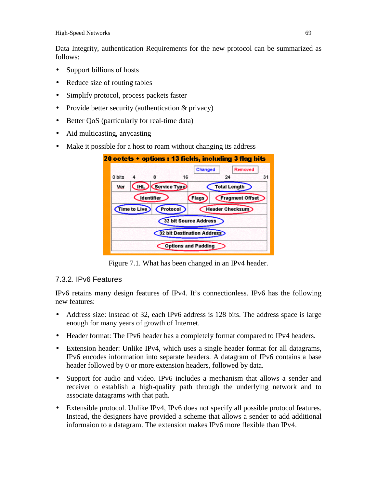Data Integrity, authentication Requirements for the new protocol can be summarized as follows:

- Support billions of hosts
- Reduce size of routing tables
- Simplify protocol, process packets faster
- Provide better security (authentication & privacy)
- Better QoS (particularly for real-time data)
- Aid multicasting, any casting
- Make it possible for a host to roam without changing its address

|        |                                               |                         |                            | 20 octets + options : 13 fields, including 3 flag bits |  |  |  |  |
|--------|-----------------------------------------------|-------------------------|----------------------------|--------------------------------------------------------|--|--|--|--|
| 0 bits |                                               | 8<br>16                 | Changed                    | Removed<br>31<br>24                                    |  |  |  |  |
| Ver    |                                               | <b>IHL</b> Gervice Type |                            | <b>Total Length</b>                                    |  |  |  |  |
|        | Identifier<br><b>Flags</b><br>Fragment Offset |                         |                            |                                                        |  |  |  |  |
|        | Time to Live                                  | <b>Protocol</b>         |                            | <b>Header Checksum</b>                                 |  |  |  |  |
|        | <b>32 bit Source Address</b>                  |                         |                            |                                                        |  |  |  |  |
|        | 32 bit Destination Address                    |                         |                            |                                                        |  |  |  |  |
|        |                                               |                         | <b>Options and Padding</b> |                                                        |  |  |  |  |

Figure 7.1. What has been changed in an IPv4 header.

#### 7.3.2. IPv6 Features

IPv6 retains many design features of IPv4. It's connectionless. IPv6 has the following new features:

- Address size: Instead of 32, each IPv6 address is 128 bits. The address space is large enough for many years of growth of Internet.
- Header format: The IPv6 header has a completely format compared to IPv4 headers.
- Extension header: Unlike IPv4, which uses a single header format for all datagrams, IPv6 encodes information into separate headers. A datagram of IPv6 contains a base header followed by 0 or more extension headers, followed by data.
- Support for audio and video. IPv6 includes a mechanism that allows a sender and receiver o establish a high-quality path through the underlying network and to associate datagrams with that path.
- Extensible protocol. Unlike IPv4, IPv6 does not specify all possible protocol features. Instead, the designers have provided a scheme that allows a sender to add additional informaion to a datagram. The extension makes IPv6 more flexible than IPv4.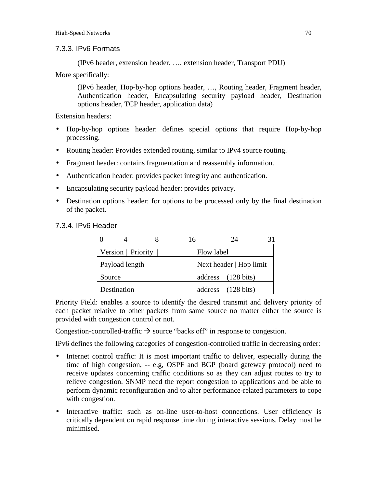#### 7.3.3. IPv6 Formats

(IPv6 header, extension header, …, extension header, Transport PDU)

More specifically:

(IPv6 header, Hop-by-hop options header, …, Routing header, Fragment header, Authentication header, Encapsulating security payload header, Destination options header, TCP header, application data)

Extension headers:

- Hop-by-hop options header: defines special options that require Hop-by-hop processing.
- Routing header: Provides extended routing, similar to IPv4 source routing.
- Fragment header: contains fragmentation and reassembly information.
- Authentication header: provides packet integrity and authentication.
- Encapsulating security payload header: provides privacy.
- Destination options header: for options to be processed only by the final destination of the packet.

#### 7.3.4. IPv6 Header

|        |                    | 16         | 24                      |  |
|--------|--------------------|------------|-------------------------|--|
|        | Version   Priority | Flow label |                         |  |
|        | Payload length     |            | Next header   Hop limit |  |
| Source |                    |            | address (128 bits)      |  |
|        | Destination        |            | address (128 bits)      |  |

Priority Field: enables a source to identify the desired transmit and delivery priority of each packet relative to other packets from same source no matter either the source is provided with congestion control or not.

Congestion-controlled-traffic  $\rightarrow$  source "backs off" in response to congestion.

IPv6 defines the following categories of congestion-controlled traffic in decreasing order:

- Internet control traffic: It is most important traffic to deliver, especially during the time of high congestion, -- e.g, OSPF and BGP (board gateway protocol) need to receive updates concerning traffic conditions so as they can adjust routes to try to relieve congestion. SNMP need the report congestion to applications and be able to perform dynamic reconfiguration and to alter performance-related parameters to cope with congestion.
- Interactive traffic: such as on-line user-to-host connections. User efficiency is critically dependent on rapid response time during interactive sessions. Delay must be minimised.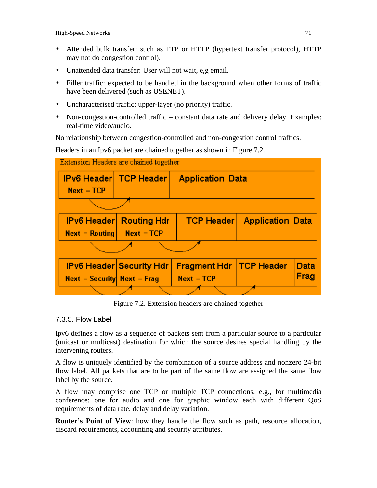High-Speed Networks 71

- Attended bulk transfer: such as FTP or HTTP (hypertext transfer protocol), HTTP may not do congestion control).
- Unattended data transfer: User will not wait, e,g email.
- Filler traffic: expected to be handled in the background when other forms of traffic have been delivered (such as USENET).
- Uncharacterised traffic: upper-layer (no priority) traffic.
- Non-congestion-controlled traffic constant data rate and delivery delay. Examples: real-time video/audio.

No relationship between congestion-controlled and non-congestion control traffics.

Headers in an Ipv6 packet are chained together as shown in Figure 7.2.



Extension Headers are chained together

Figure 7.2. Extension headers are chained together

#### 7.3.5. Flow Label

Ipv6 defines a flow as a sequence of packets sent from a particular source to a particular (unicast or multicast) destination for which the source desires special handling by the intervening routers.

A flow is uniquely identified by the combination of a source address and nonzero 24-bit flow label. All packets that are to be part of the same flow are assigned the same flow label by the source.

A flow may comprise one TCP or multiple TCP connections, e.g., for multimedia conference: one for audio and one for graphic window each with different QoS requirements of data rate, delay and delay variation.

**Router's Point of View**: how they handle the flow such as path, resource allocation, discard requirements, accounting and security attributes.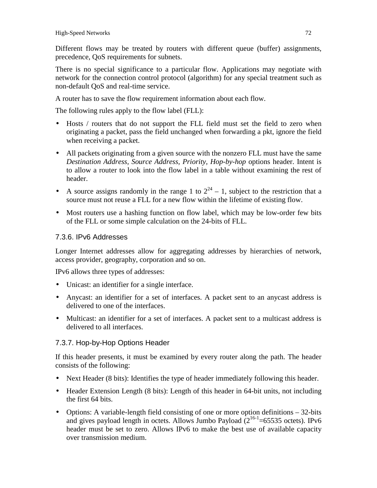Different flows may be treated by routers with different queue (buffer) assignments, precedence, QoS requirements for subnets.

There is no special significance to a particular flow. Applications may negotiate with network for the connection control protocol (algorithm) for any special treatment such as non-default QoS and real-time service.

A router has to save the flow requirement information about each flow.

The following rules apply to the flow label (FLL):

- Hosts / routers that do not support the FLL field must set the field to zero when originating a packet, pass the field unchanged when forwarding a pkt, ignore the field when receiving a packet.
- All packets originating from a given source with the nonzero FLL must have the same *Destination Address, Source Address, Priority, Hop-by-hop* options header. Intent is to allow a router to look into the flow label in a table without examining the rest of header.
- A source assigns randomly in the range 1 to  $2^{24} 1$ , subject to the restriction that a source must not reuse a FLL for a new flow within the lifetime of existing flow.
- Most routers use a hashing function on flow label, which may be low-order few bits of the FLL or some simple calculation on the 24-bits of FLL.

#### 7.3.6. IPv6 Addresses

Longer Internet addresses allow for aggregating addresses by hierarchies of network, access provider, geography, corporation and so on.

IPv6 allows three types of addresses:

- Unicast: an identifier for a single interface.
- Anycast: an identifier for a set of interfaces. A packet sent to an anycast address is delivered to one of the interfaces.
- Multicast: an identifier for a set of interfaces. A packet sent to a multicast address is delivered to all interfaces.

#### 7.3.7. Hop-by-Hop Options Header

If this header presents, it must be examined by every router along the path. The header consists of the following:

- Next Header (8 bits): Identifies the type of header immediately following this header.
- Header Extension Length (8 bits): Length of this header in 64-bit units, not including the first 64 bits.
- Options: A variable-length field consisting of one or more option definitions 32-bits and gives payload length in octets. Allows Jumbo Payload  $(2^{16-1} = 65535)$  octets). IPv6 header must be set to zero. Allows IPv6 to make the best use of available capacity over transmission medium.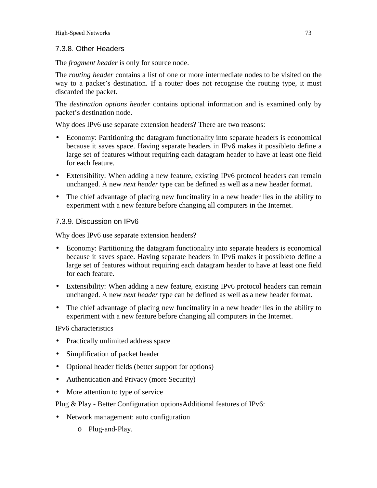#### 7.3.8. Other Headers

The *fragment header* is only for source node.

The *routing header* contains a list of one or more intermediate nodes to be visited on the way to a packet's destination. If a router does not recognise the routing type, it must discarded the packet.

The *destination options header* contains optional information and is examined only by packet's destination node.

Why does IPv6 use separate extension headers? There are two reasons:

- Economy: Partitioning the datagram functionality into separate headers is economical because it saves space. Having separate headers in IPv6 makes it possibleto define a large set of features without requiring each datagram header to have at least one field for each feature.
- Extensibility: When adding a new feature, existing IPv6 protocol headers can remain unchanged. A new *next header* type can be defined as well as a new header format.
- The chief advantage of placing new funcitnality in a new header lies in the ability to experiment with a new feature before changing all computers in the Internet.

#### 7.3.9. Discussion on IPv6

Why does IPv6 use separate extension headers?

- Economy: Partitioning the datagram functionality into separate headers is economical because it saves space. Having separate headers in IPv6 makes it possibleto define a large set of features without requiring each datagram header to have at least one field for each feature.
- Extensibility: When adding a new feature, existing IPv6 protocol headers can remain unchanged. A new *next header* type can be defined as well as a new header format.
- The chief advantage of placing new funcitnality in a new header lies in the ability to experiment with a new feature before changing all computers in the Internet.

IPv6 characteristics

- Practically unlimited address space
- Simplification of packet header
- Optional header fields (better support for options)
- Authentication and Privacy (more Security)
- More attention to type of service

Plug & Play - Better Configuration optionsAdditional features of IPv6:

- Network management: auto configuration
	- o Plug-and-Play.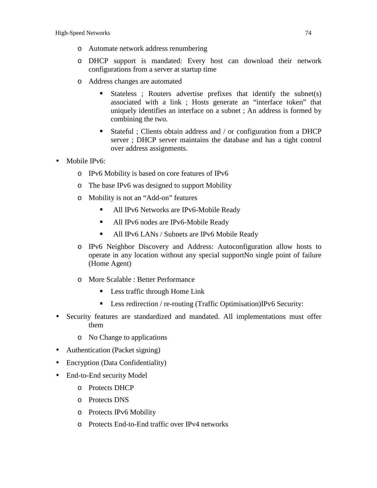- o Automate network address renumbering
- o DHCP support is mandated: Every host can download their network configurations from a server at startup time
- o Address changes are automated
	- Stateless ; Routers advertise prefixes that identify the subnet(s) associated with a link ; Hosts generate an "interface token" that uniquely identifies an interface on a subnet ; An address is formed by combining the two.
	- Stateful ; Clients obtain address and / or configuration from a DHCP server ; DHCP server maintains the database and has a tight control over address assignments.
- Mobile IPv6:
	- o IPv6 Mobility is based on core features of IPv6
	- o The base IPv6 was designed to support Mobility
	- o Mobility is not an "Add-on" features
		- •All IPv6 Networks are IPv6-Mobile Ready
		- All IPv6 nodes are IPv6-Mobile Ready
		- All IPv6 LANs / Subnets are IPv6 Mobile Ready
	- o IPv6 Neighbor Discovery and Address: Autoconfiguration allow hosts to operate in any location without any special supportNo single point of failure (Home Agent)
	- o More Scalable : Better Performance
		- **Less traffic through Home Link**
		- Less redirection / re-routing (Traffic Optimisation)IPv6 Security:
- Security features are standardized and mandated. All implementations must offer them
	- o No Change to applications
- Authentication (Packet signing)
- Encryption (Data Confidentiality)
- End-to-End security Model
	- o Protects DHCP
	- o Protects DNS
	- o Protects IPv6 Mobility
	- o Protects End-to-End traffic over IPv4 networks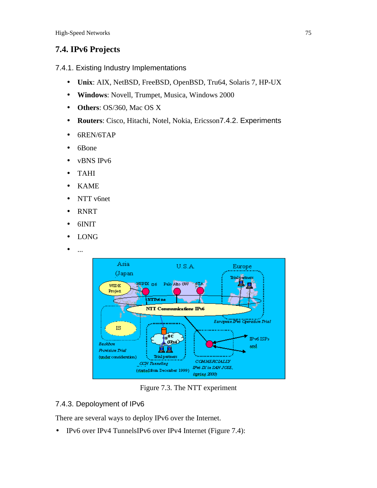# **7.4. IPv6 Projects**

7.4.1. Existing Industry Implementations

- **Unix**: AIX, NetBSD, FreeBSD, OpenBSD, Tru64, Solaris 7, HP-UX
- **Windows**: Novell, Trumpet, Musica, Windows 2000
- **Others**: OS/360, Mac OS X
- **Routers**: Cisco, Hitachi, Notel, Nokia, Ericsson7.4.2. Experiments
- 6REN/6TAP
- 6Bone
- vBNS IPv6
- TAHI
- KAME
- NTT v6net
- RNRT
- 6INIT
- LONG
- ...



Figure 7.3. The NTT experiment

## 7.4.3. Depoloyment of IPv6

There are several ways to deploy IPv6 over the Internet.

• IPv6 over IPv4 TunnelsIPv6 over IPv4 Internet (Figure 7.4):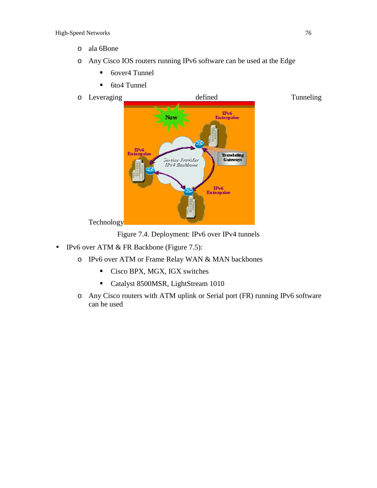- o ala 6Bone
- o Any Cisco IOS routers running IPv6 software can be used at the Edge
	- 6over4 Tunnel
	- 6to4 Tunnel



Figure 7.4. Deployment: IPv6 over IPv4 tunnels

- IPv6 over ATM & FR Backbone (Figure 7.5):
	- o IPv6 over ATM or Frame Relay WAN & MAN backbones
		- Cisco BPX, MGX, IGX switches
		- Catalyst 8500MSR, LightStream 1010
	- o Any Cisco routers with ATM uplink or Serial port (FR) running IPv6 software can be used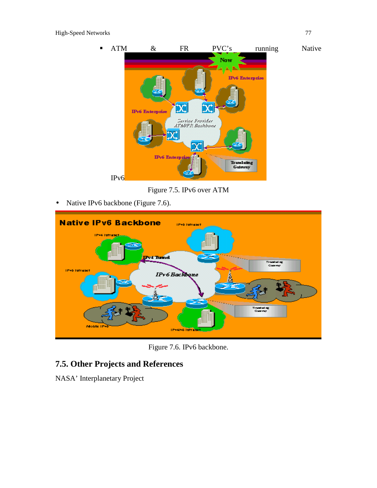

Figure 7.5. IPv6 over ATM

• Native IPv6 backbone (Figure 7.6).



Figure 7.6. IPv6 backbone.

# **7.5. Other Projects and References**

NASA' Interplanetary Project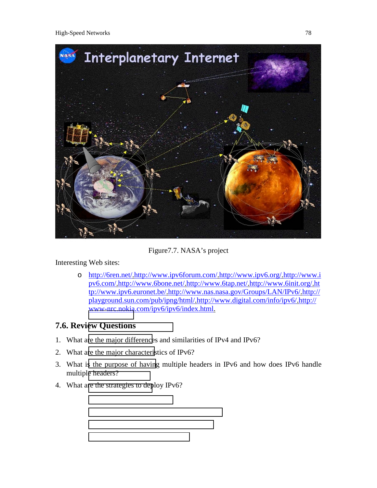

Figure7.7. NASA's project

#### Interesting Web sites:

o http://6ren.net/.http://www.ipv6forum.com/.http://www.ipv6.org/.http://www.i pv6.com/.http://www.6bone.net/.http://www.6tap.net/.http://www.6init.org/.ht tp://www.ipv6.euronet.be/.http://www.nas.nasa.gov/Groups/LAN/IPv6/.http:// playground.sun.com/pub/ipng/html/.http://www.digital.com/info/ipv6/.http:// [www-nrc.nokia](http://6ren.net/).com/ipv6/ipv6/index.html.

## **7.6. Revi[ew Questions](http://www.ipv6forum.com/)**

- 1. What a[re the major difference](http://www.ipv6.org/)s and similarities of IPv4 and IPv6?
- 2. What a[re the major characteris](http://www.ipv6.com/)tics of IPv6?
- 3. What i[s the purpose of havin](http://www.6bone.net/)g multiple headers in IPv6 and how does IPv6 handle multipl[e headers?](http://www.6tap.net/)
- 4. What a[re the strategies to dep](http://www.6init.org/)loy IPv6?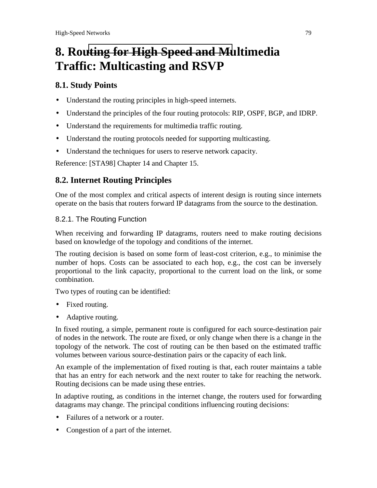# **8. Ro[uting for High Speed and Mu](http://www-nrc.nokia.com/ipv6/ipv6/index.html)ltimedia Traffic: Multicasting and RSVP**

# **8.1. Study Points**

- Understand the routing principles in high-speed internets.
- Understand the principles of the four routing protocols: RIP, OSPF, BGP, and IDRP.
- Understand the requirements for multimedia traffic routing.
- Understand the routing protocols needed for supporting multicasting.
- Understand the techniques for users to reserve network capacity.

Reference: [STA98] Chapter 14 and Chapter 15.

# **8.2. Internet Routing Principles**

One of the most complex and critical aspects of interent design is routing since internets operate on the basis that routers forward IP datagrams from the source to the destination.

## 8.2.1. The Routing Function

When receiving and forwarding IP datagrams, routers need to make routing decisions based on knowledge of the topology and conditions of the internet.

The routing decision is based on some form of least-cost criterion, e.g., to minimise the number of hops. Costs can be associated to each hop, e.g., the cost can be inversely proportional to the link capacity, proportional to the current load on the link, or some combination.

Two types of routing can be identified:

- Fixed routing.
- Adaptive routing.

In fixed routing, a simple, permanent route is configured for each source-destination pair of nodes in the network. The route are fixed, or only change when there is a change in the topology of the network. The cost of routing can be then based on the estimated traffic volumes between various source-destination pairs or the capacity of each link.

An example of the implementation of fixed routing is that, each router maintains a table that has an entry for each network and the next router to take for reaching the network. Routing decisions can be made using these entries.

In adaptive routing, as conditions in the internet change, the routers used for forwarding datagrams may change. The principal conditions influencing routing decisions:

- Failures of a network or a router.
- Congestion of a part of the internet.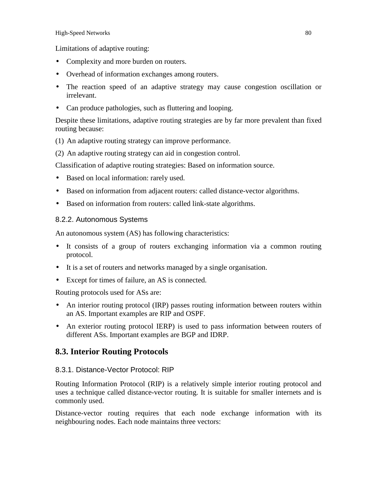Limitations of adaptive routing:

- Complexity and more burden on routers.
- Overhead of information exchanges among routers.
- The reaction speed of an adaptive strategy may cause congestion oscillation or irrelevant.
- Can produce pathologies, such as fluttering and looping.

Despite these limitations, adaptive routing strategies are by far more prevalent than fixed routing because:

(1) An adaptive routing strategy can improve performance.

(2) An adaptive routing strategy can aid in congestion control.

Classification of adaptive routing strategies: Based on information source.

- Based on local information: rarely used.
- Based on information from adjacent routers: called distance-vector algorithms.
- Based on information from routers: called link-state algorithms.

#### 8.2.2. Autonomous Systems

An autonomous system (AS) has following characteristics:

- It consists of a group of routers exchanging information via a common routing protocol.
- It is a set of routers and networks managed by a single organisation.
- Except for times of failure, an AS is connected.

Routing protocols used for ASs are:

- An interior routing protocol (IRP) passes routing information between routers within an AS. Important examples are RIP and OSPF.
- An exterior routing protocol IERP) is used to pass information between routers of different ASs. Important examples are BGP and IDRP.

## **8.3. Interior Routing Protocols**

#### 8.3.1. Distance-Vector Protocol: RIP

Routing Information Protocol (RIP) is a relatively simple interior routing protocol and uses a technique called distance-vector routing. It is suitable for smaller internets and is commonly used.

Distance-vector routing requires that each node exchange information with its neighbouring nodes. Each node maintains three vectors: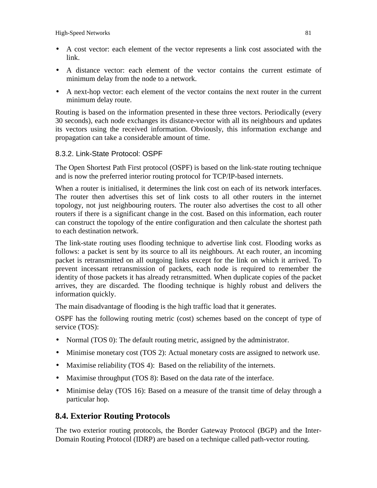- A cost vector: each element of the vector represents a link cost associated with the link.
- A distance vector: each element of the vector contains the current estimate of minimum delay from the node to a network.
- A next-hop vector: each element of the vector contains the next router in the current minimum delay route.

Routing is based on the information presented in these three vectors. Periodically (every 30 seconds), each node exchanges its distance-vector with all its neighbours and updates its vectors using the received information. Obviously, this information exchange and propagation can take a considerable amount of time.

#### 8.3.2. Link-State Protocol: OSPF

The Open Shortest Path First protocol (OSPF) is based on the link-state routing technique and is now the preferred interior routing protocol for TCP/IP-based internets.

When a router is initialised, it determines the link cost on each of its network interfaces. The router then advertises this set of link costs to all other routers in the internet topology, not just neighbouring routers. The router also advertises the cost to all other routers if there is a significant change in the cost. Based on this information, each router can construct the topology of the entire configuration and then calculate the shortest path to each destination network.

The link-state routing uses flooding technique to advertise link cost. Flooding works as follows: a packet is sent by its source to all its neighbours. At each router, an incoming packet is retransmitted on all outgoing links except for the link on which it arrived. To prevent incessant retransmission of packets, each node is required to remember the identity of those packets it has already retransmitted. When duplicate copies of the packet arrives, they are discarded. The flooding technique is highly robust and delivers the information quickly.

The main disadvantage of flooding is the high traffic load that it generates.

OSPF has the following routing metric (cost) schemes based on the concept of type of service (TOS):

- Normal (TOS 0): The default routing metric, assigned by the administrator.
- Minimise monetary cost (TOS 2): Actual monetary costs are assigned to network use.
- Maximise reliability (TOS 4): Based on the reliability of the internets.
- Maximise throughput (TOS 8): Based on the data rate of the interface.
- Minimise delay (TOS 16): Based on a measure of the transit time of delay through a particular hop.

## **8.4. Exterior Routing Protocols**

The two exterior routing protocols, the Border Gateway Protocol (BGP) and the Inter-Domain Routing Protocol (IDRP) are based on a technique called path-vector routing.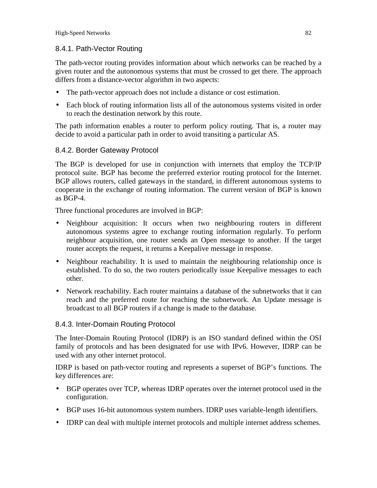#### 8.4.1. Path-Vector Routing

The path-vector routing provides information about which networks can be reached by a given router and the autonomous systems that must be crossed to get there. The approach differs from a distance-vector algorithm in two aspects:

- The path-vector approach does not include a distance or cost estimation.
- Each block of routing information lists all of the autonomous systems visited in order to reach the destination network by this route.

The path information enables a router to perform policy routing. That is, a router may decide to avoid a particular path in order to avoid transiting a particular AS.

### 8.4.2. Border Gateway Protocol

The BGP is developed for use in conjunction with internets that employ the TCP/IP protocol suite. BGP has become the preferred exterior routing protocol for the Internet. BGP allows routers, called gateways in the standard, in different autonomous systems to cooperate in the exchange of routing information. The current version of BGP is known as BGP-4.

Three functional procedures are involved in BGP:

- Neighbour acquisition: It occurs when two neighbouring routers in different autonomous systems agree to exchange routing information regularly. To perform neighbour acquisition, one router sends an Open message to another. If the target router accepts the request, it returns a Keepalive message in response.
- Neighbour reachability. It is used to maintain the neighbouring relationship once is established. To do so, the two routers periodically issue Keepalive messages to each other.
- Network reachability. Each router maintains a database of the subnetworks that it can reach and the preferred route for reaching the subnetwork. An Update message is broadcast to all BGP routers if a change is made to the database.

#### 8.4.3. Inter-Domain Routing Protocol

The Inter-Domain Routing Protocol (IDRP) is an ISO standard defined within the OSI family of protocols and has been designated for use with IPv6. However, IDRP can be used with any other internet protocol.

IDRP is based on path-vector routing and represents a superset of BGP's functions. The key differences are:

- BGP operates over TCP, whereas IDRP operates over the internet protocol used in the configuration.
- BGP uses 16-bit autonomous system numbers. IDRP uses variable-length identifiers.
- IDRP can deal with multiple internet protocols and multiple internet address schemes.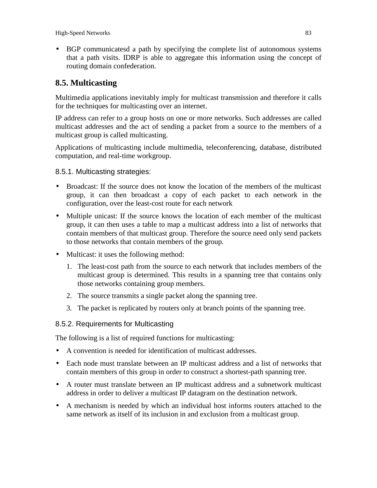• BGP communicatesd a path by specifying the complete list of autonomous systems that a path visits. IDRP is able to aggregate this information using the concept of routing domain confederation.

## **8.5. Multicasting**

Multimedia applications inevitably imply for multicast transmission and therefore it calls for the techniques for multicasting over an internet.

IP address can refer to a group hosts on one or more networks. Such addresses are called multicast addresses and the act of sending a packet from a source to the members of a multicast group is called multicasting.

Applications of multicasting include multimedia, teleconferencing, database, distributed computation, and real-time workgroup.

#### 8.5.1. Multicasting strategies:

- Broadcast: If the source does not know the location of the members of the multicast group, it can then broadcast a copy of each packet to each network in the configuration, over the least-cost route for each network
- Multiple unicast: If the source knows the location of each member of the multicast group, it can then uses a table to map a multicast address into a list of networks that contain members of that multicast group. Therefore the source need only send packets to those networks that contain members of the group.
- Multicast: it uses the following method:
	- 1. The least-cost path from the source to each network that includes members of the multicast group is determined. This results in a spanning tree that contains only those networks containing group members.
	- 2. The source transmits a single packet along the spanning tree.
	- 3. The packet is replicated by routers only at branch points of the spanning tree.

#### 8.5.2. Requirements for Multicasting

The following is a list of required functions for multicasting:

- A convention is needed for identification of multicast addresses.
- Each node must translate between an IP multicast address and a list of networks that contain members of this group in order to construct a shortest-path spanning tree.
- A router must translate between an IP multicast address and a subnetwork multicast address in order to deliver a multicast IP datagram on the destination network.
- A mechanism is needed by which an individual host informs routers attached to the same network as itself of its inclusion in and exclusion from a multicast group.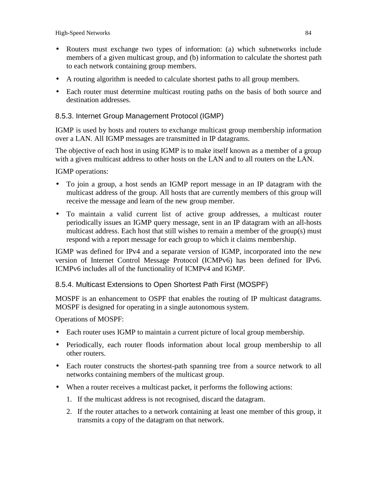- Routers must exchange two types of information: (a) which subnetworks include members of a given multicast group, and (b) information to calculate the shortest path to each network containing group members.
- A routing algorithm is needed to calculate shortest paths to all group members.
- Each router must determine multicast routing paths on the basis of both source and destination addresses.

#### 8.5.3. Internet Group Management Protocol (IGMP)

IGMP is used by hosts and routers to exchange multicast group membership information over a LAN. All IGMP messages are transmitted in IP datagrams.

The objective of each host in using IGMP is to make itself known as a member of a group with a given multicast address to other hosts on the LAN and to all routers on the LAN.

IGMP operations:

- To join a group, a host sends an IGMP report message in an IP datagram with the multicast address of the group. All hosts that are currently members of this group will receive the message and learn of the new group member.
- To maintain a valid current list of active group addresses, a multicast router periodically issues an IGMP query message, sent in an IP datagram with an all-hosts multicast address. Each host that still wishes to remain a member of the group(s) must respond with a report message for each group to which it claims membership.

IGMP was defined for IPv4 and a separate version of IGMP, incorporated into the new version of Internet Control Message Protocol (ICMPv6) has been defined for IPv6. ICMPv6 includes all of the functionality of ICMPv4 and IGMP.

#### 8.5.4. Multicast Extensions to Open Shortest Path First (MOSPF)

MOSPF is an enhancement to OSPF that enables the routing of IP multicast datagrams. MOSPF is designed for operating in a single autonomous system.

#### Operations of MOSPF:

- Each router uses IGMP to maintain a current picture of local group membership.
- Periodically, each router floods information about local group membership to all other routers.
- Each router constructs the shortest-path spanning tree from a source network to all networks containing members of the multicast group.
- When a router receives a multicast packet, it performs the following actions:
	- 1. If the multicast address is not recognised, discard the datagram.
	- 2. If the router attaches to a network containing at least one member of this group, it transmits a copy of the datagram on that network.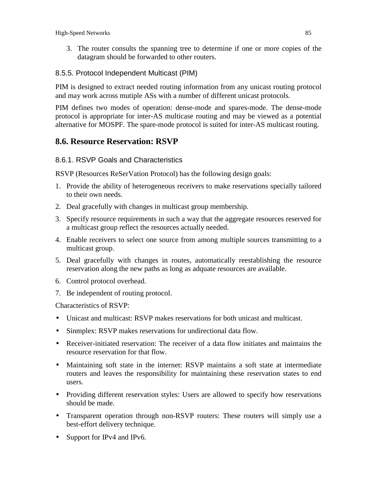- 3. The router consults the spanning tree to determine if one or more copies of the datagram should be forwarded to other routers.
- 8.5.5. Protocol Independent Multicast (PIM)

PIM is designed to extract needed routing information from any unicast routing protocol and may work across mutiple ASs with a number of different unicast protocols.

PIM defines two modes of operation: dense-mode and spares-mode. The dense-mode protocol is appropriate for inter-AS multicase routing and may be viewed as a potential alternative for MOSPF. The spare-mode protocol is suited for inter-AS multicast routing.

## **8.6. Resource Reservation: RSVP**

### 8.6.1. RSVP Goals and Characteristics

RSVP (Resources ReSerVation Protocol) has the following design goals:

- 1. Provide the ability of heterogeneous receivers to make reservations specially tailored to their own needs.
- 2. Deal gracefully with changes in multicast group membership.
- 3. Specify resource requirements in such a way that the aggregate resources reserved for a multicast group reflect the resources actually needed.
- 4. Enable receivers to select one source from among multiple sources transmitting to a multicast group.
- 5. Deal gracefully with changes in routes, automatically reestablishing the resource reservation along the new paths as long as adquate resources are available.
- 6. Control protocol overhead.
- 7. Be independent of routing protocol.

Characteristics of RSVP:

- Unicast and multicast: RSVP makes reservations for both unicast and multicast.
- Sinmplex: RSVP makes reservations for undirectional data flow.
- Receiver-initiated reservation: The receiver of a data flow initiates and maintains the resource reservation for that flow.
- Maintaining soft state in the internet: RSVP maintains a soft state at intermediate routers and leaves the responsibility for maintaining these reservation states to end users.
- Providing different reservation styles: Users are allowed to specify how reservations should be made.
- Transparent operation through non-RSVP routers: These routers will simply use a best-effort delivery technique.
- Support for IPv4 and IPv6.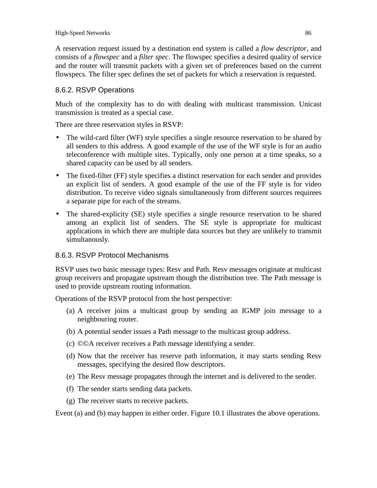A reservation request issued by a destination end system is called a *flow descriptor*, and consists of a *flowspec* and a *filter spec*. The flowspec specifies a desired quality of service and the router will transmit packets with a given set of preferences based on the current flowspecs. The filter spec defines the set of packets for which a reservation is requested.

#### 8.6.2. RSVP Operations

Much of the complexity has to do with dealing with multicast transmission. Unicast transmission is treated as a special case.

There are three reservation styles in RSVP:

- The wild-card filter (WF) style specifies a single resource reservation to be shared by all senders to this address. A good example of the use of the WF style is for an audio teleconference with multiple sites. Typically, only one person at a time speaks, so a shared capacity can be used by all senders.
- The fixed-filter (FF) style specifies a distinct reservation for each sender and provides an explicit list of senders. A good example of the use of the FF style is for video distribution. To receive video signals simultaneously from different sources requirees a separate pipe for each of the streams.
- The shared-explicity (SE) style specifies a single resource reservation to be shared among an explicit list of senders. The SE style is appropriate for multicast applications in which there are multiple data sources but they are unlikely to transmit simultanously.

#### 8.6.3. RSVP Protocol Mechanisms

RSVP uses two basic message types: Resv and Path. Resv messages originate at multicast group receivers and propagate upstream though the distribution tree. The Path message is used to provide upstream routing information.

Operations of the RSVP protocol from the host perspective:

- (a) A receiver joins a multicast group by sending an IGMP join message to a neighbouring router.
- (b) A potential sender issues a Path message to the multicast group address.
- (c) ©©A receiver receives a Path message identifying a sender.
- (d) Now that the receiver has reserve path information, it may starts sending Resv messages, specifying the desired flow descriptors.
- (e) The Resv message propagates through the internet and is delivered to the sender.
- (f) The sender starts sending data packets.
- (g) The receiver starts to receive packets.

Event (a) and (b) may happen in either order. Figure 10.1 illustrates the above operations.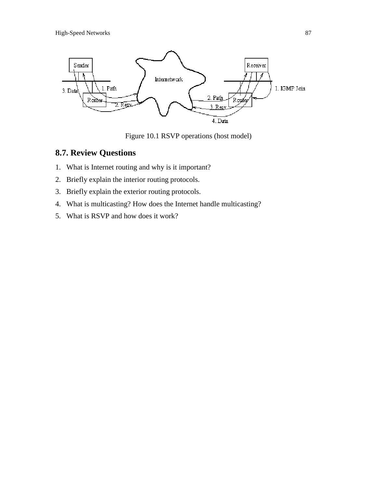

Figure 10.1 RSVP operations (host model)

## **8.7. Review Questions**

- 1. What is Internet routing and why is it important?
- 2. Briefly explain the interior routing protocols.
- 3. Briefly explain the exterior routing protocols.
- 4. What is multicasting? How does the Internet handle multicasting?
- 5. What is RSVP and how does it work?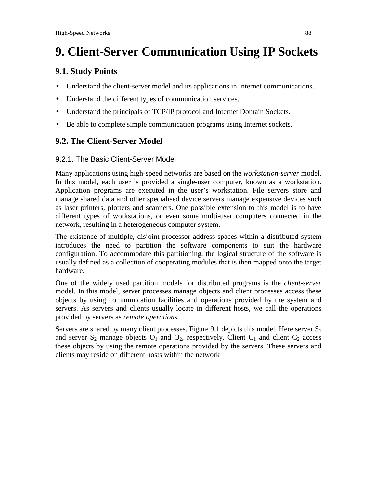# **9. Client-Server Communication Using IP Sockets**

## **9.1. Study Points**

- Understand the client-server model and its applications in Internet communications.
- Understand the different types of communication services.
- Understand the principals of TCP/IP protocol and Internet Domain Sockets.
- Be able to complete simple communication programs using Internet sockets.

## **9.2. The Client-Server Model**

#### 9.2.1. The Basic Client-Server Model

Many applications using high-speed networks are based on the *workstation-server* model. In this model, each user is provided a single-user computer, known as a workstation. Application programs are executed in the user's workstation. File servers store and manage shared data and other specialised device servers manage expensive devices such as laser printers, plotters and scanners. One possible extension to this model is to have different types of workstations, or even some multi-user computers connected in the network, resulting in a heterogeneous computer system.

The existence of multiple, disjoint processor address spaces within a distributed system introduces the need to partition the software components to suit the hardware configuration. To accommodate this partitioning, the logical structure of the software is usually defined as a collection of cooperating modules that is then mapped onto the target hardware.

One of the widely used partition models for distributed programs is the *client-server* model. In this model, server processes manage objects and client processes access these objects by using communication facilities and operations provided by the system and servers. As servers and clients usually locate in different hosts, we call the operations provided by servers as *remote operations*.

Servers are shared by many client processes. Figure 9.1 depicts this model. Here server  $S_1$ and server  $S_2$  manage objects  $O_1$  and  $O_2$ , respectively. Client  $C_1$  and client  $C_2$  access these objects by using the remote operations provided by the servers. These servers and clients may reside on different hosts within the network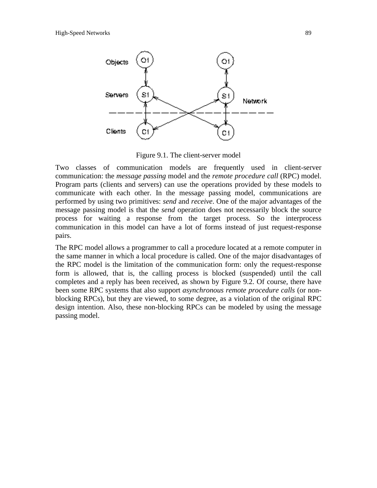

Figure 9.1. The client-server model

Two classes of communication models are frequently used in client-server communication: the *message passing* model and the *remote procedure call* (RPC) model. Program parts (clients and servers) can use the operations provided by these models to communicate with each other. In the message passing model, communications are performed by using two primitives: *send* and *receive*. One of the major advantages of the message passing model is that the *send* operation does not necessarily block the source process for waiting a response from the target process. So the interprocess communication in this model can have a lot of forms instead of just request-response pairs.

The RPC model allows a programmer to call a procedure located at a remote computer in the same manner in which a local procedure is called. One of the major disadvantages of the RPC model is the limitation of the communication form: only the request-response form is allowed, that is, the calling process is blocked (suspended) until the call completes and a reply has been received, as shown by Figure 9.2. Of course, there have been some RPC systems that also support *asynchronous remote procedure calls* (or nonblocking RPCs), but they are viewed, to some degree, as a violation of the original RPC design intention. Also, these non-blocking RPCs can be modeled by using the message passing model.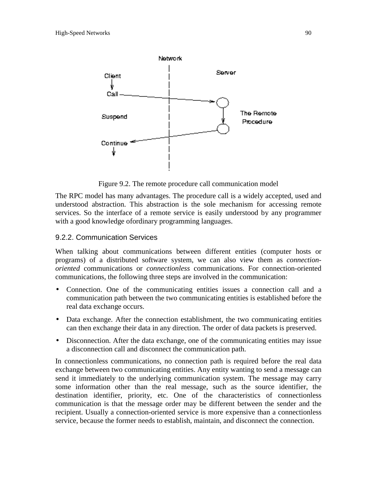

Figure 9.2. The remote procedure call communication model

The RPC model has many advantages. The procedure call is a widely accepted, used and understood abstraction. This abstraction is the sole mechanism for accessing remote services. So the interface of a remote service is easily understood by any programmer with a good knowledge ofordinary programming languages.

#### 9.2.2. Communication Services

When talking about communications between different entities (computer hosts or programs) of a distributed software system, we can also view them as *connectionoriented* communications or *connectionless* communications. For connection-oriented communications, the following three steps are involved in the communication:

- Connection. One of the communicating entities issues a connection call and a communication path between the two communicating entities is established before the real data exchange occurs.
- Data exchange. After the connection establishment, the two communicating entities can then exchange their data in any direction. The order of data packets is preserved.
- Disconnection. After the data exchange, one of the communicating entities may issue a disconnection call and disconnect the communication path.

In connectionless communications, no connection path is required before the real data exchange between two communicating entities. Any entity wanting to send a message can send it immediately to the underlying communication system. The message may carry some information other than the real message, such as the source identifier, the destination identifier, priority, etc. One of the characteristics of connectionless communication is that the message order may be different between the sender and the recipient. Usually a connection-oriented service is more expensive than a connectionless service, because the former needs to establish, maintain, and disconnect the connection.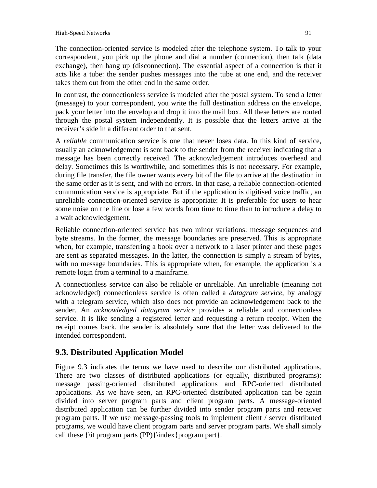The connection-oriented service is modeled after the telephone system. To talk to your correspondent, you pick up the phone and dial a number (connection), then talk (data exchange), then hang up (disconnection). The essential aspect of a connection is that it acts like a tube: the sender pushes messages into the tube at one end, and the receiver takes them out from the other end in the same order.

In contrast, the connectionless service is modeled after the postal system. To send a letter (message) to your correspondent, you write the full destination address on the envelope, pack your letter into the envelop and drop it into the mail box. All these letters are routed through the postal system independently. It is possible that the letters arrive at the receiver's side in a different order to that sent.

A *reliable* communication service is one that never loses data. In this kind of service, usually an acknowledgement is sent back to the sender from the receiver indicating that a message has been correctly received. The acknowledgement introduces overhead and delay. Sometimes this is worthwhile, and sometimes this is not necessary. For example, during file transfer, the file owner wants every bit of the file to arrive at the destination in the same order as it is sent, and with no errors. In that case, a reliable connection-oriented communication service is appropriate. But if the application is digitised voice traffic, an unreliable connection-oriented service is appropriate: It is preferable for users to hear some noise on the line or lose a few words from time to time than to introduce a delay to a wait acknowledgement.

Reliable connection-oriented service has two minor variations: message sequences and byte streams. In the former, the message boundaries are preserved. This is appropriate when, for example, transferring a book over a network to a laser printer and these pages are sent as separated messages. In the latter, the connection is simply a stream of bytes, with no message boundaries. This is appropriate when, for example, the application is a remote login from a terminal to a mainframe.

A connectionless service can also be reliable or unreliable. An unreliable (meaning not acknowledged) connectionless service is often called a *datagram service*, by analogy with a telegram service, which also does not provide an acknowledgement back to the sender. An *acknowledged datagram service* provides a reliable and connectionless service. It is like sending a registered letter and requesting a return receipt. When the receipt comes back, the sender is absolutely sure that the letter was delivered to the intended correspondent.

# **9.3. Distributed Application Model**

Figure 9.3 indicates the terms we have used to describe our distributed applications. There are two classes of distributed applications (or equally, distributed programs): message passing-oriented distributed applications and RPC-oriented distributed applications. As we have seen, an RPC-oriented distributed application can be again divided into server program parts and client program parts. A message-oriented distributed application can be further divided into sender program parts and receiver program parts. If we use message-passing tools to implement client / server distributed programs, we would have client program parts and server program parts. We shall simply call these  $\{\text{program parts (PP)}\index{program part}\$ .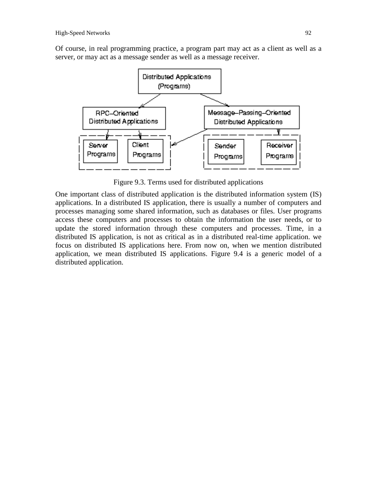Of course, in real programming practice, a program part may act as a client as well as a server, or may act as a message sender as well as a message receiver.



Figure 9.3. Terms used for distributed applications

One important class of distributed application is the distributed information system (IS) applications. In a distributed IS application, there is usually a number of computers and processes managing some shared information, such as databases or files. User programs access these computers and processes to obtain the information the user needs, or to update the stored information through these computers and processes. Time, in a distributed IS application, is not as critical as in a distributed real-time application. we focus on distributed IS applications here. From now on, when we mention distributed application, we mean distributed IS applications. Figure 9.4 is a generic model of a distributed application.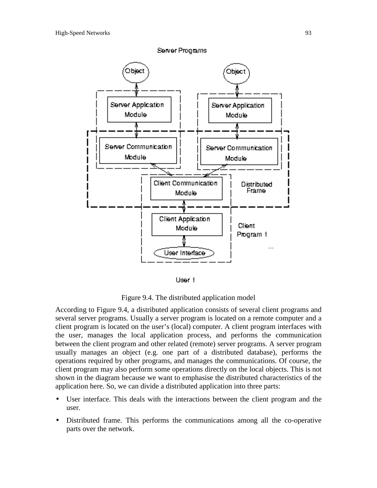

Server Programs



Figure 9.4. The distributed application model

According to Figure 9.4, a distributed application consists of several client programs and several server programs. Usually a server program is located on a remote computer and a client program is located on the user's (local) computer. A client program interfaces with the user, manages the local application process, and performs the communication between the client program and other related (remote) server programs. A server program usually manages an object (e.g. one part of a distributed database), performs the operations required by other programs, and manages the communications. Of course, the client program may also perform some operations directly on the local objects. This is not shown in the diagram because we want to emphasise the distributed characteristics of the application here. So, we can divide a distributed application into three parts:

- User interface. This deals with the interactions between the client program and the user.
- Distributed frame. This performs the communications among all the co-operative parts over the network.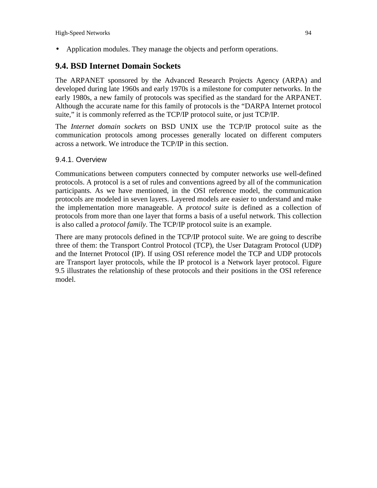• Application modules. They manage the objects and perform operations.

## **9.4. BSD Internet Domain Sockets**

The ARPANET sponsored by the Advanced Research Projects Agency (ARPA) and developed during late 1960s and early 1970s is a milestone for computer networks. In the early 1980s, a new family of protocols was specified as the standard for the ARPANET. Although the accurate name for this family of protocols is the "DARPA Internet protocol suite," it is commonly referred as the TCP/IP protocol suite, or just TCP/IP.

The *Internet domain sockets* on BSD UNIX use the TCP/IP protocol suite as the communication protocols among processes generally located on different computers across a network. We introduce the TCP/IP in this section.

#### 9.4.1. Overview

Communications between computers connected by computer networks use well-defined protocols. A protocol is a set of rules and conventions agreed by all of the communication participants. As we have mentioned, in the OSI reference model, the communication protocols are modeled in seven layers. Layered models are easier to understand and make the implementation more manageable. A *protocol suite* is defined as a collection of protocols from more than one layer that forms a basis of a useful network. This collection is also called a *protocol family*. The TCP/IP protocol suite is an example.

There are many protocols defined in the TCP/IP protocol suite. We are going to describe three of them: the Transport Control Protocol (TCP), the User Datagram Protocol (UDP) and the Internet Protocol (IP). If using OSI reference model the TCP and UDP protocols are Transport layer protocols, while the IP protocol is a Network layer protocol. Figure 9.5 illustrates the relationship of these protocols and their positions in the OSI reference model.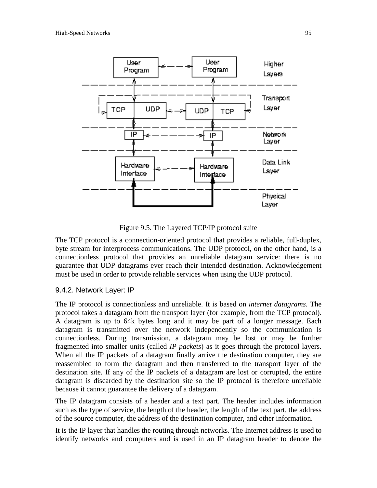

Figure 9.5. The Layered TCP/IP protocol suite

The TCP protocol is a connection-oriented protocol that provides a reliable, full-duplex, byte stream for interprocess communications. The UDP protocol, on the other hand, is a connectionless protocol that provides an unreliable datagram service: there is no guarantee that UDP datagrams ever reach their intended destination. Acknowledgement must be used in order to provide reliable services when using the UDP protocol.

#### 9.4.2. Network Layer: IP

The IP protocol is connectionless and unreliable. It is based on *internet datagrams*. The protocol takes a datagram from the transport layer (for example, from the TCP protocol). A datagram is up to 64k bytes long and it may be part of a longer message. Each datagram is transmitted over the network independently so the communication ls connectionless. During transmission, a datagram may be lost or may be further fragmented into smaller units (called *IP packets*) as it goes through the protocol layers. When all the IP packets of a datagram finally arrive the destination computer, they are reassembled to form the datagram and then transferred to the transport layer of the destination site. If any of the IP packets of a datagram are lost or corrupted, the entire datagram is discarded by the destination site so the IP protocol is therefore unreliable because it cannot guarantee the delivery of a datagram.

The IP datagram consists of a header and a text part. The header includes information such as the type of service, the length of the header, the length of the text part, the address of the source computer, the address of the destination computer, and other information.

It is the IP layer that handles the routing through networks. The Internet address is used to identify networks and computers and is used in an IP datagram header to denote the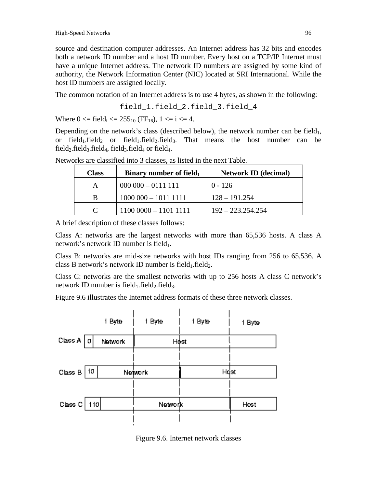source and destination computer addresses. An Internet address has 32 bits and encodes both a network ID number and a host ID number. Every host on a TCP/IP Internet must have a unique Internet address. The network ID numbers are assigned by some kind of authority, the Network Information Center (NIC) located at SRI International. While the host ID numbers are assigned locally.

The common notation of an Internet address is to use 4 bytes, as shown in the following:

$$
{\tt field\_1.field\_2.field\_3.field\_4}
$$

Where  $0 \le$  field<sub>i</sub>  $\le$  255<sub>10</sub> (FF<sub>16</sub>), 1  $\le$  i  $\le$  4.

Depending on the network's class (described below), the network number can be field<sub>1</sub>, or field<sub>1</sub>.field<sub>2</sub> or field<sub>1</sub>.field<sub>2</sub>.field<sub>3</sub>. That means the host number can be field<sub>2</sub>.field<sub>3</sub>.field<sub>4</sub>, field<sub>3</sub>.field<sub>4</sub> or field<sub>4</sub>.

| <b>Class</b>  | Binary number of field $_1$ | <b>Network ID (decimal)</b> |
|---------------|-----------------------------|-----------------------------|
| A             | $000000 - 0111111$          | $0 - 126$                   |
| B             | $1000000 - 1011111$         | $128 - 191.254$             |
| $\mathcal{C}$ | 1100 0000 - 1101 1111       | $192 - 223.254.254$         |

Networks are classified into 3 classes, as listed in the next Table.

A brief description of these classes follows:

Class A: networks are the largest networks with more than 65,536 hosts. A class A network's network ID number is field<sub>1</sub>.

Class B: networks are mid-size networks with host IDs ranging from 256 to 65,536. A class B network's network ID number is field<sub>1</sub>.field<sub>2</sub>.

Class C: networks are the smallest networks with up to 256 hosts A class C network's network ID number is field<sub>1</sub>.field<sub>2</sub>.field<sub>3</sub>.

Figure 9.6 illustrates the Internet address formats of these three network classes.



Figure 9.6. Internet network classes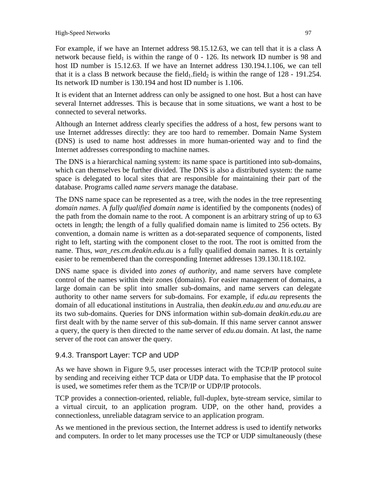For example, if we have an Internet address 98.15.12.63, we can tell that it is a class A network because field<sub>1</sub> is within the range of  $0 - 126$ . Its network ID number is 98 and host ID number is 15.12.63. If we have an Internet address 130.194.1.106, we can tell that it is a class B network because the field<sub>1</sub>.field<sub>2</sub> is within the range of  $128 - 191.254$ . Its network ID number is 130.194 and host ID number is 1.106.

It is evident that an Internet address can only be assigned to one host. But a host can have several Internet addresses. This is because that in some situations, we want a host to be connected to several networks.

Although an Internet address clearly specifies the address of a host, few persons want to use Internet addresses directly: they are too hard to remember. Domain Name System (DNS) is used to name host addresses in more human-oriented way and to find the Internet addresses corresponding to machine names.

The DNS is a hierarchical naming system: its name space is partitioned into sub-domains, which can themselves be further divided. The DNS is also a distributed system: the name space is delegated to local sites that are responsible for maintaining their part of the database. Programs called *name servers* manage the database.

The DNS name space can be represented as a tree, with the nodes in the tree representing *domain names*. A *fully qualified domain name* is identified by the components (nodes) of the path from the domain name to the root. A component is an arbitrary string of up to 63 octets in length; the length of a fully qualified domain name is limited to 256 octets. By convention, a domain name is written as a dot-separated sequence of components, listed right to left, starting with the component closet to the root. The root is omitted from the name. Thus, *wan\_res.cm.deakin.edu.au* is a fully qualified domain names. It is certainly easier to be remembered than the corresponding Internet addresses 139.130.118.102.

DNS name space is divided into *zones of authority*, and name servers have complete control of the names within their zones (domains). For easier management of domains, a large domain can be split into smaller sub-domains, and name servers can delegate authority to other name servers for sub-domains. For example, if *edu.au* represents the domain of all educational institutions in Australia, then *deakin.edu.au* and *anu.edu.au* are its two sub-domains. Queries for DNS information within sub-domain *deakin.edu.au* are first dealt with by the name server of this sub-domain. If this name server cannot answer a query, the query is then directed to the name server of *edu.au* domain. At last, the name server of the root can answer the query.

#### 9.4.3. Transport Layer: TCP and UDP

As we have shown in Figure 9.5, user processes interact with the TCP/IP protocol suite by sending and receiving either TCP data or UDP data. To emphasise that the IP protocol is used, we sometimes refer them as the TCP/IP or UDP/IP protocols.

TCP provides a connection-oriented, reliable, full-duplex, byte-stream service, similar to a virtual circuit, to an application program. UDP, on the other hand, provides a connectionless, unreliable datagram service to an application program.

As we mentioned in the previous section, the Internet address is used to identify networks and computers. In order to let many processes use the TCP or UDP simultaneously (these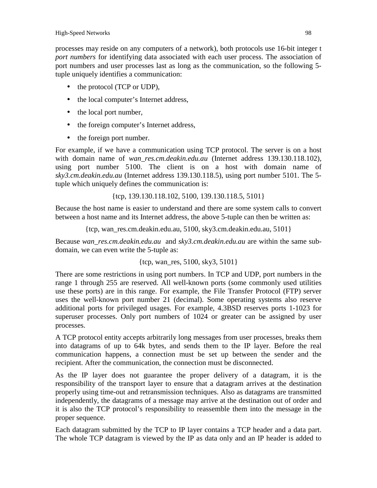processes may reside on any computers of a network), both protocols use 16-bit integer t *port numbers* for identifying data associated with each user process. The association of port numbers and user processes last as long as the communication, so the following 5 tuple uniquely identifies a communication:

- the protocol (TCP or UDP),
- the local computer's Internet address,
- the local port number,
- the foreign computer's Internet address,
- the foreign port number.

For example, if we have a communication using TCP protocol. The server is on a host with domain name of *wan\_res.cm.deakin.edu.au* (Internet address 139.130.118.102), using port number 5100. The client is on a host with domain name of *sky3.cm.deakin.edu.au* (Internet address 139.130.118.5), using port number 5101. The 5 tuple which uniquely defines the communication is:

{tcp, 139.130.118.102, 5100, 139.130.118.5, 5101}

Because the host name is easier to understand and there are some system calls to convert between a host name and its Internet address, the above 5-tuple can then be written as:

 $\{ \text{top}, \text{wan} \text{ res.cm}. \text{deakin}. \text{edu.au}, \frac{5100}{\text{sky3.cm}}. \text{deakin}. \text{edu.au}, \frac{5101}{\text{S101}} \}$ 

Because *wan\_res.cm.deakin.edu.au* and *sky3.cm.deakin.edu.au* are within the same subdomain, we can even write the 5-tuple as:

{tcp, wan\_res, 5100, sky3, 5101}

There are some restrictions in using port numbers. In TCP and UDP, port numbers in the range 1 through 255 are reserved. All well-known ports (some commonly used utilities use these ports) are in this range. For example, the File Transfer Protocol (FTP) server uses the well-known port number 21 (decimal). Some operating systems also reserve additional ports for privileged usages. For example, 4.3BSD reserves ports 1-1023 for superuser processes. Only port numbers of 1024 or greater can be assigned by user processes.

A TCP protocol entity accepts arbitrarily long messages from user processes, breaks them into datagrams of up to 64k bytes, and sends them to the IP layer. Before the real communication happens, a connection must be set up between the sender and the recipient. After the communication, the connection must be disconnected.

As the IP layer does not guarantee the proper delivery of a datagram, it is the responsibility of the transport layer to ensure that a datagram arrives at the destination properly using time-out and retransmission techniques. Also as datagrams are transmitted independently, the datagrams of a message may arrive at the destination out of order and it is also the TCP protocol's responsibility to reassemble them into the message in the proper sequence.

Each datagram submitted by the TCP to IP layer contains a TCP header and a data part. The whole TCP datagram is viewed by the IP as data only and an IP header is added to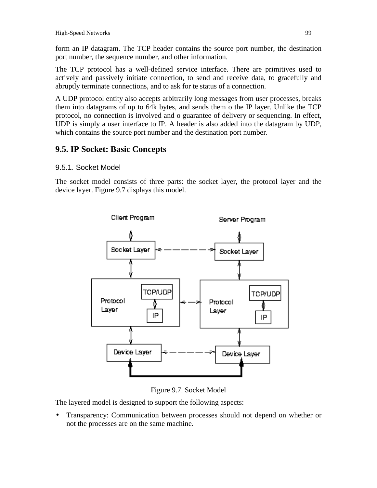form an IP datagram. The TCP header contains the source port number, the destination port number, the sequence number, and other information.

The TCP protocol has a well-defined service interface. There are primitives used to actively and passively initiate connection, to send and receive data, to gracefully and abruptly terminate connections, and to ask for te status of a connection.

A UDP protocol entity also accepts arbitrarily long messages from user processes, breaks them into datagrams of up to 64k bytes, and sends them o the IP layer. Unlike the TCP protocol, no connection is involved and o guarantee of delivery or sequencing. In effect, UDP is simply a user interface to IP. A header is also added into the datagram by UDP, which contains the source port number and the destination port number.

## **9.5. IP Socket: Basic Concepts**

#### 9.5.1. Socket Model

The socket model consists of three parts: the socket layer, the protocol layer and the device layer. Figure 9.7 displays this model.



Figure 9.7. Socket Model

The layered model is designed to support the following aspects:

• Transparency: Communication between processes should not depend on whether or not the processes are on the same machine.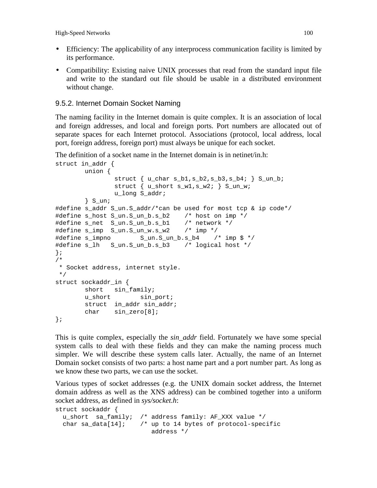- Efficiency: The applicability of any interprocess communication facility is limited by its performance.
- Compatibility: Existing naive UNIX processes that read from the standard input file and write to the standard out file should be usable in a distributed environment without change.

#### 9.5.2. Internet Domain Socket Naming

The naming facility in the Internet domain is quite complex. It is an association of local and foreign addresses, and local and foreign ports. Port numbers are allocated out of separate spaces for each Internet protocol. Associations (protocol, local address, local port, foreign address, foreign port) must always be unique for each socket.

The definition of a socket name in the Internet domain is in netinet/in.h:

```
struct in addr {
       union {
               struct { u_char s_b1,s_b2,s_b3,s_b4; } S_un_b;
               struct { u_short s_w1,s_w2; } S_un_w;
               u_long S_addr;
       } S_un;
#define s addr S un.S addr/*can be used for most tcp & ip code*/
#define s_host S_un.S_un_b.s_b2 /* host on imp */
#define s_net S_un.S_un_b.s_b1 /* network */
#define s_imp S_un.S_un_w.s_w2 /* imp */
#define s_impno S_un.S_un_b.s_b4 /* imp $ */
#define s_lh S_un.S_un_b.s_b3 /* logical host */
};
/*
* Socket address, internet style.
*/
struct sockaddr in {
       short sin_family;
       u short sin port;
       struct in_addr sin_addr;
       char sin_zero[8];
};
```
This is quite complex, especially the *sin\_addr* field. Fortunately we have some special system calls to deal with these fields and they can make the naming process much simpler. We will describe these system calls later. Actually, the name of an Internet Domain socket consists of two parts: a host name part and a port number part. As long as we know these two parts, we can use the socket.

Various types of socket addresses (e.g. the UNIX domain socket address, the Internet domain address as well as the XNS address) can be combined together into a uniform socket address, as defined in *sys/socket.h*:

```
struct sockaddr {
 u_short sa_family; /* address family: AF_XXX value */
 char sa_data[14]; /* up to 14 bytes of protocol-specific
                         address */
```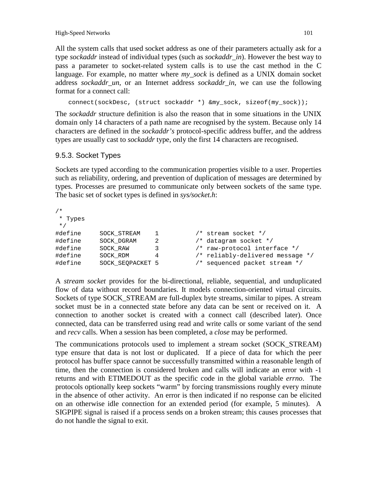All the system calls that used socket address as one of their parameters actually ask for a type *sockaddr* instead of individual types (such as *sockaddr\_in*). However the best way to pass a parameter to socket-related system calls is to use the cast method in the C language. For example, no matter where *my\_sock* is defined as a UNIX domain socket address *sockaddr\_un*, or an Internet address *sockaddr\_in*, we can use the following format for a connect call:

connect(sockDesc, (struct sockaddr \*) &my\_sock, sizeof(my\_sock));

The *sockaddr* structure definition is also the reason that in some situations in the UNIX domain only 14 characters of a path name are recognised by the system. Because only 14 characters are defined in the *sockaddr's* protocol-specific address buffer, and the address types are usually cast to *sockaddr* type, only the first 14 characters are recognised.

#### 9.5.3. Socket Types

Sockets are typed according to the communication properties visible to a user. Properties such as reliability, ordering, and prevention of duplication of messages are determined by types. Processes are presumed to communicate only between sockets of the same type. The basic set of socket types is defined in *sys/socket.h*:

| $/$ *     |                  |    |                                  |
|-----------|------------------|----|----------------------------------|
| * Types   |                  |    |                                  |
| $\star$ / |                  |    |                                  |
| #define   | SOCK STREAM      | 1. | /* stream socket */              |
| #define   | SOCK DGRAM       | 2  | /* datagram socket */            |
| #define   | SOCK RAW         |    | /* raw-protocol interface */     |
| #define   | SOCK RDM         | 4  | /* reliably-delivered message */ |
| #define   | SOCK SEOPACKET 5 |    | /* sequenced packet stream */    |

A *stream socket* provides for the bi-directional, reliable, sequential, and unduplicated flow of data without record boundaries. It models connection-oriented virtual circuits. Sockets of type SOCK\_STREAM are full-duplex byte streams, similar to pipes. A stream socket must be in a connected state before any data can be sent or received on it. A connection to another socket is created with a connect call (described later). Once connected, data can be transferred using read and write calls or some variant of the send and *recv* calls. When a session has been completed, a *close* may be performed.

The communications protocols used to implement a stream socket (SOCK\_STREAM) type ensure that data is not lost or duplicated. If a piece of data for which the peer protocol has buffer space cannot be successfully transmitted within a reasonable length of time, then the connection is considered broken and calls will indicate an error with -1 returns and with ETIMEDOUT as the specific code in the global variable *errno*. The protocols optionally keep sockets "warm" by forcing transmissions roughly every minute in the absence of other activity. An error is then indicated if no response can be elicited on an otherwise idle connection for an extended period (for example, 5 minutes). A SIGPIPE signal is raised if a process sends on a broken stream; this causes processes that do not handle the signal to exit.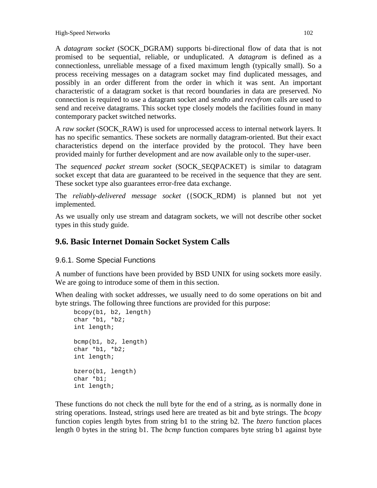A *datagram socket* (SOCK\_DGRAM) supports bi-directional flow of data that is not promised to be sequential, reliable, or unduplicated. A *datagram* is defined as a connectionless, unreliable message of a fixed maximum length (typically small). So a process receiving messages on a datagram socket may find duplicated messages, and possibly in an order different from the order in which it was sent. An important characteristic of a datagram socket is that record boundaries in data are preserved. No connection is required to use a datagram socket and *sendto* and *recvfrom* calls are used to send and receive datagrams. This socket type closely models the facilities found in many contemporary packet switched networks.

A *raw socket* (SOCK\_RAW) is used for unprocessed access to internal network layers. It has no specific semantics. These sockets are normally datagram-oriented. But their exact characteristics depend on the interface provided by the protocol. They have been provided mainly for further development and are now available only to the super-user.

The *sequenced packet stream socket* (SOCK\_SEQPACKET) is similar to datagram socket except that data are guaranteed to be received in the sequence that they are sent. These socket type also guarantees error-free data exchange.

The *reliably-delivered message socket* ({SOCK\_RDM) is planned but not yet implemented.

As we usually only use stream and datagram sockets, we will not describe other socket types in this study guide.

## **9.6. Basic Internet Domain Socket System Calls**

#### 9.6.1. Some Special Functions

A number of functions have been provided by BSD UNIX for using sockets more easily. We are going to introduce some of them in this section.

When dealing with socket addresses, we usually need to do some operations on bit and byte strings. The following three functions are provided for this purpose:

```
bcopy(b1, b2, length)
char *b1, *b2;
int length;
bcmp(b1, b2, length)
char *b1, *b2;
int length;
bzero(b1, length)
char *b1;
int length;
```
These functions do not check the null byte for the end of a string, as is normally done in string operations. Instead, strings used here are treated as bit and byte strings. The *bcopy* function copies length bytes from string b1 to the string b2. The *bzero* function places length 0 bytes in the string b1. The *bcmp* function compares byte string b1 against byte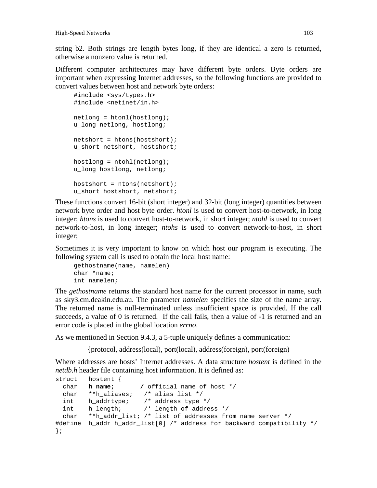string b2. Both strings are length bytes long, if they are identical a zero is returned, otherwise a nonzero value is returned.

Different computer architectures may have different byte orders. Byte orders are important when expressing Internet addresses, so the following functions are provided to convert values between host and network byte orders:

```
#include <sys/types.h>
#include <netinet/in.h>
netlong = htonl(hostlong);
u_long netlong, hostlong;
netshort = htons(hostshort);
u short netshort, hostshort;
hostlong = ntohl(netlong);
u_long hostlong, netlong;
hostshort = ntohs(netshort);u short hostshort, netshort;
```
These functions convert 16-bit (short integer) and 32-bit (long integer) quantities between network byte order and host byte order. *htonl* is used to convert host-to-network, in long integer; *htons* is used to convert host-to-network, in short integer; *ntohl* is used to convert network-to-host, in long integer; *ntohs* is used to convert network-to-host, in short integer;

Sometimes it is very important to know on which host our program is executing. The following system call is used to obtain the local host name:

```
gethostname(name, namelen)
char *name;
int namelen;
```
The *gethostname* returns the standard host name for the current processor in name, such as sky3.cm.deakin.edu.au. The parameter *namelen* specifies the size of the name array. The returned name is null-terminated unless insufficient space is provided. If the call succeeds, a value of 0 is returned. If the call fails, then a value of -1 is returned and an error code is placed in the global location *errno*.

As we mentioned in Section 9.4.3, a 5-tuple uniquely defines a communication:

{protocol, address(local), port(local), address(foreign), port(foreign)

Where addresses are hosts' Internet addresses. A data structure *hostent* is defined in the *netdb.h* header file containing host information. It is defined as:

```
struct hostent {
 char h_name; / official name of host */
 char **h_aliases; /* alias list */
 int h addrtype; /* address type */int h_length; /* length of address */
 char *\hbox{$\star$} addr_list; /* list of addresses from name server */
#define h_addr h_addr_list[0] /* address for backward compatibility */
};
```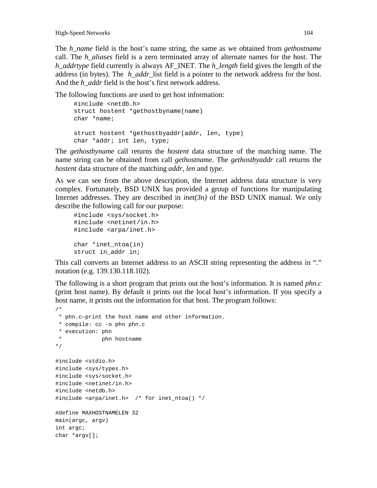The *h\_name* field is the host's name string, the same as we obtained from *gethostname* call. The *h\_aliases* field is a zero terminated array of alternate names for the host. The *h\_addrtype* field currently is always AF\_INET. The *h\_length* field gives the length of the address (in bytes). The *h\_addr*\_list field is a pointer to the network address for the host. And the *h\_addr* field is the host's first network address.

The following functions are used to get host information:

```
#include <netdb.h>
struct hostent *gethostbyname(name)
char *name;
struct hostent *gethostbyaddr(addr, len, type)
char *addr; int len, type;
```
The *gethostbyname* call returns the *hostent* data structure of the matching name. The name string can be obtained from call *gethostname*. The *gethostbyaddr* call returns the *hostent* data structure of the matching *addr*, *len* and *type*.

As we can see from the above description, the Internet address data structure is very complex. Fortunately, BSD UNIX has provided a group of functions for manipulating Internet addresses. They are described in *inet(3n)* of the BSD UNIX manual. We only describe the following call for our purpose:

```
#include <sys/socket.h>
#include <netinet/in.h>
#include <arpa/inet.h>
char *inet_ntoa(in)
struct in addr in;
```
This call converts an Internet address to an ASCII string representing the address in "." notation (e.g. 139.130.118.102).

The following is a short program that prints out the host's information. It is named *phn.c* (print host name). By default it prints out the local host's information. If you specify a host name, it prints out the information for that host. The program follows:

```
/*
 * phn.c—print the host name and other information.
* compile: cc -o phn phn.c
 * execution: phn
 * phn hostname
*/
#include <stdio.h>
#include <sys/types.h>
#include <sys/socket.h>
#include <netinet/in.h>
#include <netdb.h>
#include <arpa/inet.h> /* for inet_ntoa() */
#define MAXHOSTNAMELEN 32
main(argc, argv)
int argc;
char *argv[];
```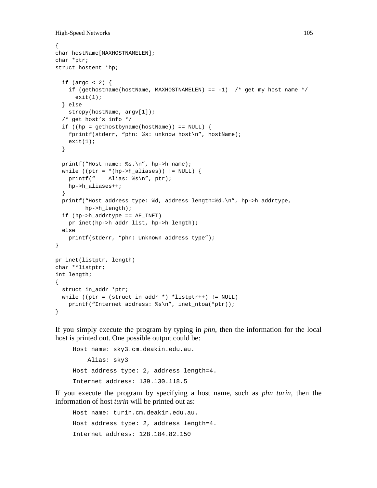```
High-Speed Networks 105
```

```
{
char hostName[MAXHOSTNAMELEN];
char *ptr;
struct hostent *hp;
  if (argc \langle 2 \rangle {
    if (gethostname(hostName, MAXHOSTNAMELEN) == -1) /* get my host name */
      exit(1);} else
    strcpy(hostName, argv[1]);
  /* get host's info */
  if ((hp = qethostbyname(hostName)) == NULL) {
    fprintf(stderr, "phn: %s: unknow host\n", hostName);
    exit(1);}
  printf("Host name: %s.\n", hp->h_name);
  while ((ptr = *(hp->h\_aliases)) != NULL) {
    printf(" Alias: %s\n", ptr);
    hp->h_aliases++;
  }
  printf("Host address type: %d, address length=%d.\n", hp->h_addrtype,
         hp->h_length);
  if (hp->h_addrtype == AF_INET)
    pr_inet(hp->h_addr_list, hp->h_length);
  else
    printf(stderr, "phn: Unknown address type");
}
pr_inet(listptr, length)
char **listptr;
int length;
{
  struct in addr *ptr;
  while ((ptr = (struct in_addr *) *listptr++) != NULL)
    printf("Internet address: %s\n", inet_ntoa(*ptr));
}
```
If you simply execute the program by typing in *phn*, then the information for the local host is printed out. One possible output could be:

```
Host name: sky3.cm.deakin.edu.au.
   Alias: sky3
Host address type: 2, address length=4.
Internet address: 139.130.118.5
```
If you execute the program by specifying a host name, such as *phn turin*, then the information of host *turin* will be printed out as:

```
Host name: turin.cm.deakin.edu.au.
Host address type: 2, address length=4.
Internet address: 128.184.82.150
```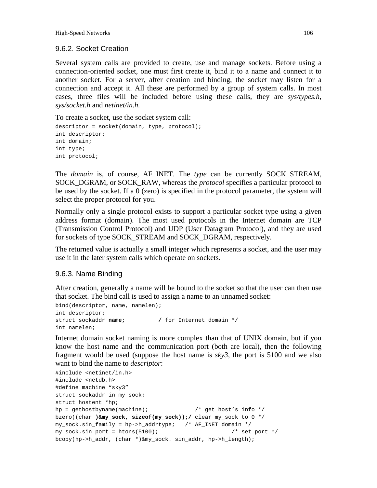#### 9.6.2. Socket Creation

Several system calls are provided to create, use and manage sockets. Before using a connection-oriented socket, one must first create it, bind it to a name and connect it to another socket. For a server, after creation and binding, the socket may listen for a connection and accept it. All these are performed by a group of system calls. In most cases, three files will be included before using these calls, they are *sys/types.h, sys/socket.h* and *netinet/in.h.*

To create a socket, use the socket system call:

```
descriptor = socket(domain, type, protocol);
int descriptor;
int domain;
int type;
int protocol;
```
The *domain* is, of course, AF\_INET. The *type* can be currently SOCK\_STREAM, SOCK\_DGRAM, or SOCK\_RAW, whereas the *protocol* specifies a particular protocol to be used by the socket. If a 0 (zero) is specified in the protocol parameter, the system will select the proper protocol for you.

Normally only a single protocol exists to support a particular socket type using a given address format (domain). The most used protocols in the Internet domain are TCP (Transmission Control Protocol) and UDP (User Datagram Protocol), and they are used for sockets of type SOCK\_STREAM and SOCK\_DGRAM, respectively.

The returned value is actually a small integer which represents a socket, and the user may use it in the later system calls which operate on sockets.

#### 9.6.3. Name Binding

After creation, generally a name will be bound to the socket so that the user can then use that socket. The bind call is used to assign a name to an unnamed socket:

```
bind(descriptor, name, namelen);
int descriptor;
struct sockaddr name; / for Internet domain */
int namelen;
```
Internet domain socket naming is more complex than that of UNIX domain, but if you know the host name and the communication port (both are local), then the following fragment would be used (suppose the host name is *sky3*, the port is 5100 and we also want to bind the name to *descriptor*:

```
#include <netinet/in.h>
#include <netdb.h>
#define machine "sky3"
struct sockaddr_in my_sock;
struct hostent *hp;
hp = gethostbyname(machine); /* get host's info */
bzero((char )&my_sock, sizeof(my_sock));/ clear my_sock to 0 */
my\_sock.sin\_family = hp->h\_addrtype; /* AF_INET domain */
my sock.sin port = htons(5100); / /* set port */
bcopy(hp->h_addr, (char *)&my_sock. sin_addr, hp->h_length);
```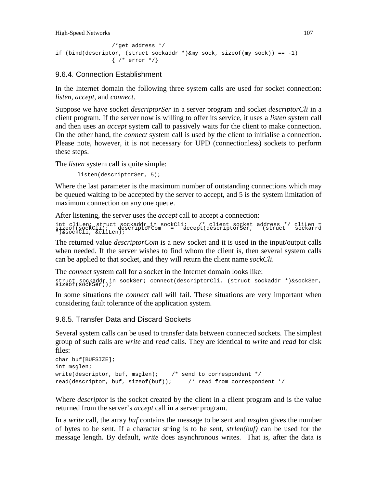```
/*get address */
if (bind(descriptor, (struct sockaddr *) \&my\_sock, sizeof(my_sock)) == -1)
                 \{ /* error */}
```
#### 9.6.4. Connection Establishment

In the Internet domain the following three system calls are used for socket connection: *listen, accept*, and *connect*.

Suppose we have socket *descriptorSer* in a server program and socket *descriptorCli* in a client program. If the server now is willing to offer its service, it uses a *listen* system call and then uses an *accept* system call to passively waits for the client to make connection. On the other hand, the *connect* system call is used by the client to initialise a connection. Please note, however, it is not necessary for UPD (connectionless) sockets to perform these steps.

The *listen* system call is quite simple:

```
listen(descriptorSer, 5);
```
Where the last parameter is the maximum number of outstanding connections which may be queued waiting to be accepted by the server to accept, and 5 is the system limitation of maximum connection on any one queue.

After listening, the server uses the *accept* call to accept a connection:

```
int cliLen; struct sockaddr_in sockCli; /* client socket address */ cliLen =
sizeof(sockCli); descriptorCom = accept(descriptorSer, (struct sockarrd
*)&sockCli, &cliLen);
```
The returned value *descriptorCom* is a new socket and it is used in the input/output calls when needed. If the server wishes to find whom the client is, then several system calls can be applied to that socket, and they will return the client name *sockCli*.

The *connect* system call for a socket in the Internet domain looks like:

```
struct sockaddr_in sockSer; connect(descriptorCli, (struct sockaddr *)&sockSer,
sizeof(sockSer));
```
In some situations the *connect* call will fail. These situations are very important when considering fault tolerance of the application system.

## 9.6.5. Transfer Data and Discard Sockets

Several system calls can be used to transfer data between connected sockets. The simplest group of such calls are *write* and *read* calls. They are identical to *write* and *read* for disk files:

```
char buf[BUFSIZE];
int msglen;
write(descriptor, buf, msglen); \prime * send to correspondent */
read(descriptor, buf, sizeof(buf)); /* read from correspondent */
```
Where *descriptor* is the socket created by the client in a client program and is the value returned from the server's *accept* call in a server program.

In a *write* call, the array *buf* contains the message to be sent and *msglen* gives the number of bytes to be sent. If a character string is to be sent, *strlen(buf)* can be used for the message length. By default, *write* does asynchronous writes. That is, after the data is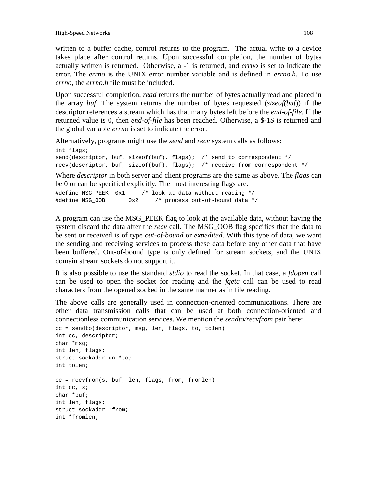written to a buffer cache, control returns to the program. The actual write to a device takes place after control returns. Upon successful completion, the number of bytes actually written is returned. Otherwise, a -1 is returned, and *errno* is set to indicate the error. The *errno* is the UNIX error number variable and is defined in *errno.h*. To use *errno*, the *errno.h* file must be included.

Upon successful completion, *read* returns the number of bytes actually read and placed in the array *buf*. The system returns the number of bytes requested (*sizeof(buf*)) if the descriptor references a stream which has that many bytes left before the *end-of-file*. If the returned value is 0, then *end-of-file* has been reached. Otherwise, a \$-1\$ is returned and the global variable *errno* is set to indicate the error.

Alternatively, programs might use the *send* and *recv* system calls as follows:

```
int flags;
send(descriptor, buf, sizeof(buf), flags); /* send to correspondent */
recv(descriptor, buf, sizeof(buf), flags); /* receive from correspondent */
```
Where *descriptor* in both server and client programs are the same as above. The *flags* can be 0 or can be specified explicitly. The most interesting flags are:

```
#define MSG_PEEK 0x1 /* look at data without reading */
#define MSG_OOB 0x2 /* process out-of-bound data */
```
A program can use the MSG\_PEEK flag to look at the available data, without having the system discard the data after the *recv* call. The MSG\_OOB flag specifies that the data to be sent or received is of type *out-of-bound* or *expedited*. With this type of data, we want the sending and receiving services to process these data before any other data that have been buffered. Out-of-bound type is only defined for stream sockets, and the UNIX domain stream sockets do not support it.

It is also possible to use the standard *stdio* to read the socket. In that case, a *fdopen* call can be used to open the socket for reading and the *fgetc* call can be used to read characters from the opened socked in the same manner as in file reading.

The above calls are generally used in connection-oriented communications. There are other data transmission calls that can be used at both connection-oriented and connectionless communication services. We mention the *sendto/recvfrom* pair here:

```
cc = sendto(descriptor, msg, len, flags, to, tolen)
int cc, descriptor;
char *msg;
int len, flags;
struct sockaddr un *to;
int tolen;
cc = recvfrom(s, buf, len, flags, from, fromlen)
int cc, s;
char *buf;
int len, flags;
struct sockaddr *from;
int *fromlen;
```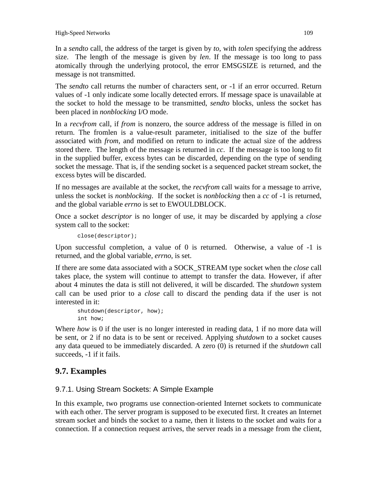In a *sendto* call, the address of the target is given by *to*, with *tolen* specifying the address size. The length of the message is given by *len*. If the message is too long to pass atomically through the underlying protocol, the error EMSGSIZE is returned, and the message is not transmitted.

The *sendto* call returns the number of characters sent, or -1 if an error occurred. Return values of -1 only indicate some locally detected errors. If message space is unavailable at the socket to hold the message to be transmitted, *sendto* blocks, unless the socket has been placed in *nonblocking* I/O mode.

In a *recvfrom* call, if *from* is nonzero, the source address of the message is filled in on return. The fromlen is a value-result parameter, initialised to the size of the buffer associated with *from*, and modified on return to indicate the actual size of the address stored there. The length of the message is returned in *cc*. If the message is too long to fit in the supplied buffer, excess bytes can be discarded, depending on the type of sending socket the message. That is, if the sending socket is a sequenced packet stream socket, the excess bytes will be discarded.

If no messages are available at the socket, the *recvfrom* call waits for a message to arrive, unless the socket is *nonblocking*. If the socket is *nonblocking* then a *cc* of -1 is returned, and the global variable *errno* is set to EWOULDBLOCK.

Once a socket *descriptor* is no longer of use, it may be discarded by applying a *close*  system call to the socket:

```
close(descriptor);
```
Upon successful completion, a value of 0 is returned. Otherwise, a value of -1 is returned, and the global variable, *errno*, is set.

If there are some data associated with a SOCK\_STREAM type socket when the *close* call takes place, the system will continue to attempt to transfer the data. However, if after about 4 minutes the data is still not delivered, it will be discarded. The *shutdown* system call can be used prior to a *close* call to discard the pending data if the user is not interested in it:

```
shutdown(descriptor, how);
int how;
```
Where *how* is 0 if the user is no longer interested in reading data, 1 if no more data will be sent, or 2 if no data is to be sent or received. Applying *shutdown* to a socket causes any data queued to be immediately discarded. A zero (0) is returned if the *shutdown* call succeeds, -1 if it fails.

### **9.7. Examples**

### 9.7.1. Using Stream Sockets: A Simple Example

In this example, two programs use connection-oriented Internet sockets to communicate with each other. The server program is supposed to be executed first. It creates an Internet stream socket and binds the socket to a name, then it listens to the socket and waits for a connection. If a connection request arrives, the server reads in a message from the client,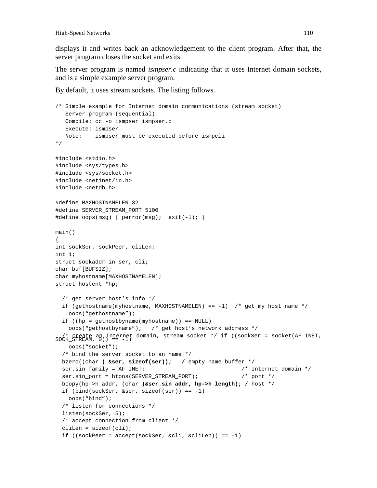displays it and writes back an acknowledgement to the client program. After that, the server program closes the socket and exits.

The server program is named *ismpser.c* indicating that it uses Internet domain sockets, and is a simple example server program.

By default, it uses stream sockets. The listing follows.

```
/* Simple example for Internet domain communications (stream socket)
   Server program (sequential)
   Compile: cc -o ismpser ismpser.c
   Execute: ismpser
  Note: ismpser must be executed before ismpcli
*/
#include <stdio.h>
#include <sys/types.h>
#include <sys/socket.h>
#include <netinet/in.h>
#include <netdb.h>
#define MAXHOSTNAMELEN 32
#define SERVER_STREAM_PORT 5100
#define oops(msg) { perror(msg); exit(-1); }
main()
{
int sockSer, sockPeer, cliLen;
int i;
struct sockaddr in ser, cli;
char buf[BUFSIZ];
char myhostname[MAXHOSTNAMELEN];
struct hostent *hp;
  /* get server host's info */
  if (gethostname(myhostname, MAXHOSTNAMELEN) == -1) /* get my host name */
    oops("gethostname");
  if ((hp = gethostbyname(myhostname)) == NULL)
    oops("gethostbyname"); /* get host's network address */
\frac{1}{2} create an Internet domain, stream socket */ if ((sockSer = socket(AF_INET, SOCK_STREAM, 0)) == -1)
    oops("socket");
  /* bind the server socket to an name */
  bzero((char ) &ser, sizeof(ser)); / empty name buffer */
  ser.sin_family = AF_INET; \sqrt{a} /* Internet domain */
  ser.sin_port = htons(SERVER_STREAM_PORT); \frac{*}{} port */bcopy(hp->h_addr, (char )&ser.sin_addr, hp->h_length); / host */
  if (bind(sockSer, &ser, sizeof(ser)) == -1)
    oops("bind");
  /* listen for connections */
  listen(sockSer, 5);
  /* accept connection from client */
  cliLen = sizeof(cli);if ((\text{sockPeer} = \text{accept}(\text{sockSer}, \& \text{cli}, \& \text{client})) == -1)
```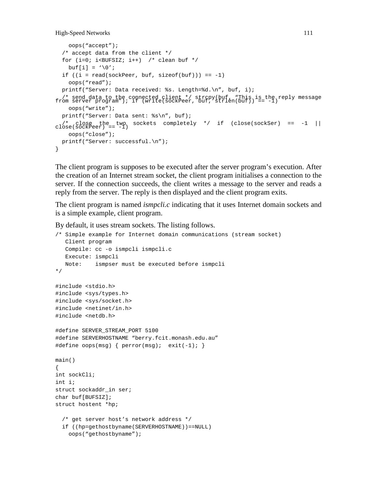```
oops("accept");
  /* accept data from the client */
  for (i=0; i<BUFSIZ; i++) /* clean buf */
    buf[i] = \sqrt{0'i}if ((i = read(sockey) - but, sizeof(buf))) == -1)oops("read");
  printf("Server: Data received: %s. Length=%d.\n", buf, i);
/* send data to the connected client */ strcpy(buf, "This is the reply message from server program"); if (write(sockPeer, buf, strlen(buf)) == -1)
    oops("write");
  printf("Server: Data sent: %s\n", buf);
/* close the two sockets completely */ if (close(sockSer) == -1 || close(sockPeer) == -1)
    oops("close");
  printf("Server: successful.\n");
}
```
The client program is supposes to be executed after the server program's execution. After the creation of an Internet stream socket, the client program initialises a connection to the server. If the connection succeeds, the client writes a message to the server and reads a reply from the server. The reply is then displayed and the client program exits.

The client program is named *ismpcli.c* indicating that it uses Internet domain sockets and is a simple example, client program.

By default, it uses stream sockets. The listing follows.

```
/* Simple example for Internet domain communications (stream socket)
   Client program
   Compile: cc -o ismpcli ismpcli.c
   Execute: ismpcli
  Note: ismpser must be executed before ismpcli
*/
#include <stdio.h>
#include <sys/types.h>
#include <sys/socket.h>
#include <netinet/in.h>
#include <netdb.h>
#define SERVER_STREAM_PORT 5100
#define SERVERHOSTNAME "berry.fcit.monash.edu.au"
#define oops(msg) { perror(msg); exit(-1); }
main()
{
int sockCli;
int i;
struct sockaddr_in ser;
char buf[BUFSIZ];
struct hostent *hp;
  /* get server host's network address */
  if ((hp=gethostbyname(SERVERHOSTNAME))==NULL)
    oops("gethostbyname");
```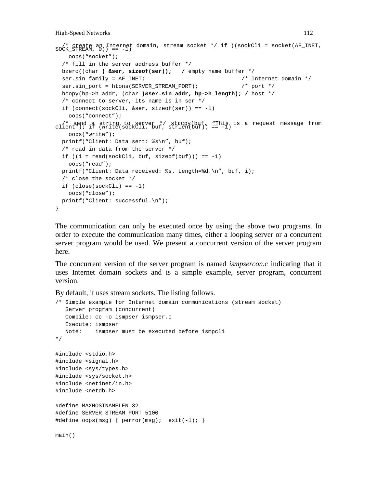```
/* create an Internet domain, stream socket */ if ((sockCli = socket(AF_INET, SOCK_STREAM, 0)) == -1)
    oops("socket");
  /* fill in the server address buffer */
 bzero((char ) &ser, sizeof(ser)); / empty name buffer */
  ser.sin_family = AF_INET; \frac{1}{2} /* Internet domain */
  ser.sin_port = htons(SERVER_STREAM_PORT); /* port */
 bcopy(hp->h_addr, (char )&ser.sin_addr, hp->h_length); / host */
  /* connect to server, its name is in ser */
  if (connect(sockCli, &ser, sizeof(ser)) == -1)
   oops("connect");
/* send a string to server */ strcpy(buf, "This is a request message from client"); if (write(sockCli, buf, strlen(buf)) == -1)
    oops("write");
 printf("Client: Data sent: %s\n", buf);
  /* read in data from the server */
 if ((i = read(sockCli, but, sizeof(buf))) == -1)oops("read");
 printf("Client: Data received: %s. Length=%d.\n", buf, i);
 /* close the socket */
 if (close(sockCli) == -1)oops("close");
 printf("Client: successful.\n");
}
```
The communication can only be executed once by using the above two programs. In order to execute the communication many times, either a looping server or a concurrent server program would be used. We present a concurrent version of the server program here.

The concurrent version of the server program is named *ismpsercon.c* indicating that it uses Internet domain sockets and is a simple example, server program, concurrent version.

By default, it uses stream sockets. The listing follows.

```
/* Simple example for Internet domain communications (stream socket)
   Server program (concurrent)
   Compile: cc -o ismpser ismpser.c
   Execute: ismpser
   Note: ismpser must be executed before ismpcli
*/
#include <stdio.h>
#include <signal.h>
#include <sys/types.h>
#include <sys/socket.h>
#include <netinet/in.h>
#include <netdb.h>
#define MAXHOSTNAMELEN 32
#define SERVER_STREAM_PORT 5100
#define oops(msg) { \text{perror}(\text{msg}); \text{exit}(-1); }
main()
```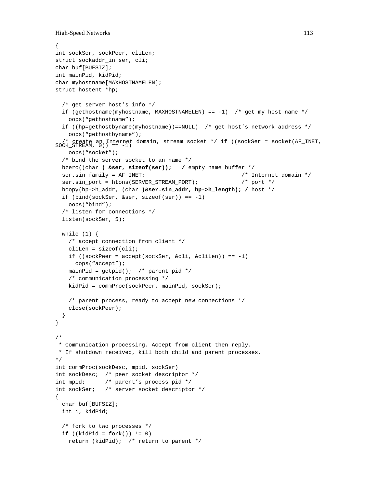```
High-Speed Networks 113
```

```
{
int sockSer, sockPeer, cliLen;
struct sockaddr in ser, cli;
char buf[BUFSIZ];
int mainPid, kidPid;
char myhostname[MAXHOSTNAMELEN];
struct hostent *hp;
  /* get server host's info */
  if (gethostname(myhostname, MAXHOSTNAMELEN) == -1) /* get my host name */
    oops("gethostname");
  if ((hp=gethostbyname(myhostname))==NULL) /* get host's network address */
    oops("gethostbyname");
/* create an Internet domain, stream socket */ if ((sockSer = socket(AF_INET, SOCK_STREAM, 0)) == -1)
    oops("socket");
  /* bind the server socket to an name */
 bzero((char ) &ser, sizeof(ser)); / empty name buffer */
  ser.sin_family = AF_INET; \frac{1}{2} /* Internet domain */
  ser.sin_port = htons(SERVER_STREAM_PORT); /* port */
 bcopy(hp->h_addr, (char )&ser.sin_addr, hp->h_length); / host */
  if (bind(sockSer, &ser, sizeof(ser)) == -1)
    oops("bind");
  /* listen for connections */
 listen(sockSer, 5);
 while (1) {
    /* accept connection from client */
    cliLen = sizeof(cli);if ((\text{sockPeer} = \text{accept}(\text{sockSer}, \& \text{cli}, \& \text{client})) == -1)oops("accept");
    mainPid = getpid(); /* parent pid */
    /* communication processing */
   kidPid = commProc(sockPeer, mainPid, sockSer);
    /* parent process, ready to accept new connections */
    close(sockPeer);
  }
}
/*
 * Communication processing. Accept from client then reply.
* If shutdown received, kill both child and parent processes.
*/
int commProc(sockDesc, mpid, sockSer)
int sockDesc; /* peer socket descriptor */
int mpid; /* parent's process pid */
int sockSer; /* server socket descriptor */
{
 char buf[BUFSIZ];
 int i, kidPid;
  /* fork to two processes */
 if ((kidPid = fork()) != 0)
   return (kidPid); /* return to parent */
```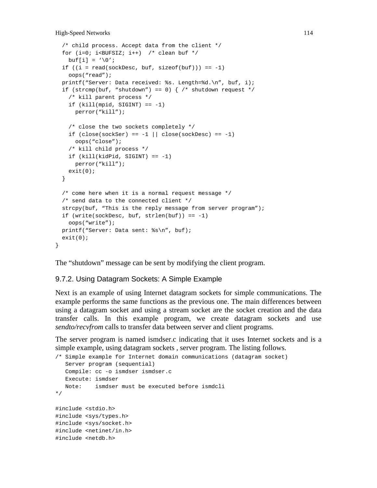```
/* child process. Accept data from the client */
 for (i=0; i<BUFSIZ; i++) /* clean buf */
   buf[i] = \sqrt{0'i}if ((i = read(sockDesc, but, sizeof(buf))) == -1)oops("read");
 printf("Server: Data received: %s. Length=%d.\n", buf, i);
 if (strcmp(buf, "shutdown") == 0) { /* shutdown request *//* kill parent process */
   if (kill(mpid, SIGINT) == -1)perror("kill");
   /* close the two sockets completely */
   if (close(sockSer) == -1 || close(sockDesc) == -1)oops("close");
   /* kill child process */
   if (kill(kidPid, SIGINT) == -1)perror("kill");
   exit(0);
 }
 /* come here when it is a normal request message */
 /* send data to the connected client */
 strcpy(buf, "This is the reply message from server program");
 if (write(sockDesc, buf, strlen(buf)) == -1)
   oops("write");
 printf("Server: Data sent: %s\n", buf);
 exit(0);}
```
The "shutdown" message can be sent by modifying the client program.

#### 9.7.2. Using Datagram Sockets: A Simple Example

Next is an example of using Internet datagram sockets for simple communications. The example performs the same functions as the previous one. The main differences between using a datagram socket and using a stream socket are the socket creation and the data transfer calls. In this example program, we create datagram sockets and use *sendto/recvfrom* calls to transfer data between server and client programs.

The server program is named ismdser.c indicating that it uses Internet sockets and is a simple example, using datagram sockets , server program. The listing follows.

```
/* Simple example for Internet domain communications (datagram socket)
   Server program (sequential)
  Compile: cc -o ismdser ismdser.c
  Execute: ismdser
  Note: ismdser must be executed before ismdcli
*/
#include <stdio.h>
#include <sys/types.h>
#include <sys/socket.h>
#include <netinet/in.h>
#include <netdb.h>
```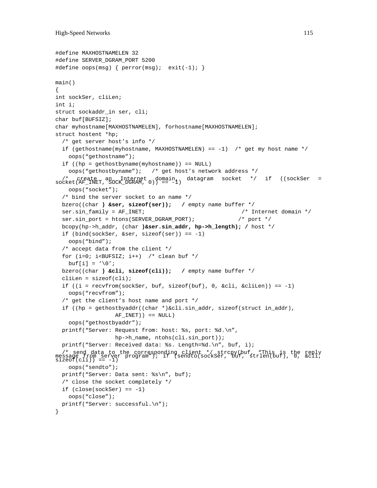```
#define MAXHOSTNAMELEN 32
#define SERVER_DGRAM_PORT 5200
#define oops(msg) { perror(msg); exit(-1); }
main()
{
int sockSer, cliLen;
int i;
struct sockaddr_in ser, cli;
char buf[BUFSIZ];
char myhostname[MAXHOSTNAMELEN], forhostname[MAXHOSTNAMELEN];
struct hostent *hp;
  /* get server host's info */
  if (gethostname(myhostname, MAXHOSTNAMELEN) == -1) /* get my host name */
    oops("gethostname");
  if (\text{hp} = \text{qethostbyname}(\text{myhostname})) == \text{NULL})oops("gethostbyname"); /* get host's network address */
/* create an Internet domain, datagram socket */ if ((sockSer = socket(AF_INET, SOCK_DGRAM, 0)) == -1)
    oops("socket");
  /* bind the server socket to an name */
  bzero((char ) &ser, sizeof(ser)); / empty name buffer */
  ser.sin_family = AF_INET; \sqrt{a} /* Internet domain */
  ser.sin_port = htons(SERVER_DGRAM_PORT); \frac{*}{}bcopy(hp->h_addr, (char )&ser.sin_addr, hp->h_length); / host */
  if (bind(sockSer, &ser, sizeof(ser)) == -1)
    oops("bind");
  /* accept data from the client */
  for (i=0; i < BUFFSIZ; i++) /* clean buf */
    buf[i] = \sqrt{0'i}bzero((char ) &cli, sizeof(cli)); / empty name buffer */
  cliLen = sizeof(cli);if ((i = recvfrom(sockSer, but, sizeof(buf), 0, &cli, &clilen)) == -1)
    oops("recvfrom");
  /* get the client's host name and port */
  if ((hp = gethostbyaddr((char *)&cli.sin_addr, sizeof(struct in_addr),
                   AF_INET)) == NULL)oops("gethostbyaddr");
  printf("Server: Request from: host: %s, port: %d.\n",
                   hp->h_name, ntohs(cli.sin_port));
  printf("Server: Received data: %s. Length=%d.\n", buf, i);
/* send data to the corresponding client */ strcpy(buf, "This is the reply message from server program"); if (sendto(sockSer, buf, strlen(buf), 0, &cli,
sizeof(cli)) == -1)
    oops("sendto");
  printf("Server: Data sent: %s\n", buf);
  /* close the socket completely */
  if (close(sockSer) == -1)
    oops("close");
  printf("Server: successful.\n");
}
```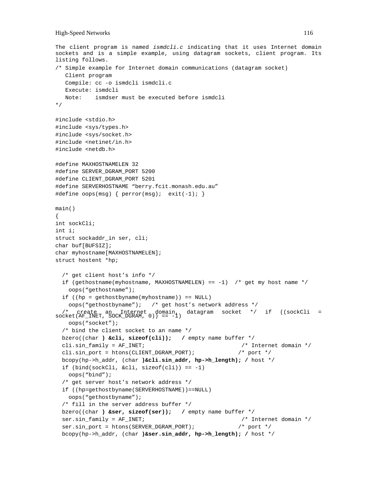```
The client program is named ismdcli.c indicating that it uses Internet domain
sockets and is a simple example, using datagram sockets, client program. Its
listing follows.
/* Simple example for Internet domain communications (datagram socket)
   Client program
   Compile: cc -o ismdcli ismdcli.c
   Execute: ismdcli
   Note: ismdser must be executed before ismdcli
*/
#include <stdio.h>
#include <sys/types.h>
#include <sys/socket.h>
#include <netinet/in.h>
#include <netdb.h>
#define MAXHOSTNAMELEN 32
#define SERVER_DGRAM_PORT 5200
#define CLIENT_DGRAM_PORT 5201
#define SERVERHOSTNAME "berry.fcit.monash.edu.au"
#define oops(msg) { \text{perror}(\text{msg}); \text{exit}(-1); }
main()
{
int sockCli;
int i;
struct sockaddr_in ser, cli;
char buf[BUFSIZ];
char myhostname[MAXHOSTNAMELEN];
struct hostent *hp;
  /* get client host's info */
  if (gethostname(myhostname, MAXHOSTNAMELEN) == -1) /* get my host name */
    oops("gethostname");
  if ((hp = gethostbyname(myhostname)) == NULL)
    oops("gethostbyname"); /* get host's network address */
/* create an Internet domain, datagram socket */ if ((sockCli = socket(AF_INET, SOCK_DGRAM, 0)) == -1)
    oops("socket");
  /* bind the client socket to an name */
  bzero((char ) &cli, sizeof(cli)); / empty name buffer */
  cli.sin_family = AF_INET; /* Internet domain */
  cli.sin_port = htons(CLIENT_DGRAM_PORT); /* port */
  bcopy(hp->h_addr, (char )&cli.sin_addr, hp->h_length); / host */
  if (bind(sockCli, &cli, sizeof(cli)) == -1)
    oops("bind");
  /* get server host's network address */
  if ((hp=gethostbyname(SERVERHOSTNAME))==NULL)
    oops("gethostbyname");
  /* fill in the server address buffer */
  bzero((char ) &ser, sizeof(ser)); / empty name buffer */
  ser.sin_family = AF_INET; /* Internet domain */
  ser.sin_port = htons(SERVER_DGRAM_PORT); \frac{\pi}{4} /* port */
  bcopy(hp->h_addr, (char )&ser.sin_addr, hp->h_length); / host */
```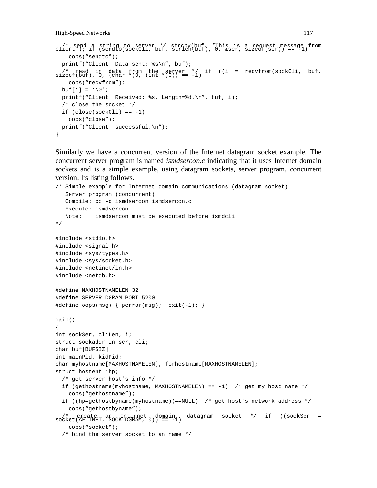#### High-Speed Networks 117

```
/* send a string to server */ strcpy(buf, "This is a request message from client"); if (sendto(sockCli, buf, strlen(buf), 0, &ser, sizeof(ser)) == -1)
     oops("sendto");
  printf("Client: Data sent: %s\n", buf);
/* read in data from the server */ if ((i = recvfrom(sockCli, buf, sizeof(buf), 0, (char *)0, (int *)0)) == -1)
    oops("recvfrom");
  buf[i] = \sqrt{0'i}printf("Client: Received: %s. Length=%d.\n", buf, i);
  /* close the socket */
  if (close(sockCli) == -1)oops("close");
  printf("Client: successful.\n");
}
```
Similarly we have a concurrent version of the Internet datagram socket example. The concurrent server program is named *ismdsercon.c* indicating that it uses Internet domain sockets and is a simple example, using datagram sockets, server program, concurrent version. Its listing follows.

```
/* Simple example for Internet domain communications (datagram socket)
   Server program (concurrent)
   Compile: cc -o ismdsercon ismdsercon.c
   Execute: ismdsercon
   Note: ismdsercon must be executed before ismdcli
*/
#include <stdio.h>
#include <signal.h>
#include <sys/types.h>
#include <sys/socket.h>
#include <netinet/in.h>
#include <netdb.h>
#define MAXHOSTNAMELEN 32
#define SERVER_DGRAM_PORT 5200
#define oops(msg) { perror(msg); exit(-1); }
main()
{
int sockSer, cliLen, i;
struct sockaddr_in ser, cli;
char buf[BUFSIZ];
int mainPid, kidPid;
char myhostname[MAXHOSTNAMELEN], forhostname[MAXHOSTNAMELEN];
struct hostent *hp;
  /* get server host's info */
  if (gethostname(myhostname, MAXHOSTNAMELEN) == -1) /* get my host name */
    oops("gethostname");
  if ((hp=gethostbyname(myhostname))==NULL) /* get host's network address */
    oops("gethostbyname");
/* create an Internet domain, datagram socket */ if ((sockSer = socket(AF_INET, SOCK_DGRAM, 0)) == -1)
    oops("socket");
  /* bind the server socket to an name */
```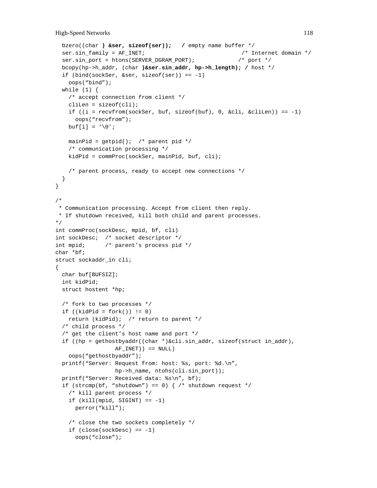```
bzero((char ) &ser, sizeof(ser)); / empty name buffer */
  ser.sin_family = AF_INET; \sqrt{a} /* Internet domain */
  ser.sin port = htons(SERVER DGRAM_PORT); /* port */
 bcopy(hp->h_addr, (char )&ser.sin_addr, hp->h_length); / host */
 if (bind(sockSer, &ser, sizeof(ser)) == -1)
    oops("bind");
 while (1) {
    /* accept connection from client */
    cliLen = sizeof(cli);if ((i = recvfrom(sockSer, but, sizeof(buf), 0, &cli, &clilen)) == -1)
     oops("recvfrom");
    buf[i] = \sqrt{0'i}mainPid = qetpid(); /* parent pid */
    /* communication processing */
   kidPid = commProc(sockSer, mainPid, buf, cli);
   /* parent process, ready to accept new connections */
  }
}
/*
 * Communication processing. Accept from client then reply.
* If shutdown received, kill both child and parent processes.
*/
int commProc(sockDesc, mpid, bf, cli)
int sockDesc; /* socket descriptor */
int mpid; /* parent's process pid */
char *bf;
struct sockaddr_in cli;
{
 char buf[BUFSIZ];
 int kidPid;
 struct hostent *hp;
  /* fork to two processes */
 if ((\text{kidPid} = \text{fork}()) := 0)return (kidPid); /* return to parent */
  /* child process */
 /* get the client's host name and port */
  if ((hp = gethostbyaddr((char *)&cli.sin_addr, sizeof(struct in_addr),
                 AF_INET)) == NULL)oops("gethostbyaddr");
 printf("Server: Request from: host: %s, port: %d.\n",
                 hp->h_name, ntohs(cli.sin_port));
 printf("Server: Received data: %s\n", bf);
  if (strcmp(bf, "shutdown") == 0) { /* shutdown request *//* kill parent process */
    if (kill(mpid, SIGINT) == -1)perror("kill");
    /* close the two sockets completely */
    if (close(sockDesc) == -1)
     oops("close");
```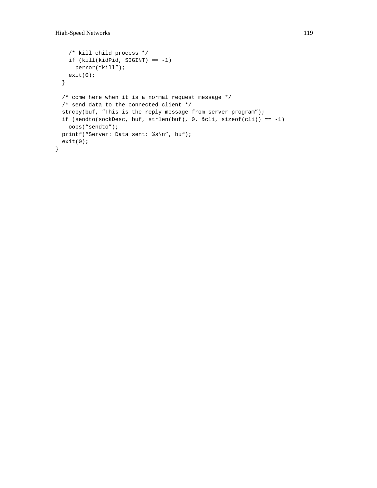```
/* kill child process */
   if (kill(kidPid, SIGINT) == -1)
     perror("kill");
   exit(0);
 }
 /* come here when it is a normal request message */
 /* send data to the connected client */
 strcpy(buf, "This is the reply message from server program");
 if (sendto(sockDesc, buf, strlen(buf), 0, &cli, sizeof(cli)) == -1)
   oops("sendto");
 printf("Server: Data sent: %s\n", buf);
 exit(0);
}
```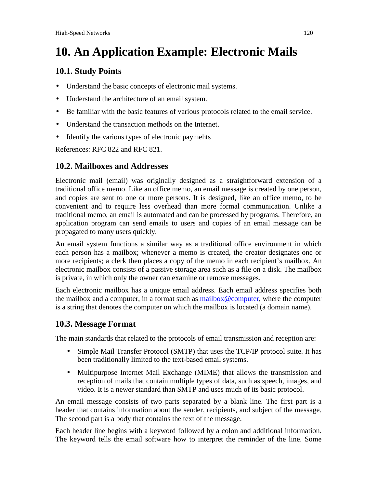## **10. An Application Example: Electronic Mails**

### **10.1. Study Points**

- Understand the basic concepts of electronic mail systems.
- Understand the architecture of an email system.
- Be familiar with the basic features of various protocols related to the email service.
- Understand the transaction methods on the Internet.
- Identify the various types of electronic paymehts

References: RFC 822 and RFC 821.

#### **10.2. Mailboxes and Addresses**

Electronic mail (email) was originally designed as a straightforward extension of a traditional office memo. Like an office memo, an email message is created by one person, and copies are sent to one or more persons. It is designed, like an office memo, to be convenient and to require less overhead than more formal communication. Unlike a traditional memo, an email is automated and can be processed by programs. Therefore, an application program can send emails to users and copies of an email message can be propagated to many users quickly.

An email system functions a similar way as a traditional office environment in which each person has a mailbox; whenever a memo is created, the creator designates one or more recipients; a clerk then places a copy of the memo in each recipient's mailbox. An electronic mailbox consists of a passive storage area such as a file on a disk. The mailbox is private, in which only the owner can examine or remove messages.

Each electronic mailbox has a unique email address. Each email address specifies both the mailbox and a computer, in a format such as  $m$  mailbox @ computer, where the computer is a string that denotes the computer on which the mailbox is located (a domain name).

### **10.3. Message Format**

The main standards that related to the protocols of email transmission and reception are:

- Simple Mail Transfer Protocol (SMTP) that uses the TCP/IP protocol suite. It has been traditionally limited to the text-based email systems.
- Multipurpose Internet Mail Exchange (MIME) that allows the transmission and reception of mails that contain multiple types of data, such as speech, images, and video. It is a newer standard than SMTP and uses much of its basic protocol.

An email message consists of two parts separated by a blank line. The first part is a header that contains information about the sender, recipients, and subject of the message. The second part is a body that contains the text of the message.

Each header line begins with a keyword followed by a colon and additional information. The keyword tells the email software how to interpret the reminder of the line. Some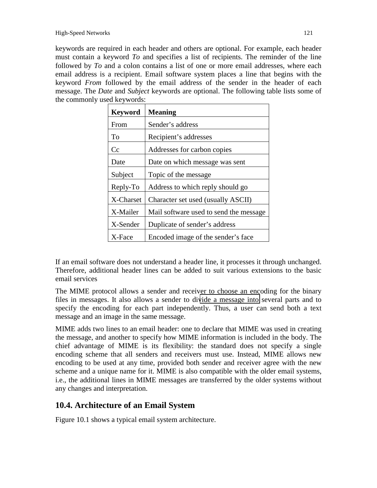keywords are required in each header and others are optional. For example, each header must contain a keyword *To* and specifies a list of recipients. The reminder of the line followed by *To* and a colon contains a list of one or more email addresses, where each email address is a recipient. Email software system places a line that begins with the keyword *From* followed by the email address of the sender in the header of each message. The *Date* and *Subject* keywords are optional. The following table lists some of the commonly used keywords:

| <b>Keyword</b> | <b>Meaning</b>                         |
|----------------|----------------------------------------|
| From           | Sender's address                       |
| To             | Recipient's addresses                  |
| $C_{\rm C}$    | Addresses for carbon copies            |
| Date           | Date on which message was sent         |
| Subject        | Topic of the message                   |
| Reply-To       | Address to which reply should go       |
| X-Charset      | Character set used (usually ASCII)     |
| X-Mailer       | Mail software used to send the message |
| X-Sender       | Duplicate of sender's address          |
| X-Face         | Encoded image of the sender's face     |

If an email software does not understand a header line, it processes it through unchanged. Therefore, additional header lines can be added to suit various extensions to the basic email services

The MIME protocol allows a sender and receiver to choose an encoding for the binary files in messages. It also allows a sender to di[vide a message into](mailto:mailbox@computer) several parts and to specify the encoding for each part independently. Thus, a user can send both a text message and an image in the same message.

MIME adds two lines to an email header: one to declare that MIME was used in creating the message, and another to specify how MIME information is included in the body. The chief advantage of MIME is its flexibility: the standard does not specify a single encoding scheme that all senders and receivers must use. Instead, MIME allows new encoding to be used at any time, provided both sender and receiver agree with the new scheme and a unique name for it. MIME is also compatible with the older email systems, i.e., the additional lines in MIME messages are transferred by the older systems without any changes and interpretation.

### **10.4. Architecture of an Email System**

Figure 10.1 shows a typical email system architecture.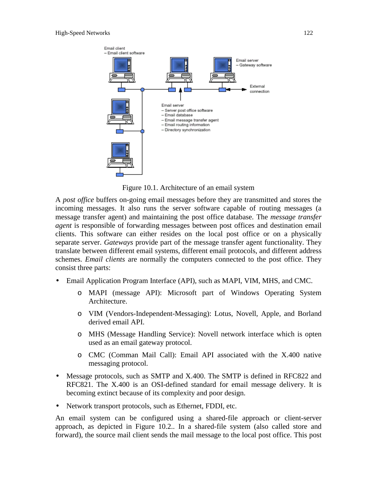

Figure 10.1. Architecture of an email system

A *post office* buffers on-going email messages before they are transmitted and stores the incoming messages. It also runs the server software capable of routing messages (a message transfer agent) and maintaining the post office database. The *message transfer agent* is responsible of forwarding messages between post offices and destination email clients. This software can either resides on the local post office or on a physically separate server. *Gateways* provide part of the message transfer agent functionality. They translate between different email systems, different email protocols, and different address schemes. *Email clients* are normally the computers connected to the post office. They consist three parts:

- Email Application Program Interface (API), such as MAPI, VIM, MHS, and CMC.
	- o MAPI (message API): Microsoft part of Windows Operating System Architecture.
	- o VIM (Vendors-Independent-Messaging): Lotus, Novell, Apple, and Borland derived email API.
	- o MHS (Message Handling Service): Novell network interface which is opten used as an email gateway protocol.
	- o CMC (Comman Mail Call): Email API associated with the X.400 native messaging protocol.
- Message protocols, such as SMTP and X.400. The SMTP is defined in RFC822 and RFC821. The X.400 is an OSI-defined standard for email message delivery. It is becoming extinct because of its complexity and poor design.
- Network transport protocols, such as Ethernet, FDDI, etc.

An email system can be configured using a shared-file approach or client-server approach, as depicted in Figure 10.2.. In a shared-file system (also called store and forward), the source mail client sends the mail message to the local post office. This post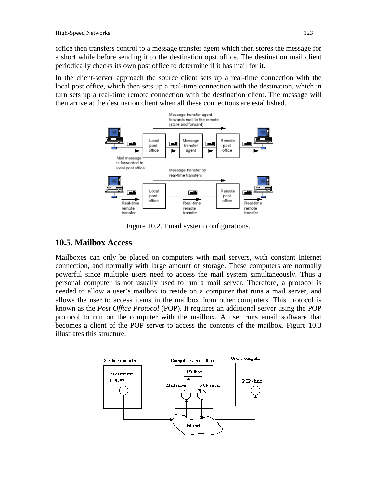office then transfers control to a message transfer agent which then stores the message for a short while before sending it to the destination opst office. The destination mail client periodically checks its own post office to determine if it has mail for it.

In the client-server approach the source client sets up a real-time connection with the local post office, which then sets up a real-time connection with the destination, which in turn sets up a real-time remote connection with the destination client. The message will then arrive at the destination client when all these connections are established.



Figure 10.2. Email system configurations.

### **10.5. Mailbox Access**

Mailboxes can only be placed on computers with mail servers, with constant Internet connection, and normally with large amount of storage. These computers are normally powerful since multiple users need to access the mail system simultaneously. Thus a personal computer is not usually used to run a mail server. Therefore, a protocol is needed to allow a user's mailbox to reside on a computer that runs a mail server, and allows the user to access items in the mailbox from other computers. This protocol is known as the *Post Office Protocol* (POP). It requires an additional server using the POP protocol to run on the computer with the mailbox. A user runs email software that becomes a client of the POP server to access the contents of the mailbox. Figure 10.3 illustrates this structure.

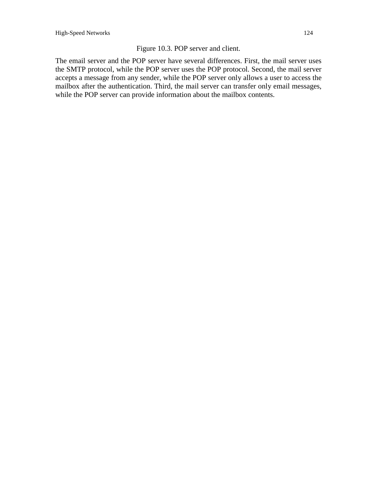#### Figure 10.3. POP server and client.

The email server and the POP server have several differences. First, the mail server uses the SMTP protocol, while the POP server uses the POP protocol. Second, the mail server accepts a message from any sender, while the POP server only allows a user to access the mailbox after the authentication. Third, the mail server can transfer only email messages, while the POP server can provide information about the mailbox contents.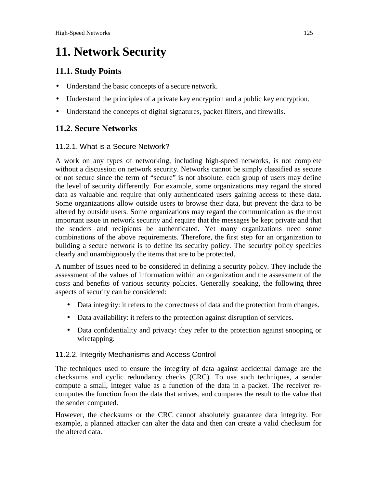# **11. Network Security**

### **11.1. Study Points**

- Understand the basic concepts of a secure network.
- Understand the principles of a private key encryption and a public key encryption.
- Understand the concepts of digital signatures, packet filters, and firewalls.

### **11.2. Secure Networks**

#### 11.2.1. What is a Secure Network?

A work on any types of networking, including high-speed networks, is not complete without a discussion on network security. Networks cannot be simply classified as secure or not secure since the term of "secure" is not absolute: each group of users may define the level of security differently. For example, some organizations may regard the stored data as valuable and require that only authenticated users gaining access to these data. Some organizations allow outside users to browse their data, but prevent the data to be altered by outside users. Some organizations may regard the communication as the most important issue in network security and require that the messages be kept private and that the senders and recipients be authenticated. Yet many organizations need some combinations of the above requirements. Therefore, the first step for an organization to building a secure network is to define its security policy. The security policy specifies clearly and unambiguously the items that are to be protected.

A number of issues need to be considered in defining a security policy. They include the assessment of the values of information within an organization and the assessment of the costs and benefits of various security policies. Generally speaking, the following three aspects of security can be considered:

- Data integrity: it refers to the correctness of data and the protection from changes.
- Data availability: it refers to the protection against disruption of services.
- Data confidentiality and privacy: they refer to the protection against snooping or wiretapping.

#### 11.2.2. Integrity Mechanisms and Access Control

The techniques used to ensure the integrity of data against accidental damage are the checksums and cyclic redundancy checks (CRC). To use such techniques, a sender compute a small, integer value as a function of the data in a packet. The receiver recomputes the function from the data that arrives, and compares the result to the value that the sender computed.

However, the checksums or the CRC cannot absolutely guarantee data integrity. For example, a planned attacker can alter the data and then can create a valid checksum for the altered data.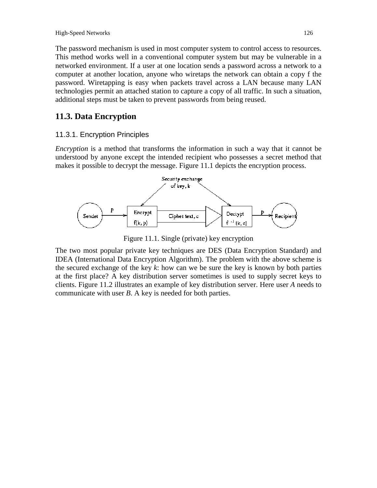The password mechanism is used in most computer system to control access to resources. This method works well in a conventional computer system but may be vulnerable in a networked environment. If a user at one location sends a password across a network to a computer at another location, anyone who wiretaps the network can obtain a copy f the password. Wiretapping is easy when packets travel across a LAN because many LAN technologies permit an attached station to capture a copy of all traffic. In such a situation, additional steps must be taken to prevent passwords from being reused.

### **11.3. Data Encryption**

#### 11.3.1. Encryption Principles

*Encryption* is a method that transforms the information in such a way that it cannot be understood by anyone except the intended recipient who possesses a secret method that makes it possible to decrypt the message. Figure 11.1 depicts the encryption process.



Figure 11.1. Single (private) key encryption

The two most popular private key techniques are DES (Data Encryption Standard) and IDEA (International Data Encryption Algorithm). The problem with the above scheme is the secured exchange of the key *k*: how can we be sure the key is known by both parties at the first place? A key distribution server sometimes is used to supply secret keys to clients. Figure 11.2 illustrates an example of key distribution server. Here user *A* needs to communicate with user *B*. A key is needed for both parties.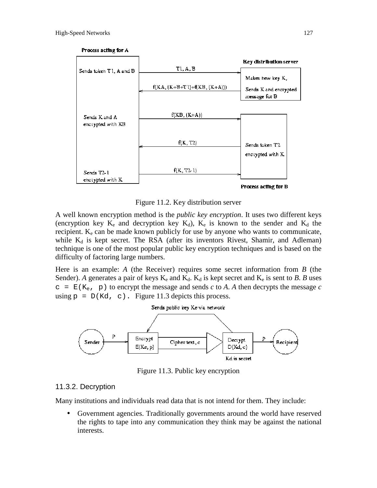

Figure 11.2. Key distribution server

A well known encryption method is the *public key encryption*. It uses two different keys (encryption key  $K_e$  and decryption key  $K_d$ ),  $K_e$  is known to the sender and  $K_d$  the recipient.  $K_e$  can be made known publicly for use by anyone who wants to communicate, while  $K_d$  is kept secret. The RSA (after its inventors Rivest, Shamir, and Adleman) technique is one of the most popular public key encryption techniques and is based on the difficulty of factoring large numbers.

Here is an example: *A* (the Receiver) requires some secret information from *B* (the Sender). A generates a pair of keys  $K_e$  and  $K_d$ .  $K_d$  is kept secret and  $K_e$  is sent to *B*. *B* uses  $c = E(K_e, p)$  to encrypt the message and sends *c* to *A*. *A* then decrypts the message *c* using  $p = D(Kd, c)$ . Figure 11.3 depicts this process.



Figure 11.3. Public key encryption

#### 11.3.2. Decryption

Many institutions and individuals read data that is not intend for them. They include:

• Government agencies. Traditionally governments around the world have reserved the rights to tape into any communication they think may be against the national interests.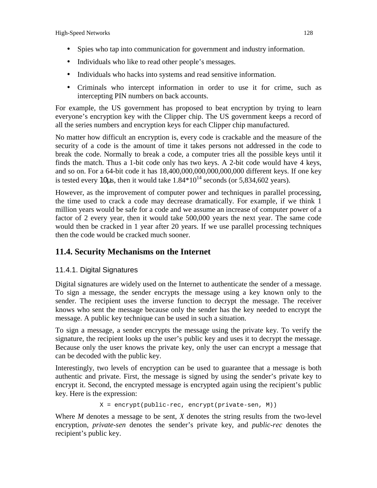- Spies who tap into communication for government and industry information.
- Individuals who like to read other people's messages.
- Individuals who hacks into systems and read sensitive information.
- Criminals who intercept information in order to use it for crime, such as intercepting PIN numbers on back accounts.

For example, the US government has proposed to beat encryption by trying to learn everyone's encryption key with the Clipper chip. The US government keeps a record of all the series numbers and encryption keys for each Clipper chip manufactured.

No matter how difficult an encryption is, every code is crackable and the measure of the security of a code is the amount of time it takes persons not addressed in the code to break the code. Normally to break a code, a computer tries all the possible keys until it finds the match. Thus a 1-bit code only has two keys. A 2-bit code would have 4 keys, and so on. For a 64-bit code it has 18,400,000,000,000,000,000 different keys. If one key is tested every 10us, then it would take  $1.84*10^{14}$  seconds (or 5,834,602 years).

However, as the improvement of computer power and techniques in parallel processing, the time used to crack a code may decrease dramatically. For example, if we think 1 million years would be safe for a code and we assume an increase of computer power of a factor of 2 every year, then it would take 500,000 years the next year. The same code would then be cracked in 1 year after 20 years. If we use parallel processing techniques then the code would be cracked much sooner.

## **11.4. Security Mechanisms on the Internet**

### 11.4.1. Digital Signatures

Digital signatures are widely used on the Internet to authenticate the sender of a message. To sign a message, the sender encrypts the message using a key known only to the sender. The recipient uses the inverse function to decrypt the message. The receiver knows who sent the message because only the sender has the key needed to encrypt the message. A public key technique can be used in such a situation.

To sign a message, a sender encrypts the message using the private key. To verify the signature, the recipient looks up the user's public key and uses it to decrypt the message. Because only the user knows the private key, only the user can encrypt a message that can be decoded with the public key.

Interestingly, two levels of encryption can be used to guarantee that a message is both authentic and private. First, the message is signed by using the sender's private key to encrypt it. Second, the encrypted message is encrypted again using the recipient's public key. Here is the expression:

```
X = \text{encrypt}(\text{public-rec}, \text{encrypt}(\text{private-sen}, M))
```
Where *M* denotes a message to be sent, *X* denotes the string results from the two-level encryption, *private-sen* denotes the sender's private key, and *public-rec* denotes the recipient's public key.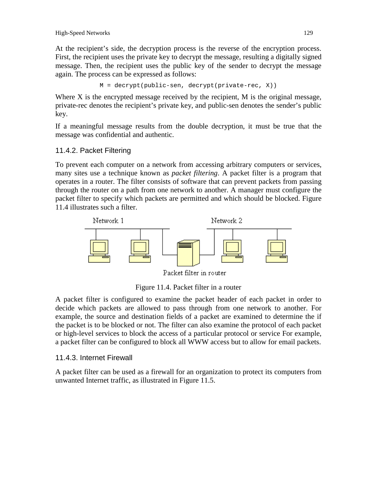At the recipient's side, the decryption process is the reverse of the encryption process. First, the recipient uses the private key to decrypt the message, resulting a digitally signed message. Then, the recipient uses the public key of the sender to decrypt the message again. The process can be expressed as follows:

M = decrypt(public-sen, decrypt(private-rec, X))

Where  $X$  is the encrypted message received by the recipient,  $M$  is the original message, private-rec denotes the recipient's private key, and public-sen denotes the sender's public key.

If a meaningful message results from the double decryption, it must be true that the message was confidential and authentic.

#### 11.4.2. Packet Filtering

To prevent each computer on a network from accessing arbitrary computers or services, many sites use a technique known as *packet filtering*. A packet filter is a program that operates in a router. The filter consists of software that can prevent packets from passing through the router on a path from one network to another. A manager must configure the packet filter to specify which packets are permitted and which should be blocked. Figure 11.4 illustrates such a filter.



Figure 11.4. Packet filter in a router

A packet filter is configured to examine the packet header of each packet in order to decide which packets are allowed to pass through from one network to another. For example, the source and destination fields of a packet are examined to determine the if the packet is to be blocked or not. The filter can also examine the protocol of each packet or high-level services to block the access of a particular protocol or service For example, a packet filter can be configured to block all WWW access but to allow for email packets.

#### 11.4.3. Internet Firewall

A packet filter can be used as a firewall for an organization to protect its computers from unwanted Internet traffic, as illustrated in Figure 11.5.